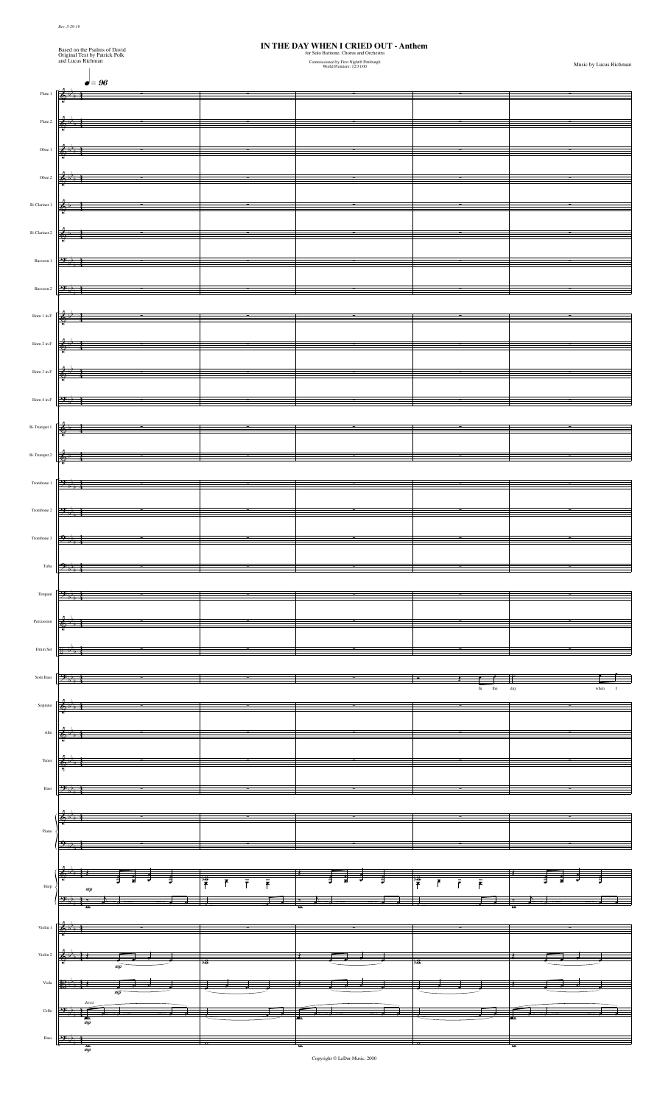|  | . . |
|--|-----|
|--|-----|

Original Text by Patrick Polk

## for Solo Baritone, Chorus and Orchestra Based on the Psalms of David **IN THE DAY WHEN I CRIED OUT - Anthem**

and Lucas Richman Commissioned by First Night® Pittsburgh World Premiere: 12/31/00

| $6 - 1$<br>Flute 2 $\left \leftarrow$ $\frac{1}{2}$<br>Oboe 1 $\left( 0, 1, 1 \right)$<br><u> 1989 - Johann Barbara, marka a shekara tsa 1989 - An tsa 1989 - An tsa 1989 - An tsa 1989 - An tsa 1989 - An</u><br>Oboe 2 $\frac{1}{2}$ $\frac{1}{2}$ $\frac{1}{4}$ $\frac{1}{2}$ $\frac{1}{2}$ $\frac{1}{2}$ $\frac{1}{2}$ $\frac{1}{2}$ $\frac{1}{2}$ $\frac{1}{2}$ $\frac{1}{2}$ $\frac{1}{2}$ $\frac{1}{2}$ $\frac{1}{2}$ $\frac{1}{2}$ $\frac{1}{2}$ $\frac{1}{2}$ $\frac{1}{2}$ $\frac{1}{2}$ $\frac{1}{2}$ $\frac{1}{2}$ $\frac{$<br>Bi-Clarinet 1<br>$\mathbf{B}\flat$ Clarinet $2$<br>$\frac{1}{2}$<br>Bassoon 1<br>ジアプ<br>Bassoon 2<br>$\mathbb{P}^1$<br>Horn $1$ in ${\rm F}$<br>$\left[\frac{1}{2}, \frac{1}{2}\right]$<br>Horn 2 in ${\rm F}$<br>$\frac{1}{2}$<br>$\overline{\phantom{a}}$ . The contract of the contract of the contract of the contract of the contract of the contract of the contract of the contract of the contract of the contract of the contract of the contract of the contract of<br>Hom 3 in F $\left \frac{1}{\sqrt{3}}\right $ $\frac{1}{4}$ $\frac{1}{2}$ $\frac{1}{4}$ $\frac{1}{2}$ $\frac{1}{4}$ $\frac{1}{2}$ $\frac{1}{4}$ $\frac{1}{2}$ $\frac{1}{2}$ $\frac{1}{2}$ $\frac{1}{2}$ $\frac{1}{2}$ $\frac{1}{2}$ $\frac{1}{2}$ $\frac{1}{2}$ $\frac{1}{2}$ $\frac{1}{2}$ $\frac{1}{2}$ $\frac{1}{2}$ $\$<br>Horn 4 in F $\frac{9!}{2}$ $\frac{1}{2}$ $\frac{4}{4}$<br>$B\rightarrow$ Trumpet 1<br><u> 1989 - Johann Stoff, Amerikaansk politiker († 1908)</u><br>$\frac{2}{5}$<br>$\mathbf{B}\flat$ Trumpet 2<br>2,1<br>Trombone 1<br>Trombone 2<br>$\mathcal{P} \rightarrow 1$<br>Trombone 3<br>ジナ<br>Tuba $\frac{1}{2}$ $\frac{1}{2}$ $\frac{1}{4}$<br>Timpani<br>65<br>Percussion<br>Drum Set<br>$\frac{2}{\ln}$ $\frac{1}{\ln}$ $\frac{1}{\ln}$ $\frac{1}{\ln}$ $\frac{1}{\ln}$ $\frac{1}{\ln}$ $\frac{1}{\ln}$ $\frac{1}{\ln}$ $\frac{1}{\ln}$ $\frac{1}{\ln}$ $\frac{1}{\ln}$ $\frac{1}{\ln}$ $\frac{1}{\ln}$ $\frac{1}{\ln}$ $\frac{1}{\ln}$ $\frac{1}{\ln}$ $\frac{1}{\ln}$ $\frac{1}{\ln}$ $\frac{1}{\ln}$ $\frac{1}{\ln}$<br>$\mathbb{P}_{\mathbb{P}_p}$ 1<br>Solo Bass<br>Soprano<br>$\overline{\mathbb{C}}$<br>Alto<br>671<br>Tenor<br>$6 + 1$<br>Bass<br>$2 + 1$<br>$6^{5}$<br>Piano<br>$2 +$<br>${\rm Harp}$<br>$2 + 1$<br>$\frac{1}{2}$ $\frac{1}{2}$ $\frac{1}{2}$ $\frac{1}{2}$ $\frac{1}{2}$<br>$\frac{1}{2}$ $\frac{1}{2}$ $\frac{1}{2}$ $\frac{1}{2}$ $\frac{1}{2}$<br>$ e^{k+1}$<br>Violin $\boldsymbol{\mathsf{I}}$<br>Violin $2\,$<br>$\frac{2}{\sqrt{2}}$ $\frac{1}{2}$ $\frac{1}{\sqrt{2}}$ $\frac{1}{\sqrt{2}}$<br>$\begin{array}{ccc} & \bullet & \bullet & \bullet & \bullet \end{array}$<br>$\equiv$<br>Viola<br>$\begin{picture}(100,10) \put(0,0){\vector(1,0){100}} \put(10,0){\vector(1,0){100}} \put(10,0){\vector(1,0){100}} \put(10,0){\vector(1,0){100}} \put(10,0){\vector(1,0){100}} \put(10,0){\vector(1,0){100}} \put(10,0){\vector(1,0){100}} \put(10,0){\vector(1,0){100}} \put(10,0){\vector(1,0){100}} \put(10,0){\vector(1,0){100}} \put(10,0){\vector(1,0){100}}$<br>$\begin{array}{c c c c c} \hline \textbf{y} & \textbf{y} & \textbf{y} & \textbf{y} & \textbf{y} \\ \hline \textbf{y} & \textbf{y} & \textbf{y} & \textbf{y} & \textbf{y} & \textbf{y} & \textbf{y} \\ \hline \textbf{y} & \textbf{y} & \textbf{y} & \textbf{y} & \textbf{y} & \textbf{y} & \textbf{y} & \textbf{y} & \textbf{y} \\ \hline \end{array}$<br>Cello<br>$\mathbf{P}_{\mathbf{r}}$ i<br>Bass<br>$\overline{mp}$ |                                                | $\bullet$ = 96 |  |  |  |  |
|---------------------------------------------------------------------------------------------------------------------------------------------------------------------------------------------------------------------------------------------------------------------------------------------------------------------------------------------------------------------------------------------------------------------------------------------------------------------------------------------------------------------------------------------------------------------------------------------------------------------------------------------------------------------------------------------------------------------------------------------------------------------------------------------------------------------------------------------------------------------------------------------------------------------------------------------------------------------------------------------------------------------------------------------------------------------------------------------------------------------------------------------------------------------------------------------------------------------------------------------------------------------------------------------------------------------------------------------------------------------------------------------------------------------------------------------------------------------------------------------------------------------------------------------------------------------------------------------------------------------------------------------------------------------------------------------------------------------------------------------------------------------------------------------------------------------------------------------------------------------------------------------------------------------------------------------------------------------------------------------------------------------------------------------------------------------------------------------------------------------------------------------------------------------------------------------------------------------------------------------------------------------------------------------------------------------------------------------------------------------------------------------------------------------------------------------------------------------------------------------------------------------------------------------------------------------------------------------------------------------------------------------------------------------------------------------------------------------------------------------------------------------------------------------------------------------------------------------------------------------------------------------------------------------------------------------------------------------------------------------------------------------------------------------------------------------------------------------------------------------------------------------------------------------------------------------------------------------------------------------------------------------------------------------------------------------------------------------------------------------------------------------------------------------------------------------------------------------------------------------|------------------------------------------------|----------------|--|--|--|--|
|                                                                                                                                                                                                                                                                                                                                                                                                                                                                                                                                                                                                                                                                                                                                                                                                                                                                                                                                                                                                                                                                                                                                                                                                                                                                                                                                                                                                                                                                                                                                                                                                                                                                                                                                                                                                                                                                                                                                                                                                                                                                                                                                                                                                                                                                                                                                                                                                                                                                                                                                                                                                                                                                                                                                                                                                                                                                                                                                                                                                                                                                                                                                                                                                                                                                                                                                                                                                                                                                                             | $\label{eq:Flute} \text{Flute}\,\, \mathbb{I}$ |                |  |  |  |  |
|                                                                                                                                                                                                                                                                                                                                                                                                                                                                                                                                                                                                                                                                                                                                                                                                                                                                                                                                                                                                                                                                                                                                                                                                                                                                                                                                                                                                                                                                                                                                                                                                                                                                                                                                                                                                                                                                                                                                                                                                                                                                                                                                                                                                                                                                                                                                                                                                                                                                                                                                                                                                                                                                                                                                                                                                                                                                                                                                                                                                                                                                                                                                                                                                                                                                                                                                                                                                                                                                                             |                                                |                |  |  |  |  |
|                                                                                                                                                                                                                                                                                                                                                                                                                                                                                                                                                                                                                                                                                                                                                                                                                                                                                                                                                                                                                                                                                                                                                                                                                                                                                                                                                                                                                                                                                                                                                                                                                                                                                                                                                                                                                                                                                                                                                                                                                                                                                                                                                                                                                                                                                                                                                                                                                                                                                                                                                                                                                                                                                                                                                                                                                                                                                                                                                                                                                                                                                                                                                                                                                                                                                                                                                                                                                                                                                             |                                                |                |  |  |  |  |
|                                                                                                                                                                                                                                                                                                                                                                                                                                                                                                                                                                                                                                                                                                                                                                                                                                                                                                                                                                                                                                                                                                                                                                                                                                                                                                                                                                                                                                                                                                                                                                                                                                                                                                                                                                                                                                                                                                                                                                                                                                                                                                                                                                                                                                                                                                                                                                                                                                                                                                                                                                                                                                                                                                                                                                                                                                                                                                                                                                                                                                                                                                                                                                                                                                                                                                                                                                                                                                                                                             |                                                |                |  |  |  |  |
|                                                                                                                                                                                                                                                                                                                                                                                                                                                                                                                                                                                                                                                                                                                                                                                                                                                                                                                                                                                                                                                                                                                                                                                                                                                                                                                                                                                                                                                                                                                                                                                                                                                                                                                                                                                                                                                                                                                                                                                                                                                                                                                                                                                                                                                                                                                                                                                                                                                                                                                                                                                                                                                                                                                                                                                                                                                                                                                                                                                                                                                                                                                                                                                                                                                                                                                                                                                                                                                                                             |                                                |                |  |  |  |  |
|                                                                                                                                                                                                                                                                                                                                                                                                                                                                                                                                                                                                                                                                                                                                                                                                                                                                                                                                                                                                                                                                                                                                                                                                                                                                                                                                                                                                                                                                                                                                                                                                                                                                                                                                                                                                                                                                                                                                                                                                                                                                                                                                                                                                                                                                                                                                                                                                                                                                                                                                                                                                                                                                                                                                                                                                                                                                                                                                                                                                                                                                                                                                                                                                                                                                                                                                                                                                                                                                                             |                                                |                |  |  |  |  |
|                                                                                                                                                                                                                                                                                                                                                                                                                                                                                                                                                                                                                                                                                                                                                                                                                                                                                                                                                                                                                                                                                                                                                                                                                                                                                                                                                                                                                                                                                                                                                                                                                                                                                                                                                                                                                                                                                                                                                                                                                                                                                                                                                                                                                                                                                                                                                                                                                                                                                                                                                                                                                                                                                                                                                                                                                                                                                                                                                                                                                                                                                                                                                                                                                                                                                                                                                                                                                                                                                             |                                                |                |  |  |  |  |
|                                                                                                                                                                                                                                                                                                                                                                                                                                                                                                                                                                                                                                                                                                                                                                                                                                                                                                                                                                                                                                                                                                                                                                                                                                                                                                                                                                                                                                                                                                                                                                                                                                                                                                                                                                                                                                                                                                                                                                                                                                                                                                                                                                                                                                                                                                                                                                                                                                                                                                                                                                                                                                                                                                                                                                                                                                                                                                                                                                                                                                                                                                                                                                                                                                                                                                                                                                                                                                                                                             |                                                |                |  |  |  |  |
|                                                                                                                                                                                                                                                                                                                                                                                                                                                                                                                                                                                                                                                                                                                                                                                                                                                                                                                                                                                                                                                                                                                                                                                                                                                                                                                                                                                                                                                                                                                                                                                                                                                                                                                                                                                                                                                                                                                                                                                                                                                                                                                                                                                                                                                                                                                                                                                                                                                                                                                                                                                                                                                                                                                                                                                                                                                                                                                                                                                                                                                                                                                                                                                                                                                                                                                                                                                                                                                                                             |                                                |                |  |  |  |  |
|                                                                                                                                                                                                                                                                                                                                                                                                                                                                                                                                                                                                                                                                                                                                                                                                                                                                                                                                                                                                                                                                                                                                                                                                                                                                                                                                                                                                                                                                                                                                                                                                                                                                                                                                                                                                                                                                                                                                                                                                                                                                                                                                                                                                                                                                                                                                                                                                                                                                                                                                                                                                                                                                                                                                                                                                                                                                                                                                                                                                                                                                                                                                                                                                                                                                                                                                                                                                                                                                                             |                                                |                |  |  |  |  |
|                                                                                                                                                                                                                                                                                                                                                                                                                                                                                                                                                                                                                                                                                                                                                                                                                                                                                                                                                                                                                                                                                                                                                                                                                                                                                                                                                                                                                                                                                                                                                                                                                                                                                                                                                                                                                                                                                                                                                                                                                                                                                                                                                                                                                                                                                                                                                                                                                                                                                                                                                                                                                                                                                                                                                                                                                                                                                                                                                                                                                                                                                                                                                                                                                                                                                                                                                                                                                                                                                             |                                                |                |  |  |  |  |
|                                                                                                                                                                                                                                                                                                                                                                                                                                                                                                                                                                                                                                                                                                                                                                                                                                                                                                                                                                                                                                                                                                                                                                                                                                                                                                                                                                                                                                                                                                                                                                                                                                                                                                                                                                                                                                                                                                                                                                                                                                                                                                                                                                                                                                                                                                                                                                                                                                                                                                                                                                                                                                                                                                                                                                                                                                                                                                                                                                                                                                                                                                                                                                                                                                                                                                                                                                                                                                                                                             |                                                |                |  |  |  |  |
|                                                                                                                                                                                                                                                                                                                                                                                                                                                                                                                                                                                                                                                                                                                                                                                                                                                                                                                                                                                                                                                                                                                                                                                                                                                                                                                                                                                                                                                                                                                                                                                                                                                                                                                                                                                                                                                                                                                                                                                                                                                                                                                                                                                                                                                                                                                                                                                                                                                                                                                                                                                                                                                                                                                                                                                                                                                                                                                                                                                                                                                                                                                                                                                                                                                                                                                                                                                                                                                                                             |                                                |                |  |  |  |  |
|                                                                                                                                                                                                                                                                                                                                                                                                                                                                                                                                                                                                                                                                                                                                                                                                                                                                                                                                                                                                                                                                                                                                                                                                                                                                                                                                                                                                                                                                                                                                                                                                                                                                                                                                                                                                                                                                                                                                                                                                                                                                                                                                                                                                                                                                                                                                                                                                                                                                                                                                                                                                                                                                                                                                                                                                                                                                                                                                                                                                                                                                                                                                                                                                                                                                                                                                                                                                                                                                                             |                                                |                |  |  |  |  |
|                                                                                                                                                                                                                                                                                                                                                                                                                                                                                                                                                                                                                                                                                                                                                                                                                                                                                                                                                                                                                                                                                                                                                                                                                                                                                                                                                                                                                                                                                                                                                                                                                                                                                                                                                                                                                                                                                                                                                                                                                                                                                                                                                                                                                                                                                                                                                                                                                                                                                                                                                                                                                                                                                                                                                                                                                                                                                                                                                                                                                                                                                                                                                                                                                                                                                                                                                                                                                                                                                             |                                                |                |  |  |  |  |
|                                                                                                                                                                                                                                                                                                                                                                                                                                                                                                                                                                                                                                                                                                                                                                                                                                                                                                                                                                                                                                                                                                                                                                                                                                                                                                                                                                                                                                                                                                                                                                                                                                                                                                                                                                                                                                                                                                                                                                                                                                                                                                                                                                                                                                                                                                                                                                                                                                                                                                                                                                                                                                                                                                                                                                                                                                                                                                                                                                                                                                                                                                                                                                                                                                                                                                                                                                                                                                                                                             |                                                |                |  |  |  |  |
|                                                                                                                                                                                                                                                                                                                                                                                                                                                                                                                                                                                                                                                                                                                                                                                                                                                                                                                                                                                                                                                                                                                                                                                                                                                                                                                                                                                                                                                                                                                                                                                                                                                                                                                                                                                                                                                                                                                                                                                                                                                                                                                                                                                                                                                                                                                                                                                                                                                                                                                                                                                                                                                                                                                                                                                                                                                                                                                                                                                                                                                                                                                                                                                                                                                                                                                                                                                                                                                                                             |                                                |                |  |  |  |  |
|                                                                                                                                                                                                                                                                                                                                                                                                                                                                                                                                                                                                                                                                                                                                                                                                                                                                                                                                                                                                                                                                                                                                                                                                                                                                                                                                                                                                                                                                                                                                                                                                                                                                                                                                                                                                                                                                                                                                                                                                                                                                                                                                                                                                                                                                                                                                                                                                                                                                                                                                                                                                                                                                                                                                                                                                                                                                                                                                                                                                                                                                                                                                                                                                                                                                                                                                                                                                                                                                                             |                                                |                |  |  |  |  |
|                                                                                                                                                                                                                                                                                                                                                                                                                                                                                                                                                                                                                                                                                                                                                                                                                                                                                                                                                                                                                                                                                                                                                                                                                                                                                                                                                                                                                                                                                                                                                                                                                                                                                                                                                                                                                                                                                                                                                                                                                                                                                                                                                                                                                                                                                                                                                                                                                                                                                                                                                                                                                                                                                                                                                                                                                                                                                                                                                                                                                                                                                                                                                                                                                                                                                                                                                                                                                                                                                             |                                                |                |  |  |  |  |
|                                                                                                                                                                                                                                                                                                                                                                                                                                                                                                                                                                                                                                                                                                                                                                                                                                                                                                                                                                                                                                                                                                                                                                                                                                                                                                                                                                                                                                                                                                                                                                                                                                                                                                                                                                                                                                                                                                                                                                                                                                                                                                                                                                                                                                                                                                                                                                                                                                                                                                                                                                                                                                                                                                                                                                                                                                                                                                                                                                                                                                                                                                                                                                                                                                                                                                                                                                                                                                                                                             |                                                |                |  |  |  |  |
|                                                                                                                                                                                                                                                                                                                                                                                                                                                                                                                                                                                                                                                                                                                                                                                                                                                                                                                                                                                                                                                                                                                                                                                                                                                                                                                                                                                                                                                                                                                                                                                                                                                                                                                                                                                                                                                                                                                                                                                                                                                                                                                                                                                                                                                                                                                                                                                                                                                                                                                                                                                                                                                                                                                                                                                                                                                                                                                                                                                                                                                                                                                                                                                                                                                                                                                                                                                                                                                                                             |                                                |                |  |  |  |  |
|                                                                                                                                                                                                                                                                                                                                                                                                                                                                                                                                                                                                                                                                                                                                                                                                                                                                                                                                                                                                                                                                                                                                                                                                                                                                                                                                                                                                                                                                                                                                                                                                                                                                                                                                                                                                                                                                                                                                                                                                                                                                                                                                                                                                                                                                                                                                                                                                                                                                                                                                                                                                                                                                                                                                                                                                                                                                                                                                                                                                                                                                                                                                                                                                                                                                                                                                                                                                                                                                                             |                                                |                |  |  |  |  |
|                                                                                                                                                                                                                                                                                                                                                                                                                                                                                                                                                                                                                                                                                                                                                                                                                                                                                                                                                                                                                                                                                                                                                                                                                                                                                                                                                                                                                                                                                                                                                                                                                                                                                                                                                                                                                                                                                                                                                                                                                                                                                                                                                                                                                                                                                                                                                                                                                                                                                                                                                                                                                                                                                                                                                                                                                                                                                                                                                                                                                                                                                                                                                                                                                                                                                                                                                                                                                                                                                             |                                                |                |  |  |  |  |
|                                                                                                                                                                                                                                                                                                                                                                                                                                                                                                                                                                                                                                                                                                                                                                                                                                                                                                                                                                                                                                                                                                                                                                                                                                                                                                                                                                                                                                                                                                                                                                                                                                                                                                                                                                                                                                                                                                                                                                                                                                                                                                                                                                                                                                                                                                                                                                                                                                                                                                                                                                                                                                                                                                                                                                                                                                                                                                                                                                                                                                                                                                                                                                                                                                                                                                                                                                                                                                                                                             |                                                |                |  |  |  |  |
|                                                                                                                                                                                                                                                                                                                                                                                                                                                                                                                                                                                                                                                                                                                                                                                                                                                                                                                                                                                                                                                                                                                                                                                                                                                                                                                                                                                                                                                                                                                                                                                                                                                                                                                                                                                                                                                                                                                                                                                                                                                                                                                                                                                                                                                                                                                                                                                                                                                                                                                                                                                                                                                                                                                                                                                                                                                                                                                                                                                                                                                                                                                                                                                                                                                                                                                                                                                                                                                                                             |                                                |                |  |  |  |  |
|                                                                                                                                                                                                                                                                                                                                                                                                                                                                                                                                                                                                                                                                                                                                                                                                                                                                                                                                                                                                                                                                                                                                                                                                                                                                                                                                                                                                                                                                                                                                                                                                                                                                                                                                                                                                                                                                                                                                                                                                                                                                                                                                                                                                                                                                                                                                                                                                                                                                                                                                                                                                                                                                                                                                                                                                                                                                                                                                                                                                                                                                                                                                                                                                                                                                                                                                                                                                                                                                                             |                                                |                |  |  |  |  |
|                                                                                                                                                                                                                                                                                                                                                                                                                                                                                                                                                                                                                                                                                                                                                                                                                                                                                                                                                                                                                                                                                                                                                                                                                                                                                                                                                                                                                                                                                                                                                                                                                                                                                                                                                                                                                                                                                                                                                                                                                                                                                                                                                                                                                                                                                                                                                                                                                                                                                                                                                                                                                                                                                                                                                                                                                                                                                                                                                                                                                                                                                                                                                                                                                                                                                                                                                                                                                                                                                             |                                                |                |  |  |  |  |
|                                                                                                                                                                                                                                                                                                                                                                                                                                                                                                                                                                                                                                                                                                                                                                                                                                                                                                                                                                                                                                                                                                                                                                                                                                                                                                                                                                                                                                                                                                                                                                                                                                                                                                                                                                                                                                                                                                                                                                                                                                                                                                                                                                                                                                                                                                                                                                                                                                                                                                                                                                                                                                                                                                                                                                                                                                                                                                                                                                                                                                                                                                                                                                                                                                                                                                                                                                                                                                                                                             |                                                |                |  |  |  |  |
|                                                                                                                                                                                                                                                                                                                                                                                                                                                                                                                                                                                                                                                                                                                                                                                                                                                                                                                                                                                                                                                                                                                                                                                                                                                                                                                                                                                                                                                                                                                                                                                                                                                                                                                                                                                                                                                                                                                                                                                                                                                                                                                                                                                                                                                                                                                                                                                                                                                                                                                                                                                                                                                                                                                                                                                                                                                                                                                                                                                                                                                                                                                                                                                                                                                                                                                                                                                                                                                                                             |                                                |                |  |  |  |  |
|                                                                                                                                                                                                                                                                                                                                                                                                                                                                                                                                                                                                                                                                                                                                                                                                                                                                                                                                                                                                                                                                                                                                                                                                                                                                                                                                                                                                                                                                                                                                                                                                                                                                                                                                                                                                                                                                                                                                                                                                                                                                                                                                                                                                                                                                                                                                                                                                                                                                                                                                                                                                                                                                                                                                                                                                                                                                                                                                                                                                                                                                                                                                                                                                                                                                                                                                                                                                                                                                                             |                                                |                |  |  |  |  |
|                                                                                                                                                                                                                                                                                                                                                                                                                                                                                                                                                                                                                                                                                                                                                                                                                                                                                                                                                                                                                                                                                                                                                                                                                                                                                                                                                                                                                                                                                                                                                                                                                                                                                                                                                                                                                                                                                                                                                                                                                                                                                                                                                                                                                                                                                                                                                                                                                                                                                                                                                                                                                                                                                                                                                                                                                                                                                                                                                                                                                                                                                                                                                                                                                                                                                                                                                                                                                                                                                             |                                                |                |  |  |  |  |
|                                                                                                                                                                                                                                                                                                                                                                                                                                                                                                                                                                                                                                                                                                                                                                                                                                                                                                                                                                                                                                                                                                                                                                                                                                                                                                                                                                                                                                                                                                                                                                                                                                                                                                                                                                                                                                                                                                                                                                                                                                                                                                                                                                                                                                                                                                                                                                                                                                                                                                                                                                                                                                                                                                                                                                                                                                                                                                                                                                                                                                                                                                                                                                                                                                                                                                                                                                                                                                                                                             |                                                |                |  |  |  |  |
|                                                                                                                                                                                                                                                                                                                                                                                                                                                                                                                                                                                                                                                                                                                                                                                                                                                                                                                                                                                                                                                                                                                                                                                                                                                                                                                                                                                                                                                                                                                                                                                                                                                                                                                                                                                                                                                                                                                                                                                                                                                                                                                                                                                                                                                                                                                                                                                                                                                                                                                                                                                                                                                                                                                                                                                                                                                                                                                                                                                                                                                                                                                                                                                                                                                                                                                                                                                                                                                                                             |                                                |                |  |  |  |  |
|                                                                                                                                                                                                                                                                                                                                                                                                                                                                                                                                                                                                                                                                                                                                                                                                                                                                                                                                                                                                                                                                                                                                                                                                                                                                                                                                                                                                                                                                                                                                                                                                                                                                                                                                                                                                                                                                                                                                                                                                                                                                                                                                                                                                                                                                                                                                                                                                                                                                                                                                                                                                                                                                                                                                                                                                                                                                                                                                                                                                                                                                                                                                                                                                                                                                                                                                                                                                                                                                                             |                                                |                |  |  |  |  |
|                                                                                                                                                                                                                                                                                                                                                                                                                                                                                                                                                                                                                                                                                                                                                                                                                                                                                                                                                                                                                                                                                                                                                                                                                                                                                                                                                                                                                                                                                                                                                                                                                                                                                                                                                                                                                                                                                                                                                                                                                                                                                                                                                                                                                                                                                                                                                                                                                                                                                                                                                                                                                                                                                                                                                                                                                                                                                                                                                                                                                                                                                                                                                                                                                                                                                                                                                                                                                                                                                             |                                                |                |  |  |  |  |
|                                                                                                                                                                                                                                                                                                                                                                                                                                                                                                                                                                                                                                                                                                                                                                                                                                                                                                                                                                                                                                                                                                                                                                                                                                                                                                                                                                                                                                                                                                                                                                                                                                                                                                                                                                                                                                                                                                                                                                                                                                                                                                                                                                                                                                                                                                                                                                                                                                                                                                                                                                                                                                                                                                                                                                                                                                                                                                                                                                                                                                                                                                                                                                                                                                                                                                                                                                                                                                                                                             |                                                |                |  |  |  |  |
|                                                                                                                                                                                                                                                                                                                                                                                                                                                                                                                                                                                                                                                                                                                                                                                                                                                                                                                                                                                                                                                                                                                                                                                                                                                                                                                                                                                                                                                                                                                                                                                                                                                                                                                                                                                                                                                                                                                                                                                                                                                                                                                                                                                                                                                                                                                                                                                                                                                                                                                                                                                                                                                                                                                                                                                                                                                                                                                                                                                                                                                                                                                                                                                                                                                                                                                                                                                                                                                                                             |                                                |                |  |  |  |  |
|                                                                                                                                                                                                                                                                                                                                                                                                                                                                                                                                                                                                                                                                                                                                                                                                                                                                                                                                                                                                                                                                                                                                                                                                                                                                                                                                                                                                                                                                                                                                                                                                                                                                                                                                                                                                                                                                                                                                                                                                                                                                                                                                                                                                                                                                                                                                                                                                                                                                                                                                                                                                                                                                                                                                                                                                                                                                                                                                                                                                                                                                                                                                                                                                                                                                                                                                                                                                                                                                                             |                                                |                |  |  |  |  |
|                                                                                                                                                                                                                                                                                                                                                                                                                                                                                                                                                                                                                                                                                                                                                                                                                                                                                                                                                                                                                                                                                                                                                                                                                                                                                                                                                                                                                                                                                                                                                                                                                                                                                                                                                                                                                                                                                                                                                                                                                                                                                                                                                                                                                                                                                                                                                                                                                                                                                                                                                                                                                                                                                                                                                                                                                                                                                                                                                                                                                                                                                                                                                                                                                                                                                                                                                                                                                                                                                             |                                                |                |  |  |  |  |
|                                                                                                                                                                                                                                                                                                                                                                                                                                                                                                                                                                                                                                                                                                                                                                                                                                                                                                                                                                                                                                                                                                                                                                                                                                                                                                                                                                                                                                                                                                                                                                                                                                                                                                                                                                                                                                                                                                                                                                                                                                                                                                                                                                                                                                                                                                                                                                                                                                                                                                                                                                                                                                                                                                                                                                                                                                                                                                                                                                                                                                                                                                                                                                                                                                                                                                                                                                                                                                                                                             |                                                |                |  |  |  |  |
|                                                                                                                                                                                                                                                                                                                                                                                                                                                                                                                                                                                                                                                                                                                                                                                                                                                                                                                                                                                                                                                                                                                                                                                                                                                                                                                                                                                                                                                                                                                                                                                                                                                                                                                                                                                                                                                                                                                                                                                                                                                                                                                                                                                                                                                                                                                                                                                                                                                                                                                                                                                                                                                                                                                                                                                                                                                                                                                                                                                                                                                                                                                                                                                                                                                                                                                                                                                                                                                                                             |                                                |                |  |  |  |  |
|                                                                                                                                                                                                                                                                                                                                                                                                                                                                                                                                                                                                                                                                                                                                                                                                                                                                                                                                                                                                                                                                                                                                                                                                                                                                                                                                                                                                                                                                                                                                                                                                                                                                                                                                                                                                                                                                                                                                                                                                                                                                                                                                                                                                                                                                                                                                                                                                                                                                                                                                                                                                                                                                                                                                                                                                                                                                                                                                                                                                                                                                                                                                                                                                                                                                                                                                                                                                                                                                                             |                                                |                |  |  |  |  |
|                                                                                                                                                                                                                                                                                                                                                                                                                                                                                                                                                                                                                                                                                                                                                                                                                                                                                                                                                                                                                                                                                                                                                                                                                                                                                                                                                                                                                                                                                                                                                                                                                                                                                                                                                                                                                                                                                                                                                                                                                                                                                                                                                                                                                                                                                                                                                                                                                                                                                                                                                                                                                                                                                                                                                                                                                                                                                                                                                                                                                                                                                                                                                                                                                                                                                                                                                                                                                                                                                             |                                                |                |  |  |  |  |
|                                                                                                                                                                                                                                                                                                                                                                                                                                                                                                                                                                                                                                                                                                                                                                                                                                                                                                                                                                                                                                                                                                                                                                                                                                                                                                                                                                                                                                                                                                                                                                                                                                                                                                                                                                                                                                                                                                                                                                                                                                                                                                                                                                                                                                                                                                                                                                                                                                                                                                                                                                                                                                                                                                                                                                                                                                                                                                                                                                                                                                                                                                                                                                                                                                                                                                                                                                                                                                                                                             |                                                |                |  |  |  |  |
|                                                                                                                                                                                                                                                                                                                                                                                                                                                                                                                                                                                                                                                                                                                                                                                                                                                                                                                                                                                                                                                                                                                                                                                                                                                                                                                                                                                                                                                                                                                                                                                                                                                                                                                                                                                                                                                                                                                                                                                                                                                                                                                                                                                                                                                                                                                                                                                                                                                                                                                                                                                                                                                                                                                                                                                                                                                                                                                                                                                                                                                                                                                                                                                                                                                                                                                                                                                                                                                                                             |                                                |                |  |  |  |  |
|                                                                                                                                                                                                                                                                                                                                                                                                                                                                                                                                                                                                                                                                                                                                                                                                                                                                                                                                                                                                                                                                                                                                                                                                                                                                                                                                                                                                                                                                                                                                                                                                                                                                                                                                                                                                                                                                                                                                                                                                                                                                                                                                                                                                                                                                                                                                                                                                                                                                                                                                                                                                                                                                                                                                                                                                                                                                                                                                                                                                                                                                                                                                                                                                                                                                                                                                                                                                                                                                                             |                                                |                |  |  |  |  |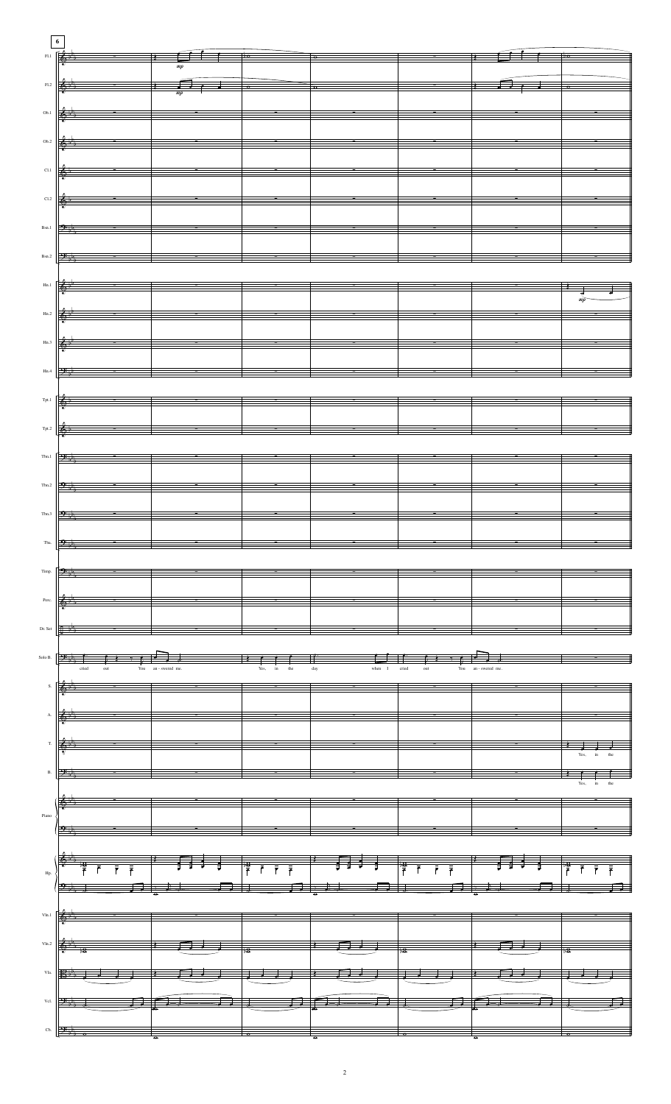|                                                                                                                                                                                                                                                                                                                     | $\pmb{6}$                                                                                                                            |                                                                                                   |                 |                                                                                  |                                           |                                                                                |                         |
|---------------------------------------------------------------------------------------------------------------------------------------------------------------------------------------------------------------------------------------------------------------------------------------------------------------------|--------------------------------------------------------------------------------------------------------------------------------------|---------------------------------------------------------------------------------------------------|-----------------|----------------------------------------------------------------------------------|-------------------------------------------|--------------------------------------------------------------------------------|-------------------------|
|                                                                                                                                                                                                                                                                                                                     | FLI 6片                                                                                                                               |                                                                                                   | $\overline{50}$ |                                                                                  |                                           |                                                                                |                         |
|                                                                                                                                                                                                                                                                                                                     |                                                                                                                                      | mp                                                                                                |                 |                                                                                  |                                           |                                                                                |                         |
|                                                                                                                                                                                                                                                                                                                     | $F1.2$ $8V$                                                                                                                          | $\left  \begin{array}{cc} \cdot & \cdot \\ \cdot & \cdot \\ \cdot & \cdot \\ \end{array} \right $ |                 |                                                                                  |                                           |                                                                                |                         |
|                                                                                                                                                                                                                                                                                                                     |                                                                                                                                      |                                                                                                   |                 |                                                                                  |                                           |                                                                                |                         |
| $\frac{1}{2}$ $\frac{1}{2}$ $\frac{1}{2}$ $\frac{1}{2}$ $\frac{1}{2}$ $\frac{1}{2}$ $\frac{1}{2}$ $\frac{1}{2}$ $\frac{1}{2}$ $\frac{1}{2}$ $\frac{1}{2}$ $\frac{1}{2}$ $\frac{1}{2}$ $\frac{1}{2}$ $\frac{1}{2}$ $\frac{1}{2}$ $\frac{1}{2}$ $\frac{1}{2}$ $\frac{1}{2}$ $\frac{1}{2}$ $\frac{1}{2}$ $\frac{1}{2}$ |                                                                                                                                      |                                                                                                   |                 |                                                                                  |                                           |                                                                                |                         |
|                                                                                                                                                                                                                                                                                                                     |                                                                                                                                      |                                                                                                   |                 |                                                                                  |                                           |                                                                                |                         |
|                                                                                                                                                                                                                                                                                                                     | 0 <sub>b.2</sub>                                                                                                                     |                                                                                                   |                 |                                                                                  |                                           |                                                                                |                         |
|                                                                                                                                                                                                                                                                                                                     |                                                                                                                                      |                                                                                                   |                 |                                                                                  |                                           |                                                                                |                         |
|                                                                                                                                                                                                                                                                                                                     | $\frac{C1.1}{\frac{1}{2}}$                                                                                                           |                                                                                                   |                 |                                                                                  |                                           |                                                                                |                         |
|                                                                                                                                                                                                                                                                                                                     | $\frac{C1.2}{\frac{C}{2}}$                                                                                                           |                                                                                                   |                 |                                                                                  |                                           |                                                                                |                         |
|                                                                                                                                                                                                                                                                                                                     |                                                                                                                                      |                                                                                                   |                 |                                                                                  |                                           |                                                                                |                         |
| $_{\rm Bsn.l}$                                                                                                                                                                                                                                                                                                      | $\mathbf{P}$                                                                                                                         |                                                                                                   |                 |                                                                                  |                                           |                                                                                |                         |
|                                                                                                                                                                                                                                                                                                                     |                                                                                                                                      |                                                                                                   |                 |                                                                                  |                                           |                                                                                |                         |
| $_{\rm Bsn.2}$                                                                                                                                                                                                                                                                                                      | ジャ                                                                                                                                   |                                                                                                   |                 |                                                                                  |                                           |                                                                                |                         |
|                                                                                                                                                                                                                                                                                                                     |                                                                                                                                      |                                                                                                   |                 |                                                                                  |                                           |                                                                                |                         |
|                                                                                                                                                                                                                                                                                                                     | $\frac{Hn.1}{2}$                                                                                                                     |                                                                                                   |                 |                                                                                  |                                           |                                                                                |                         |
|                                                                                                                                                                                                                                                                                                                     |                                                                                                                                      |                                                                                                   |                 |                                                                                  |                                           |                                                                                |                         |
|                                                                                                                                                                                                                                                                                                                     | $\frac{Hn.2}{\frac{1}{2}}$                                                                                                           |                                                                                                   |                 |                                                                                  |                                           |                                                                                |                         |
|                                                                                                                                                                                                                                                                                                                     |                                                                                                                                      |                                                                                                   |                 |                                                                                  |                                           |                                                                                |                         |
|                                                                                                                                                                                                                                                                                                                     | $\frac{Hn.3}{2}$                                                                                                                     |                                                                                                   |                 |                                                                                  |                                           |                                                                                |                         |
|                                                                                                                                                                                                                                                                                                                     |                                                                                                                                      |                                                                                                   |                 |                                                                                  |                                           |                                                                                |                         |
|                                                                                                                                                                                                                                                                                                                     | Hn.4                                                                                                                                 |                                                                                                   |                 |                                                                                  |                                           |                                                                                |                         |
|                                                                                                                                                                                                                                                                                                                     |                                                                                                                                      |                                                                                                   |                 |                                                                                  |                                           |                                                                                |                         |
|                                                                                                                                                                                                                                                                                                                     | Tpt.1                                                                                                                                |                                                                                                   |                 |                                                                                  |                                           |                                                                                |                         |
|                                                                                                                                                                                                                                                                                                                     |                                                                                                                                      |                                                                                                   |                 |                                                                                  |                                           |                                                                                |                         |
| Tpt.2                                                                                                                                                                                                                                                                                                               |                                                                                                                                      |                                                                                                   |                 |                                                                                  |                                           |                                                                                |                         |
|                                                                                                                                                                                                                                                                                                                     |                                                                                                                                      |                                                                                                   |                 |                                                                                  |                                           |                                                                                |                         |
| Tbn.1                                                                                                                                                                                                                                                                                                               | $\mathbf{P}^{\ast}$                                                                                                                  |                                                                                                   |                 |                                                                                  |                                           |                                                                                |                         |
| Tbn.2                                                                                                                                                                                                                                                                                                               | $\mathcal{P}$                                                                                                                        |                                                                                                   |                 |                                                                                  |                                           |                                                                                |                         |
|                                                                                                                                                                                                                                                                                                                     |                                                                                                                                      |                                                                                                   |                 |                                                                                  |                                           |                                                                                |                         |
| Tbn.3                                                                                                                                                                                                                                                                                                               | $\mathbf{P}_{\mathbf{p}_1}$                                                                                                          |                                                                                                   |                 |                                                                                  |                                           |                                                                                |                         |
|                                                                                                                                                                                                                                                                                                                     |                                                                                                                                      |                                                                                                   |                 |                                                                                  |                                           |                                                                                |                         |
|                                                                                                                                                                                                                                                                                                                     |                                                                                                                                      |                                                                                                   |                 |                                                                                  |                                           |                                                                                |                         |
|                                                                                                                                                                                                                                                                                                                     |                                                                                                                                      |                                                                                                   |                 |                                                                                  |                                           |                                                                                |                         |
| Timp.                                                                                                                                                                                                                                                                                                               |                                                                                                                                      |                                                                                                   |                 |                                                                                  |                                           |                                                                                |                         |
|                                                                                                                                                                                                                                                                                                                     |                                                                                                                                      |                                                                                                   |                 |                                                                                  |                                           |                                                                                |                         |
|                                                                                                                                                                                                                                                                                                                     | Perc. $\left \left\langle \left\langle \cdot \right\rangle \right\rangle \right $                                                    |                                                                                                   |                 |                                                                                  |                                           |                                                                                |                         |
|                                                                                                                                                                                                                                                                                                                     |                                                                                                                                      |                                                                                                   |                 |                                                                                  |                                           |                                                                                |                         |
|                                                                                                                                                                                                                                                                                                                     | Dr. Set $\frac{b}{\sqrt{a^2+b^2}}$                                                                                                   |                                                                                                   |                 |                                                                                  |                                           |                                                                                |                         |
|                                                                                                                                                                                                                                                                                                                     |                                                                                                                                      |                                                                                                   |                 |                                                                                  |                                           |                                                                                |                         |
|                                                                                                                                                                                                                                                                                                                     | Solo B. $\left[\begin{array}{ccc} \bullet & \bullet & \bullet & \bullet \\ \bullet & \bullet & \bullet & \bullet \end{array}\right]$ |                                                                                                   |                 | <b>EXECUTE AND RESERVE ACCEPT ACCEPT</b><br>Yes, in the day when I cried out You |                                           |                                                                                |                         |
|                                                                                                                                                                                                                                                                                                                     |                                                                                                                                      |                                                                                                   |                 |                                                                                  |                                           |                                                                                |                         |
|                                                                                                                                                                                                                                                                                                                     | $s.$ $\frac{1}{2}$                                                                                                                   |                                                                                                   |                 |                                                                                  |                                           |                                                                                |                         |
|                                                                                                                                                                                                                                                                                                                     |                                                                                                                                      |                                                                                                   |                 |                                                                                  |                                           |                                                                                |                         |
| $\mathbf{A},$                                                                                                                                                                                                                                                                                                       | $6^{3}$                                                                                                                              |                                                                                                   |                 |                                                                                  |                                           |                                                                                |                         |
|                                                                                                                                                                                                                                                                                                                     |                                                                                                                                      |                                                                                                   |                 |                                                                                  |                                           |                                                                                |                         |
|                                                                                                                                                                                                                                                                                                                     | $T = \frac{1}{2}$                                                                                                                    |                                                                                                   |                 |                                                                                  |                                           |                                                                                | ∓                       |
|                                                                                                                                                                                                                                                                                                                     | $B.$ $27$                                                                                                                            |                                                                                                   |                 |                                                                                  |                                           |                                                                                |                         |
|                                                                                                                                                                                                                                                                                                                     |                                                                                                                                      |                                                                                                   |                 |                                                                                  |                                           |                                                                                |                         |
|                                                                                                                                                                                                                                                                                                                     |                                                                                                                                      |                                                                                                   |                 |                                                                                  |                                           |                                                                                |                         |
| Piano                                                                                                                                                                                                                                                                                                               |                                                                                                                                      |                                                                                                   |                 |                                                                                  |                                           |                                                                                |                         |
|                                                                                                                                                                                                                                                                                                                     |                                                                                                                                      |                                                                                                   |                 |                                                                                  |                                           |                                                                                |                         |
|                                                                                                                                                                                                                                                                                                                     |                                                                                                                                      |                                                                                                   |                 |                                                                                  |                                           |                                                                                |                         |
|                                                                                                                                                                                                                                                                                                                     |                                                                                                                                      |                                                                                                   |                 |                                                                                  |                                           |                                                                                |                         |
| $_{\rm Hp.}$                                                                                                                                                                                                                                                                                                        | $\sqrt{\frac{2}{\gamma+1}}$                                                                                                          |                                                                                                   |                 |                                                                                  |                                           |                                                                                |                         |
|                                                                                                                                                                                                                                                                                                                     |                                                                                                                                      |                                                                                                   |                 |                                                                                  |                                           |                                                                                |                         |
|                                                                                                                                                                                                                                                                                                                     |                                                                                                                                      |                                                                                                   |                 |                                                                                  |                                           |                                                                                |                         |
|                                                                                                                                                                                                                                                                                                                     | $\frac{V_{\text{In.1}}}{V_{\text{on.2}}}$                                                                                            |                                                                                                   |                 |                                                                                  |                                           |                                                                                |                         |
|                                                                                                                                                                                                                                                                                                                     |                                                                                                                                      |                                                                                                   |                 |                                                                                  |                                           |                                                                                |                         |
|                                                                                                                                                                                                                                                                                                                     |                                                                                                                                      |                                                                                                   |                 |                                                                                  |                                           |                                                                                |                         |
|                                                                                                                                                                                                                                                                                                                     |                                                                                                                                      |                                                                                                   |                 |                                                                                  |                                           |                                                                                |                         |
| $_{\rm Vla.}$                                                                                                                                                                                                                                                                                                       | $\mathbb{B}^p$ ,                                                                                                                     | ⇉                                                                                                 |                 |                                                                                  | $\Box$ $\Box$ $\Box$ $\Box$ $\Box$ $\Box$ |                                                                                |                         |
|                                                                                                                                                                                                                                                                                                                     |                                                                                                                                      |                                                                                                   |                 |                                                                                  |                                           |                                                                                |                         |
|                                                                                                                                                                                                                                                                                                                     | Vcl. $\mathcal{P}_{\mathfrak{p}_{\mathfrak{p}}}$<br>万                                                                                |                                                                                                   |                 |                                                                                  |                                           | $\overline{\phantom{a}}$ , $\overline{\phantom{a}}$ , $\overline{\phantom{a}}$ | $\Box$                  |
|                                                                                                                                                                                                                                                                                                                     |                                                                                                                                      |                                                                                                   |                 |                                                                                  |                                           |                                                                                |                         |
|                                                                                                                                                                                                                                                                                                                     | $\circ$ $\mathcal{F}_{\flat}$ $\circ$                                                                                                |                                                                                                   | —م⊏             | ≒                                                                                | ⊐ o                                       |                                                                                | $\overline{\mathbf{r}}$ |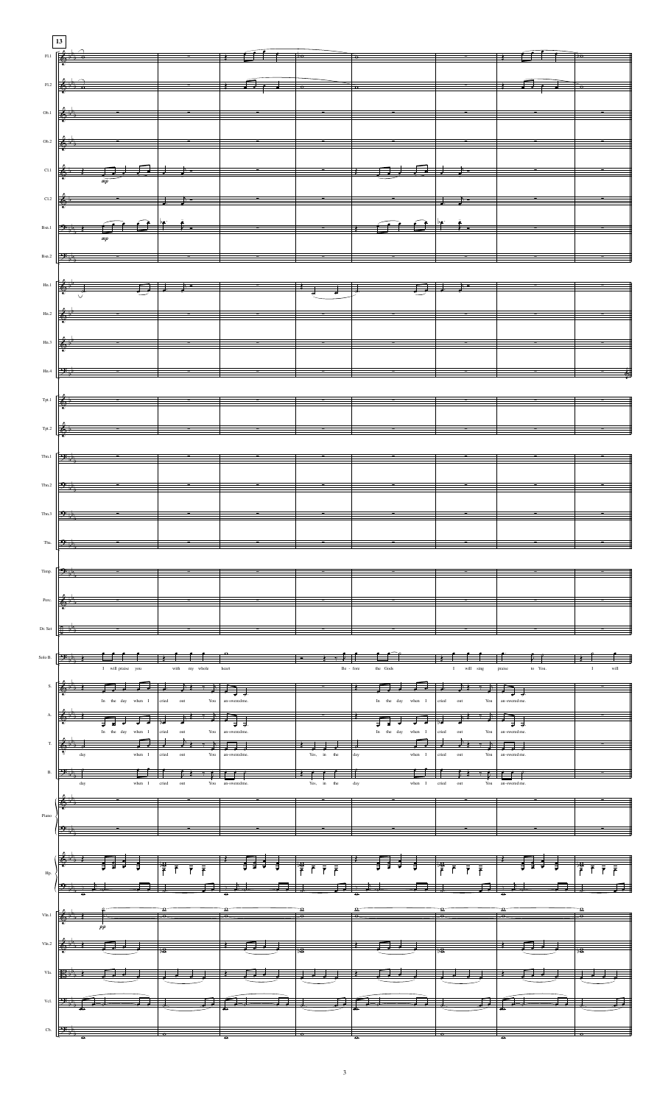|                       | 13                                                                   |                                                                      |                                                                                                       |                                                                |                          |                                                         |                                                                    |                                                   |                                                                                                                                                                                                                                                                                                                                                                                                                                      |
|-----------------------|----------------------------------------------------------------------|----------------------------------------------------------------------|-------------------------------------------------------------------------------------------------------|----------------------------------------------------------------|--------------------------|---------------------------------------------------------|--------------------------------------------------------------------|---------------------------------------------------|--------------------------------------------------------------------------------------------------------------------------------------------------------------------------------------------------------------------------------------------------------------------------------------------------------------------------------------------------------------------------------------------------------------------------------------|
|                       | FI.1 $\overline{\mathbb{R}}$                                         |                                                                      |                                                                                                       |                                                                |                          |                                                         |                                                                    |                                                   |                                                                                                                                                                                                                                                                                                                                                                                                                                      |
|                       | F1.2                                                                 |                                                                      |                                                                                                       |                                                                |                          |                                                         |                                                                    |                                                   |                                                                                                                                                                                                                                                                                                                                                                                                                                      |
|                       |                                                                      |                                                                      |                                                                                                       |                                                                |                          |                                                         |                                                                    |                                                   |                                                                                                                                                                                                                                                                                                                                                                                                                                      |
|                       | $06.1$ $\frac{2}{9}$                                                 |                                                                      |                                                                                                       |                                                                |                          |                                                         |                                                                    |                                                   |                                                                                                                                                                                                                                                                                                                                                                                                                                      |
|                       | $0b.2$ $\frac{1}{2}$                                                 |                                                                      |                                                                                                       |                                                                |                          |                                                         |                                                                    |                                                   |                                                                                                                                                                                                                                                                                                                                                                                                                                      |
|                       |                                                                      |                                                                      |                                                                                                       |                                                                |                          |                                                         |                                                                    |                                                   |                                                                                                                                                                                                                                                                                                                                                                                                                                      |
|                       | C1.1                                                                 | $\frac{1}{mp}$                                                       |                                                                                                       |                                                                |                          |                                                         |                                                                    |                                                   |                                                                                                                                                                                                                                                                                                                                                                                                                                      |
|                       | $C1.2$ $\frac{2}{3}$                                                 |                                                                      |                                                                                                       |                                                                |                          | $\equiv$                                                |                                                                    |                                                   |                                                                                                                                                                                                                                                                                                                                                                                                                                      |
|                       |                                                                      |                                                                      |                                                                                                       |                                                                |                          |                                                         |                                                                    |                                                   |                                                                                                                                                                                                                                                                                                                                                                                                                                      |
|                       | Bsn.1 $\frac{1}{p}$ $\frac{1}{p}$ $\frac{1}{p}$ $\frac{1}{mp}$       | ఆ                                                                    |                                                                                                       |                                                                | $\overline{\phantom{a}}$ |                                                         |                                                                    |                                                   |                                                                                                                                                                                                                                                                                                                                                                                                                                      |
|                       | $B\sin 2\theta$                                                      |                                                                      |                                                                                                       |                                                                |                          |                                                         |                                                                    |                                                   |                                                                                                                                                                                                                                                                                                                                                                                                                                      |
|                       |                                                                      |                                                                      |                                                                                                       |                                                                |                          |                                                         |                                                                    |                                                   |                                                                                                                                                                                                                                                                                                                                                                                                                                      |
|                       | $\frac{Hn.1}{100}$                                                   |                                                                      |                                                                                                       |                                                                |                          |                                                         |                                                                    |                                                   |                                                                                                                                                                                                                                                                                                                                                                                                                                      |
|                       |                                                                      |                                                                      |                                                                                                       |                                                                |                          |                                                         |                                                                    |                                                   |                                                                                                                                                                                                                                                                                                                                                                                                                                      |
|                       | $\frac{Hn.2}{9}$                                                     |                                                                      |                                                                                                       |                                                                |                          |                                                         |                                                                    |                                                   |                                                                                                                                                                                                                                                                                                                                                                                                                                      |
|                       | $\frac{Hn.3}{\frac{1}{2}}$                                           |                                                                      |                                                                                                       |                                                                |                          |                                                         |                                                                    |                                                   |                                                                                                                                                                                                                                                                                                                                                                                                                                      |
|                       |                                                                      |                                                                      |                                                                                                       |                                                                |                          |                                                         |                                                                    |                                                   |                                                                                                                                                                                                                                                                                                                                                                                                                                      |
| Hn.4                  | $\mathbf{P}$                                                         |                                                                      |                                                                                                       |                                                                |                          |                                                         |                                                                    |                                                   |                                                                                                                                                                                                                                                                                                                                                                                                                                      |
|                       | $T_{\text{pt.1}}$                                                    |                                                                      |                                                                                                       |                                                                |                          |                                                         |                                                                    |                                                   |                                                                                                                                                                                                                                                                                                                                                                                                                                      |
|                       |                                                                      |                                                                      |                                                                                                       |                                                                |                          |                                                         |                                                                    |                                                   |                                                                                                                                                                                                                                                                                                                                                                                                                                      |
|                       | Tpt.2                                                                |                                                                      |                                                                                                       |                                                                |                          |                                                         |                                                                    |                                                   |                                                                                                                                                                                                                                                                                                                                                                                                                                      |
| $_{\rm Tbn.l}$        | ジャ                                                                   |                                                                      |                                                                                                       |                                                                |                          |                                                         |                                                                    |                                                   |                                                                                                                                                                                                                                                                                                                                                                                                                                      |
| $_{\rm Tbn.2}$        |                                                                      |                                                                      |                                                                                                       |                                                                |                          |                                                         |                                                                    |                                                   |                                                                                                                                                                                                                                                                                                                                                                                                                                      |
|                       | $\mathcal{P} \mathbb{P}_0$                                           |                                                                      |                                                                                                       |                                                                |                          |                                                         |                                                                    |                                                   |                                                                                                                                                                                                                                                                                                                                                                                                                                      |
| Tbn.3                 | $\mathbf{P}$                                                         |                                                                      |                                                                                                       |                                                                |                          |                                                         |                                                                    |                                                   |                                                                                                                                                                                                                                                                                                                                                                                                                                      |
|                       |                                                                      |                                                                      |                                                                                                       |                                                                |                          |                                                         |                                                                    |                                                   |                                                                                                                                                                                                                                                                                                                                                                                                                                      |
|                       |                                                                      |                                                                      |                                                                                                       |                                                                |                          |                                                         |                                                                    |                                                   |                                                                                                                                                                                                                                                                                                                                                                                                                                      |
| Timp.                 |                                                                      |                                                                      |                                                                                                       |                                                                |                          |                                                         |                                                                    |                                                   |                                                                                                                                                                                                                                                                                                                                                                                                                                      |
| Perc.                 | $\bigcirc$                                                           |                                                                      |                                                                                                       |                                                                |                          |                                                         |                                                                    |                                                   |                                                                                                                                                                                                                                                                                                                                                                                                                                      |
|                       |                                                                      |                                                                      |                                                                                                       |                                                                |                          |                                                         |                                                                    |                                                   |                                                                                                                                                                                                                                                                                                                                                                                                                                      |
| Dr. Set               |                                                                      |                                                                      |                                                                                                       |                                                                |                          |                                                         |                                                                    |                                                   |                                                                                                                                                                                                                                                                                                                                                                                                                                      |
| Solo B.               | $\mathbb{P}$ in the $\mathbb{R}$                                     |                                                                      |                                                                                                       |                                                                |                          |                                                         |                                                                    |                                                   |                                                                                                                                                                                                                                                                                                                                                                                                                                      |
|                       |                                                                      | I will praise you                                                    | $% \left\vert \mathbf{v}_{i}\right\rangle \left\vert \mathbf{v}_{i}\right\rangle$ with<br>whole<br>my |                                                                | $Be - fore$              | the Gods                                                | $_{\rm will}$                                                      | praise<br>to You                                  |                                                                                                                                                                                                                                                                                                                                                                                                                                      |
|                       | $\frac{1}{6}$                                                        | In the day<br>when I                                                 | You<br>cried                                                                                          | an-sweredme.                                                   |                          | when I                                                  | You<br>cried<br>out                                                | an-swered me.                                     |                                                                                                                                                                                                                                                                                                                                                                                                                                      |
| А.                    | $\bullet$ if $\overline{\bullet}$                                    |                                                                      |                                                                                                       |                                                                |                          |                                                         |                                                                    |                                                   |                                                                                                                                                                                                                                                                                                                                                                                                                                      |
|                       |                                                                      | In the day when I                                                    | cried                                                                                                 | ╤<br>an-sweredme                                               |                          | Ţ<br>In the day<br>when I                               |                                                                    | ╤╤<br>an-swered me                                |                                                                                                                                                                                                                                                                                                                                                                                                                                      |
| $\mathbf{T}_{\gamma}$ | $\frac{1}{2}$                                                        | when $I$                                                             |                                                                                                       |                                                                | Yes, in<br>the           | when                                                    | You                                                                | an-swered me                                      |                                                                                                                                                                                                                                                                                                                                                                                                                                      |
|                       | $B = \boxed{2 + b_0}$                                                |                                                                      |                                                                                                       |                                                                |                          |                                                         |                                                                    |                                                   |                                                                                                                                                                                                                                                                                                                                                                                                                                      |
|                       |                                                                      | when                                                                 |                                                                                                       |                                                                |                          |                                                         |                                                                    |                                                   |                                                                                                                                                                                                                                                                                                                                                                                                                                      |
| Piano                 | $6^{3}$                                                              |                                                                      |                                                                                                       |                                                                |                          |                                                         |                                                                    |                                                   |                                                                                                                                                                                                                                                                                                                                                                                                                                      |
|                       |                                                                      |                                                                      |                                                                                                       |                                                                |                          |                                                         |                                                                    |                                                   |                                                                                                                                                                                                                                                                                                                                                                                                                                      |
|                       |                                                                      |                                                                      |                                                                                                       |                                                                |                          |                                                         |                                                                    |                                                   |                                                                                                                                                                                                                                                                                                                                                                                                                                      |
| Hp.                   |                                                                      |                                                                      |                                                                                                       |                                                                |                          |                                                         |                                                                    |                                                   | $\begin{array}{ c c c c c }\hline \rule{0pt}{3ex} \frac{1}{\sqrt{2}} & \frac{1}{\sqrt{2}} & \frac{1}{\sqrt{2}} & \frac{1}{\sqrt{2}} \\ \hline \rule{0pt}{3ex} & \frac{1}{\sqrt{2}} & \frac{1}{\sqrt{2}} & \frac{1}{\sqrt{2}} & \frac{1}{\sqrt{2}} \\ \hline \rule{0pt}{3ex} & \frac{1}{\sqrt{2}} & \frac{1}{\sqrt{2}} & \frac{1}{\sqrt{2}} & \frac{1}{\sqrt{2}} \\ \hline \rule{0pt}{3ex} & \frac{1}{\sqrt{2}} & \frac{1}{\sqrt{2}}$ |
|                       |                                                                      |                                                                      |                                                                                                       |                                                                |                          | $\rightarrow$ $\rightarrow$ $\rightarrow$ $\rightarrow$ |                                                                    | $\frac{1}{2}$                                     | $\sqrt{2}$                                                                                                                                                                                                                                                                                                                                                                                                                           |
|                       |                                                                      |                                                                      |                                                                                                       |                                                                |                          | $\frac{a}{a}$                                           | $\frac{a}{\vert a \vert}$                                          |                                                   |                                                                                                                                                                                                                                                                                                                                                                                                                                      |
|                       | $\frac{\text{VIn.1}}{\text{O}}$                                      | $\begin{array}{c c}\n\cdot & \Delta & \Delta \\ \hline\n\end{array}$ |                                                                                                       | $\frac{a}{\cdot}$                                              | $\frac{1}{\sqrt{2}}$     |                                                         |                                                                    |                                                   | $\bullet$                                                                                                                                                                                                                                                                                                                                                                                                                            |
|                       | $V\ln 2$ $\left(\frac{b}{2}b^2\right)$ $\left(\frac{b}{2}c^2\right)$ |                                                                      | $\frac{1}{18}$                                                                                        | $\mathbf{R}$ $\mathbf{L}$                                      | $\frac{1}{2}$            | $\Box$                                                  | $\frac{\overline{\phantom{m}}}{\overline{\phantom{m}}\phantom{m}}$ | $\mathbf{R}$ . The set of $\mathbf{R}$            |                                                                                                                                                                                                                                                                                                                                                                                                                                      |
|                       |                                                                      |                                                                      |                                                                                                       |                                                                |                          |                                                         |                                                                    |                                                   |                                                                                                                                                                                                                                                                                                                                                                                                                                      |
|                       |                                                                      |                                                                      |                                                                                                       | Vio <b>18</b> 53 3 4 5 6 7 1 1 2 3 3 4 5 6 7 2 2 3 3 3 4 5 7 2 |                          |                                                         |                                                                    | $\sqrt{2}$ , $\sqrt{2}$ , $\sqrt{2}$ , $\sqrt{2}$ |                                                                                                                                                                                                                                                                                                                                                                                                                                      |
|                       | $Vcl.$ $\left \frac{2\mathbf{i}+\mathbf{j}}{\mathbf{j}}\right $      |                                                                      | $\Box$ $\Box$                                                                                         |                                                                |                          |                                                         |                                                                    |                                                   | $\mathcal{L}$                                                                                                                                                                                                                                                                                                                                                                                                                        |
|                       | $\alpha$ $\boxed{2+}$                                                |                                                                      |                                                                                                       |                                                                |                          |                                                         |                                                                    |                                                   |                                                                                                                                                                                                                                                                                                                                                                                                                                      |
|                       |                                                                      |                                                                      |                                                                                                       |                                                                |                          |                                                         |                                                                    |                                                   |                                                                                                                                                                                                                                                                                                                                                                                                                                      |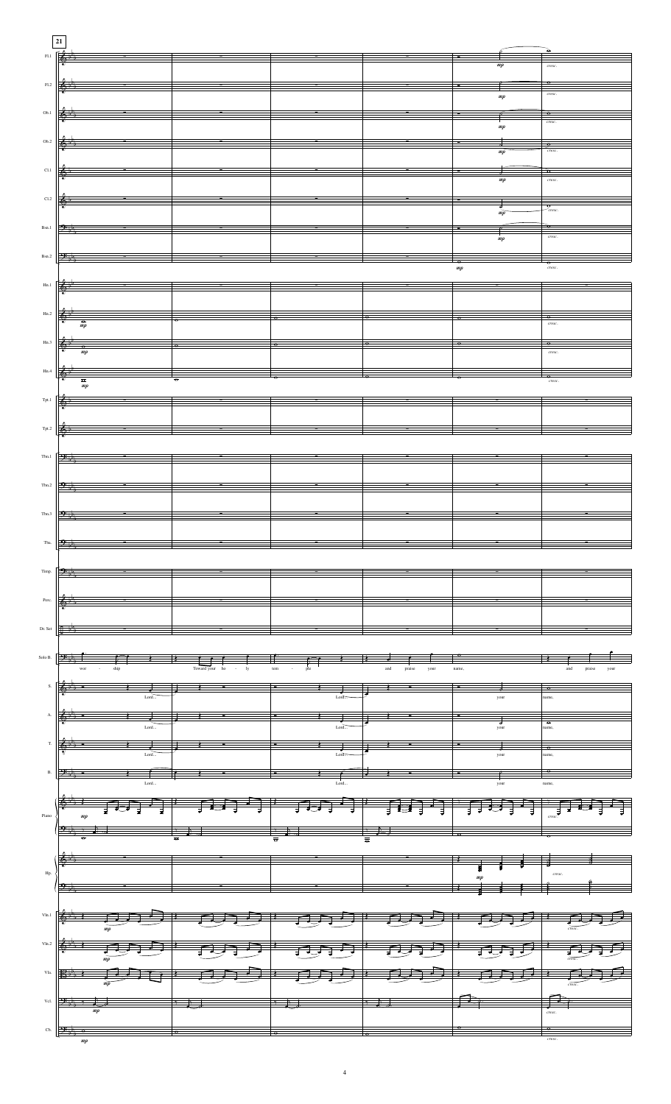|                                    | ${\bf 21}$ |                                                                                                                                                                                                                                                                                                                                                                                                                                                                                                                              |                     |                                                                                                                                                                                                                          |                          |                          |                               |
|------------------------------------|------------|------------------------------------------------------------------------------------------------------------------------------------------------------------------------------------------------------------------------------------------------------------------------------------------------------------------------------------------------------------------------------------------------------------------------------------------------------------------------------------------------------------------------------|---------------------|--------------------------------------------------------------------------------------------------------------------------------------------------------------------------------------------------------------------------|--------------------------|--------------------------|-------------------------------|
| $\rm{F}l.l$                        |            |                                                                                                                                                                                                                                                                                                                                                                                                                                                                                                                              |                     |                                                                                                                                                                                                                          |                          | $_{mp}$                  | cresc                         |
|                                    |            |                                                                                                                                                                                                                                                                                                                                                                                                                                                                                                                              |                     |                                                                                                                                                                                                                          |                          |                          |                               |
| $\mathsf{F} \mathsf{L} \mathsf{2}$ |            |                                                                                                                                                                                                                                                                                                                                                                                                                                                                                                                              |                     |                                                                                                                                                                                                                          |                          | mp                       | cresc                         |
| $_{\rm Ob.1}$                      |            |                                                                                                                                                                                                                                                                                                                                                                                                                                                                                                                              |                     |                                                                                                                                                                                                                          |                          |                          | $\overline{\mathbf{r}}$       |
|                                    |            |                                                                                                                                                                                                                                                                                                                                                                                                                                                                                                                              |                     |                                                                                                                                                                                                                          |                          | mp                       | cresc                         |
| Ob.2                               |            |                                                                                                                                                                                                                                                                                                                                                                                                                                                                                                                              |                     |                                                                                                                                                                                                                          |                          |                          | $\mathbf{r}$<br>cresc.        |
|                                    |            |                                                                                                                                                                                                                                                                                                                                                                                                                                                                                                                              |                     |                                                                                                                                                                                                                          |                          | mp                       |                               |
| $\rm C1.1$                         |            |                                                                                                                                                                                                                                                                                                                                                                                                                                                                                                                              |                     |                                                                                                                                                                                                                          |                          | mp                       | cresc.                        |
| $\operatorname{Cl}{.2}$            |            |                                                                                                                                                                                                                                                                                                                                                                                                                                                                                                                              |                     |                                                                                                                                                                                                                          |                          |                          |                               |
|                                    | ♦          |                                                                                                                                                                                                                                                                                                                                                                                                                                                                                                                              |                     |                                                                                                                                                                                                                          |                          |                          | $\overline{\sigma}$<br>cresc. |
| $_{\rm Bsn.l}$                     |            | $\mathbf{P}$                                                                                                                                                                                                                                                                                                                                                                                                                                                                                                                 |                     |                                                                                                                                                                                                                          |                          |                          |                               |
|                                    |            |                                                                                                                                                                                                                                                                                                                                                                                                                                                                                                                              |                     |                                                                                                                                                                                                                          |                          | mp                       |                               |
| $_{\rm Bsn.2}$                     |            | 9: ⊵                                                                                                                                                                                                                                                                                                                                                                                                                                                                                                                         |                     |                                                                                                                                                                                                                          |                          |                          |                               |
|                                    |            |                                                                                                                                                                                                                                                                                                                                                                                                                                                                                                                              |                     |                                                                                                                                                                                                                          |                          | $\boldsymbol{m}$         | cresc                         |
| $_{\rm Hn.l}$                      |            |                                                                                                                                                                                                                                                                                                                                                                                                                                                                                                                              |                     |                                                                                                                                                                                                                          |                          |                          |                               |
| $_{\rm Hn.2}$                      |            |                                                                                                                                                                                                                                                                                                                                                                                                                                                                                                                              |                     |                                                                                                                                                                                                                          |                          |                          |                               |
|                                    |            | 停                                                                                                                                                                                                                                                                                                                                                                                                                                                                                                                            |                     |                                                                                                                                                                                                                          |                          |                          | cresc                         |
|                                    |            | Hn.3 $\frac{2}{\frac{6}{\pi}} \frac{b}{\frac{6}{\pi}}$                                                                                                                                                                                                                                                                                                                                                                                                                                                                       |                     |                                                                                                                                                                                                                          |                          |                          |                               |
|                                    |            |                                                                                                                                                                                                                                                                                                                                                                                                                                                                                                                              |                     |                                                                                                                                                                                                                          |                          |                          | cresc.                        |
|                                    |            | $\begin{picture}(180,10) \put(0,0){\line(1,0){10}} \put(10,0){\line(1,0){10}} \put(10,0){\line(1,0){10}} \put(10,0){\line(1,0){10}} \put(10,0){\line(1,0){10}} \put(10,0){\line(1,0){10}} \put(10,0){\line(1,0){10}} \put(10,0){\line(1,0){10}} \put(10,0){\line(1,0){10}} \put(10,0){\line(1,0){10}} \put(10,0){\line(1,0){10}} \put(10,0){\line($                                                                                                                                                                          | $\overline{\sigma}$ |                                                                                                                                                                                                                          |                          |                          | cresc.                        |
|                                    |            |                                                                                                                                                                                                                                                                                                                                                                                                                                                                                                                              |                     |                                                                                                                                                                                                                          |                          |                          |                               |
| Tpt.1                              |            |                                                                                                                                                                                                                                                                                                                                                                                                                                                                                                                              |                     |                                                                                                                                                                                                                          |                          |                          |                               |
| $\operatorname{Tpt.2}$             |            |                                                                                                                                                                                                                                                                                                                                                                                                                                                                                                                              |                     |                                                                                                                                                                                                                          |                          |                          |                               |
|                                    |            |                                                                                                                                                                                                                                                                                                                                                                                                                                                                                                                              |                     |                                                                                                                                                                                                                          |                          |                          |                               |
| Tbn.1                              |            |                                                                                                                                                                                                                                                                                                                                                                                                                                                                                                                              |                     |                                                                                                                                                                                                                          |                          |                          |                               |
|                                    |            |                                                                                                                                                                                                                                                                                                                                                                                                                                                                                                                              |                     |                                                                                                                                                                                                                          |                          |                          |                               |
| Tbn.2                              |            |                                                                                                                                                                                                                                                                                                                                                                                                                                                                                                                              |                     |                                                                                                                                                                                                                          |                          |                          |                               |
| Tbn.3                              |            | $\mathcal{F}_{\mathcal{L}}$                                                                                                                                                                                                                                                                                                                                                                                                                                                                                                  |                     |                                                                                                                                                                                                                          |                          |                          |                               |
|                                    |            |                                                                                                                                                                                                                                                                                                                                                                                                                                                                                                                              |                     |                                                                                                                                                                                                                          |                          |                          |                               |
| Tba.                               |            | سينز                                                                                                                                                                                                                                                                                                                                                                                                                                                                                                                         |                     |                                                                                                                                                                                                                          |                          |                          |                               |
|                                    |            |                                                                                                                                                                                                                                                                                                                                                                                                                                                                                                                              |                     |                                                                                                                                                                                                                          |                          |                          |                               |
| Timp.                              |            |                                                                                                                                                                                                                                                                                                                                                                                                                                                                                                                              |                     |                                                                                                                                                                                                                          |                          |                          |                               |
| Perc.                              |            | $\bullet$ <sup>,</sup>                                                                                                                                                                                                                                                                                                                                                                                                                                                                                                       |                     |                                                                                                                                                                                                                          |                          |                          |                               |
|                                    |            |                                                                                                                                                                                                                                                                                                                                                                                                                                                                                                                              |                     |                                                                                                                                                                                                                          |                          |                          |                               |
| Dr. Set $\frac{1}{2}$              |            |                                                                                                                                                                                                                                                                                                                                                                                                                                                                                                                              |                     |                                                                                                                                                                                                                          |                          |                          |                               |
|                                    |            |                                                                                                                                                                                                                                                                                                                                                                                                                                                                                                                              |                     |                                                                                                                                                                                                                          |                          |                          |                               |
| Solo B.                            |            | $\left[2\frac{1}{2}\right]$                                                                                                                                                                                                                                                                                                                                                                                                                                                                                                  |                     |                                                                                                                                                                                                                          | $\overline{\mathcal{B}}$ |                          |                               |
|                                    |            | $s = \frac{1}{2}$                                                                                                                                                                                                                                                                                                                                                                                                                                                                                                            |                     |                                                                                                                                                                                                                          |                          |                          |                               |
|                                    |            | $\frac{1}{\sqrt{1-\frac{1}{2}}\sqrt{1-\frac{1}{2}}\sqrt{1-\frac{1}{2}}\sqrt{1-\frac{1}{2}}\sqrt{1-\frac{1}{2}}\sqrt{1-\frac{1}{2}}\sqrt{1-\frac{1}{2}}\sqrt{1-\frac{1}{2}}\sqrt{1-\frac{1}{2}}\sqrt{1-\frac{1}{2}}\sqrt{1-\frac{1}{2}}\sqrt{1-\frac{1}{2}}\sqrt{1-\frac{1}{2}}\sqrt{1-\frac{1}{2}}\sqrt{1-\frac{1}{2}}\sqrt{1-\frac{1}{2}}\sqrt{1-\frac{1}{2}}\sqrt{1-\frac{1}{2}}\sqrt{1-\frac{1}{2}}\sqrt{1-\frac$                                                                                                         |                     | Lord.                                                                                                                                                                                                                    |                          |                          | ame                           |
|                                    |            | $A = \sqrt{65}$                                                                                                                                                                                                                                                                                                                                                                                                                                                                                                              |                     | Lord                                                                                                                                                                                                                     |                          | ₹                        | ٠                             |
|                                    |            | Lord                                                                                                                                                                                                                                                                                                                                                                                                                                                                                                                         |                     |                                                                                                                                                                                                                          |                          | your                     | iame,                         |
|                                    |            | T<br>$\frac{1}{\text{Lord}}$                                                                                                                                                                                                                                                                                                                                                                                                                                                                                                 |                     | $\frac{1}{\text{Lord}}$                                                                                                                                                                                                  |                          | vour                     | name,                         |
|                                    |            | $\begin{array}{c}\n\bullet \\ \bullet \\ \downarrow\n\end{array}$<br><sup>B.</sup> $\mathcal{P}_{\mathfrak{p}}$                                                                                                                                                                                                                                                                                                                                                                                                              |                     | $\begin{array}{c c c c} \hline \textbf{1} & \textbf{2} & \textbf{3} & \textbf{4} \\ \hline \textbf{2} & \textbf{3} & \textbf{4} & \textbf{5} \\ \textbf{3} & \textbf{5} & \textbf{6} & \textbf{7} \\ \hline \end{array}$ |                          |                          |                               |
|                                    |            |                                                                                                                                                                                                                                                                                                                                                                                                                                                                                                                              |                     |                                                                                                                                                                                                                          |                          |                          | name                          |
|                                    |            | $\frac{1}{2}$                                                                                                                                                                                                                                                                                                                                                                                                                                                                                                                |                     | <u>ل (عدارً إلى الحينة , أن الحقة , أن لاحنة , أن لاحق</u>                                                                                                                                                               |                          |                          |                               |
| $\rm{Piano}$                       |            |                                                                                                                                                                                                                                                                                                                                                                                                                                                                                                                              |                     |                                                                                                                                                                                                                          |                          |                          |                               |
|                                    |            | $\frac{9!}{9!}$ $\frac{9}{9}$ $\frac{1}{9}$ $\frac{3}{9}$                                                                                                                                                                                                                                                                                                                                                                                                                                                                    |                     |                                                                                                                                                                                                                          |                          |                          |                               |
|                                    |            |                                                                                                                                                                                                                                                                                                                                                                                                                                                                                                                              |                     |                                                                                                                                                                                                                          |                          |                          |                               |
| Hp.                                |            |                                                                                                                                                                                                                                                                                                                                                                                                                                                                                                                              |                     |                                                                                                                                                                                                                          |                          | $\overline{\phantom{a}}$ | cresc.                        |
|                                    |            | י ≎                                                                                                                                                                                                                                                                                                                                                                                                                                                                                                                          |                     |                                                                                                                                                                                                                          |                          |                          |                               |
|                                    |            |                                                                                                                                                                                                                                                                                                                                                                                                                                                                                                                              |                     |                                                                                                                                                                                                                          |                          |                          |                               |
|                                    |            |                                                                                                                                                                                                                                                                                                                                                                                                                                                                                                                              |                     |                                                                                                                                                                                                                          |                          |                          |                               |
|                                    |            | ang pang pang pang pang pang                                                                                                                                                                                                                                                                                                                                                                                                                                                                                                 |                     |                                                                                                                                                                                                                          |                          |                          |                               |
|                                    |            |                                                                                                                                                                                                                                                                                                                                                                                                                                                                                                                              |                     |                                                                                                                                                                                                                          |                          |                          |                               |
|                                    |            | $\text{where} \quad \text{and} \quad \text{or} \quad \text{or} \quad \text{or} \quad \text{or} \quad \text{or} \quad \text{or} \quad \text{or} \quad \text{or} \quad \text{or} \quad \text{or} \quad \text{or} \quad \text{or} \quad \text{or} \quad \text{or} \quad \text{or} \quad \text{or} \quad \text{or} \quad \text{or} \quad \text{or} \quad \text{or} \quad \text{or} \quad \text{or} \quad \text{or} \quad \text{or} \quad \text{or} \quad \text{or} \quad \text{or} \quad \text{or} \quad \text{or} \quad \text{$ |                     |                                                                                                                                                                                                                          |                          |                          |                               |
|                                    |            |                                                                                                                                                                                                                                                                                                                                                                                                                                                                                                                              |                     |                                                                                                                                                                                                                          |                          |                          |                               |
|                                    |            | $\mathbb{P}^1$ $\mathbb{P}^1$ $\mathbb{P}^2$ $\mathbb{P}^1$ $\mathbb{P}^2$ $\mathbb{P}^1$<br>mp                                                                                                                                                                                                                                                                                                                                                                                                                              |                     |                                                                                                                                                                                                                          |                          |                          | ≢                             |
| Cb.                                |            |                                                                                                                                                                                                                                                                                                                                                                                                                                                                                                                              |                     |                                                                                                                                                                                                                          |                          | $\mathbf{\sigma}$        | ÷                             |
|                                    |            | $_{mp}$                                                                                                                                                                                                                                                                                                                                                                                                                                                                                                                      |                     |                                                                                                                                                                                                                          |                          |                          | cresc.                        |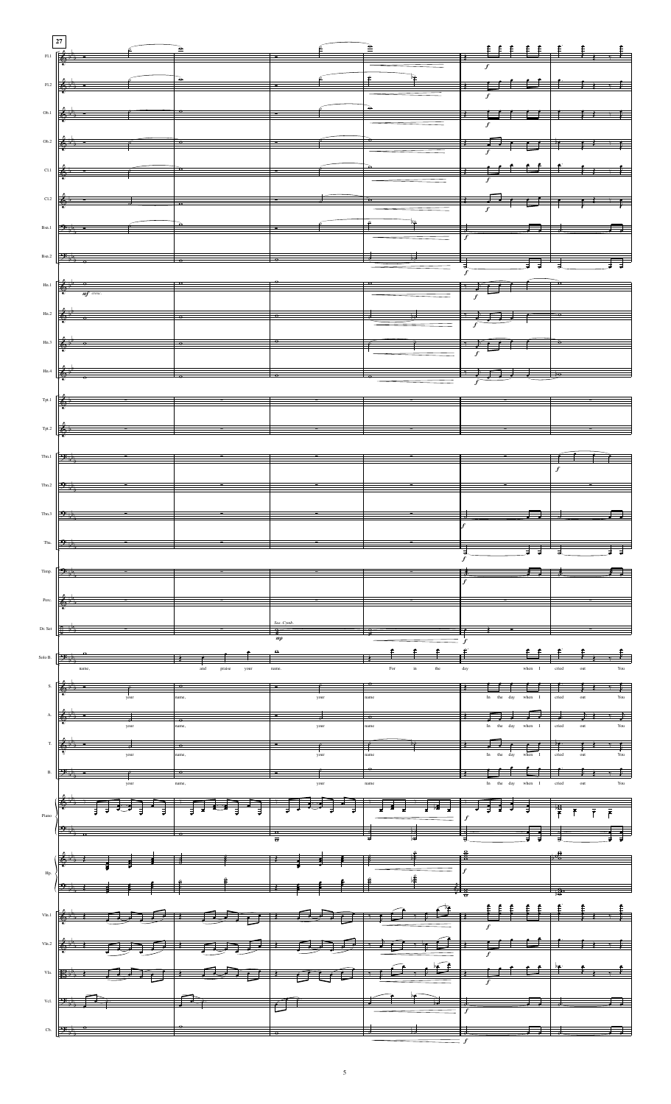|                                                                      | 27                            | $F1.1$ $\left(\frac{1}{2} + \frac{1}{2}\right)$                                               |      |                                    |                          |                                                                                                                                                                                                                                                                                                                                                                                                                      | $\begin{tabular}{ c c c c c c c c c } \hline & $ \quad \text{F} & $\quad \text{F} & $\quad \text{F} & $\quad \text{F} & $\quad \text{F} & $\quad \text{F} & $\quad \text{F} & $\quad \text{F} & $\quad \text{F} & $\quad \text{F} & $\quad \text{F} & $\quad \text{F} & $\quad \text{F} & $\quad \text{F} & $\quad \text{F} & $\quad \text{F} & $\quad \text{F} & $\quad \text{F} & $\quad \text{F} & $\quad \text{F} & $\quad \text{F} & $\quad \text{F} & $\quad \text{F} & $\quad \text{$ |                                                   |
|----------------------------------------------------------------------|-------------------------------|-----------------------------------------------------------------------------------------------|------|------------------------------------|--------------------------|----------------------------------------------------------------------------------------------------------------------------------------------------------------------------------------------------------------------------------------------------------------------------------------------------------------------------------------------------------------------------------------------------------------------|----------------------------------------------------------------------------------------------------------------------------------------------------------------------------------------------------------------------------------------------------------------------------------------------------------------------------------------------------------------------------------------------------------------------------------------------------------------------------------------------|---------------------------------------------------|
|                                                                      |                               |                                                                                               |      |                                    |                          |                                                                                                                                                                                                                                                                                                                                                                                                                      |                                                                                                                                                                                                                                                                                                                                                                                                                                                                                              |                                                   |
|                                                                      | $F1.2$ $6F1$                  |                                                                                               |      |                                    |                          | $\frac{1}{2}$                                                                                                                                                                                                                                                                                                                                                                                                        | — । ा                                                                                                                                                                                                                                                                                                                                                                                                                                                                                        | $P \rightarrow P$                                 |
| $0b.1$ $\frac{2}{9}b^2$                                              |                               |                                                                                               |      |                                    |                          |                                                                                                                                                                                                                                                                                                                                                                                                                      | $\overline{\mathbf{R}}$                                                                                                                                                                                                                                                                                                                                                                                                                                                                      |                                                   |
|                                                                      |                               |                                                                                               |      |                                    |                          |                                                                                                                                                                                                                                                                                                                                                                                                                      |                                                                                                                                                                                                                                                                                                                                                                                                                                                                                              |                                                   |
| $00.2$ $\sqrt{6}$                                                    |                               |                                                                                               |      | $\circ$                            |                          |                                                                                                                                                                                                                                                                                                                                                                                                                      | $\frac{1}{f}$                                                                                                                                                                                                                                                                                                                                                                                                                                                                                |                                                   |
| $\frac{1}{2}$                                                        |                               |                                                                                               |      |                                    |                          | $\begin{array}{c c c c c} \hline \textbf{r} & \textbf{r} & \textbf{r} \\ \hline \textbf{r} & \textbf{r} & \textbf{r} \end{array}$                                                                                                                                                                                                                                                                                    |                                                                                                                                                                                                                                                                                                                                                                                                                                                                                              | $\overrightarrow{v}$ , $\overrightarrow{v}$       |
|                                                                      |                               |                                                                                               |      |                                    |                          |                                                                                                                                                                                                                                                                                                                                                                                                                      |                                                                                                                                                                                                                                                                                                                                                                                                                                                                                              |                                                   |
|                                                                      |                               | $\frac{C1.2}{10}$                                                                             |      |                                    |                          | $\overline{\phantom{a}}$                                                                                                                                                                                                                                                                                                                                                                                             |                                                                                                                                                                                                                                                                                                                                                                                                                                                                                              |                                                   |
|                                                                      |                               | $B\$ $\left \mathbf{P}\right $                                                                |      |                                    |                          | $\frac{1}{\sqrt{1-\frac{1}{2}}\sqrt{1-\frac{1}{2}}\sqrt{1-\frac{1}{2}}\sqrt{1-\frac{1}{2}}\sqrt{1-\frac{1}{2}}\sqrt{1-\frac{1}{2}}\sqrt{1-\frac{1}{2}}\sqrt{1-\frac{1}{2}}\sqrt{1-\frac{1}{2}}\sqrt{1-\frac{1}{2}}\sqrt{1-\frac{1}{2}}\sqrt{1-\frac{1}{2}}\sqrt{1-\frac{1}{2}}\sqrt{1-\frac{1}{2}}\sqrt{1-\frac{1}{2}}\sqrt{1-\frac{1}{2}}\sqrt{1-\frac{1}{2}}\sqrt{1-\frac{1}{2}}\sqrt{1-\frac{1}{2}}\sqrt{1-\frac$ |                                                                                                                                                                                                                                                                                                                                                                                                                                                                                              | $\overline{\phantom{a}}$                          |
| $Bsn.2$ $2r$                                                         |                               |                                                                                               |      |                                    |                          |                                                                                                                                                                                                                                                                                                                                                                                                                      |                                                                                                                                                                                                                                                                                                                                                                                                                                                                                              |                                                   |
|                                                                      |                               |                                                                                               |      |                                    |                          |                                                                                                                                                                                                                                                                                                                                                                                                                      |                                                                                                                                                                                                                                                                                                                                                                                                                                                                                              | $\overline{\phantom{a}}$                          |
|                                                                      |                               | Hn.1 $\theta$ b $\theta$ mf cresc.                                                            |      |                                    |                          |                                                                                                                                                                                                                                                                                                                                                                                                                      |                                                                                                                                                                                                                                                                                                                                                                                                                                                                                              |                                                   |
| Hn.2                                                                 |                               |                                                                                               |      |                                    |                          | $\frac{1}{\sqrt{2}}$                                                                                                                                                                                                                                                                                                                                                                                                 |                                                                                                                                                                                                                                                                                                                                                                                                                                                                                              |                                                   |
|                                                                      |                               |                                                                                               |      | $\overline{\bullet}$               |                          |                                                                                                                                                                                                                                                                                                                                                                                                                      |                                                                                                                                                                                                                                                                                                                                                                                                                                                                                              | $\alpha$                                          |
| Hn.3                                                                 |                               |                                                                                               |      |                                    |                          |                                                                                                                                                                                                                                                                                                                                                                                                                      |                                                                                                                                                                                                                                                                                                                                                                                                                                                                                              |                                                   |
|                                                                      |                               | $\frac{Hn.4}{100}$                                                                            |      |                                    | $\overline{\phantom{a}}$ |                                                                                                                                                                                                                                                                                                                                                                                                                      | $\mathbb{F}$ $\sum_{i=1}^{n}$                                                                                                                                                                                                                                                                                                                                                                                                                                                                |                                                   |
| Tpt.1                                                                |                               |                                                                                               |      |                                    |                          |                                                                                                                                                                                                                                                                                                                                                                                                                      |                                                                                                                                                                                                                                                                                                                                                                                                                                                                                              |                                                   |
|                                                                      |                               |                                                                                               |      |                                    |                          |                                                                                                                                                                                                                                                                                                                                                                                                                      |                                                                                                                                                                                                                                                                                                                                                                                                                                                                                              |                                                   |
| Tpt.2                                                                |                               |                                                                                               |      |                                    |                          |                                                                                                                                                                                                                                                                                                                                                                                                                      |                                                                                                                                                                                                                                                                                                                                                                                                                                                                                              |                                                   |
| $_{\rm Tbn.l}$                                                       |                               | $2_{\rm F}$                                                                                   |      |                                    |                          |                                                                                                                                                                                                                                                                                                                                                                                                                      |                                                                                                                                                                                                                                                                                                                                                                                                                                                                                              |                                                   |
| Tbn.2                                                                |                               | ジャ                                                                                            |      |                                    |                          |                                                                                                                                                                                                                                                                                                                                                                                                                      |                                                                                                                                                                                                                                                                                                                                                                                                                                                                                              |                                                   |
|                                                                      |                               |                                                                                               |      |                                    |                          |                                                                                                                                                                                                                                                                                                                                                                                                                      |                                                                                                                                                                                                                                                                                                                                                                                                                                                                                              |                                                   |
| Tbn.3                                                                | $\frac{1}{2}$                 |                                                                                               |      |                                    |                          |                                                                                                                                                                                                                                                                                                                                                                                                                      |                                                                                                                                                                                                                                                                                                                                                                                                                                                                                              |                                                   |
|                                                                      |                               |                                                                                               |      |                                    |                          |                                                                                                                                                                                                                                                                                                                                                                                                                      |                                                                                                                                                                                                                                                                                                                                                                                                                                                                                              |                                                   |
|                                                                      |                               |                                                                                               |      |                                    |                          |                                                                                                                                                                                                                                                                                                                                                                                                                      |                                                                                                                                                                                                                                                                                                                                                                                                                                                                                              |                                                   |
|                                                                      |                               |                                                                                               |      |                                    |                          |                                                                                                                                                                                                                                                                                                                                                                                                                      |                                                                                                                                                                                                                                                                                                                                                                                                                                                                                              |                                                   |
| Timp                                                                 |                               |                                                                                               |      |                                    |                          |                                                                                                                                                                                                                                                                                                                                                                                                                      |                                                                                                                                                                                                                                                                                                                                                                                                                                                                                              |                                                   |
| Perc.                                                                |                               |                                                                                               |      |                                    |                          |                                                                                                                                                                                                                                                                                                                                                                                                                      |                                                                                                                                                                                                                                                                                                                                                                                                                                                                                              |                                                   |
|                                                                      |                               |                                                                                               |      |                                    |                          |                                                                                                                                                                                                                                                                                                                                                                                                                      |                                                                                                                                                                                                                                                                                                                                                                                                                                                                                              |                                                   |
| Dr. Set                                                              |                               |                                                                                               |      |                                    | mp                       |                                                                                                                                                                                                                                                                                                                                                                                                                      |                                                                                                                                                                                                                                                                                                                                                                                                                                                                                              |                                                   |
| Solo B.                                                              | $\mathbb{P}_{\mathbb{P}_{1}}$ |                                                                                               |      |                                    |                          |                                                                                                                                                                                                                                                                                                                                                                                                                      |                                                                                                                                                                                                                                                                                                                                                                                                                                                                                              |                                                   |
|                                                                      | $s.$ $\overline{\bullet}$     |                                                                                               |      |                                    |                          |                                                                                                                                                                                                                                                                                                                                                                                                                      |                                                                                                                                                                                                                                                                                                                                                                                                                                                                                              |                                                   |
|                                                                      |                               |                                                                                               |      |                                    |                          |                                                                                                                                                                                                                                                                                                                                                                                                                      |                                                                                                                                                                                                                                                                                                                                                                                                                                                                                              |                                                   |
|                                                                      |                               |                                                                                               |      | ame                                | your                     |                                                                                                                                                                                                                                                                                                                                                                                                                      |                                                                                                                                                                                                                                                                                                                                                                                                                                                                                              |                                                   |
|                                                                      |                               |                                                                                               | your | name                               |                          |                                                                                                                                                                                                                                                                                                                                                                                                                      |                                                                                                                                                                                                                                                                                                                                                                                                                                                                                              |                                                   |
| В.                                                                   |                               |                                                                                               |      |                                    |                          |                                                                                                                                                                                                                                                                                                                                                                                                                      |                                                                                                                                                                                                                                                                                                                                                                                                                                                                                              |                                                   |
|                                                                      |                               |                                                                                               |      |                                    |                          |                                                                                                                                                                                                                                                                                                                                                                                                                      |                                                                                                                                                                                                                                                                                                                                                                                                                                                                                              |                                                   |
| Piano                                                                |                               | $\frac{2}{3}$                                                                                 |      |                                    |                          | <u> أسمير زيرا في الإمريك الي</u>                                                                                                                                                                                                                                                                                                                                                                                    | ₹₹                                                                                                                                                                                                                                                                                                                                                                                                                                                                                           | $\frac{1}{2}$<br>$\overline{z}$<br>$\overline{r}$ |
|                                                                      |                               |                                                                                               |      |                                    |                          |                                                                                                                                                                                                                                                                                                                                                                                                                      |                                                                                                                                                                                                                                                                                                                                                                                                                                                                                              |                                                   |
|                                                                      |                               |                                                                                               |      |                                    |                          |                                                                                                                                                                                                                                                                                                                                                                                                                      |                                                                                                                                                                                                                                                                                                                                                                                                                                                                                              |                                                   |
| Hp.                                                                  |                               |                                                                                               |      |                                    |                          |                                                                                                                                                                                                                                                                                                                                                                                                                      |                                                                                                                                                                                                                                                                                                                                                                                                                                                                                              |                                                   |
|                                                                      |                               | $\mathbb{P}_{\mathbb{P}_p}$ :                                                                 |      |                                    |                          |                                                                                                                                                                                                                                                                                                                                                                                                                      |                                                                                                                                                                                                                                                                                                                                                                                                                                                                                              |                                                   |
| $Vln.1$ $\left[\begin{array}{ccc} 1 & 1 \\ 0 & 1 \end{array}\right]$ |                               |                                                                                               |      | 7.77771                            |                          | $0.77$ $1.60.07$ $1.111$                                                                                                                                                                                                                                                                                                                                                                                             |                                                                                                                                                                                                                                                                                                                                                                                                                                                                                              | <u>ste</u>                                        |
|                                                                      |                               |                                                                                               |      |                                    |                          |                                                                                                                                                                                                                                                                                                                                                                                                                      |                                                                                                                                                                                                                                                                                                                                                                                                                                                                                              |                                                   |
| $Vln.2$ $\left  \frac{1}{\sqrt{2}} \right  \frac{1}{2}$              |                               |                                                                                               | アカワー | $\overline{\mathcal{L}}$<br>$\Box$ | 7777                     | $\frac{1}{2}$ $\frac{1}{2}$ $\frac{1}{2}$ $\frac{1}{2}$ $\frac{1}{2}$ $\frac{1}{2}$ $\frac{1}{2}$ $\frac{1}{2}$ $\frac{1}{2}$ $\frac{1}{2}$                                                                                                                                                                                                                                                                          |                                                                                                                                                                                                                                                                                                                                                                                                                                                                                              | $\gamma$ $\beta$                                  |
|                                                                      |                               | Vla. $\mathbb{B}^{\flat}$<br>Г. П                                                             |      |                                    |                          |                                                                                                                                                                                                                                                                                                                                                                                                                      |                                                                                                                                                                                                                                                                                                                                                                                                                                                                                              | $\frac{p}{\sqrt{p}}$ , $\frac{p}{\sqrt{p}}$       |
|                                                                      |                               | Vcl. $\frac{1}{2}$                                                                            |      |                                    |                          |                                                                                                                                                                                                                                                                                                                                                                                                                      |                                                                                                                                                                                                                                                                                                                                                                                                                                                                                              |                                                   |
|                                                                      |                               | $\mathbb{C}_{\mathbb{D}}$ . $\boxed{\mathbf{P}_{\mathbb{D}}$ $\boxed{\mathbf{P}_{\mathbb{D}}$ |      |                                    |                          | $\overline{\phantom{a}}$<br>$\overline{\phantom{a}}$                                                                                                                                                                                                                                                                                                                                                                 | $\frac{1}{2}$                                                                                                                                                                                                                                                                                                                                                                                                                                                                                | $\sqrt{2}$ $\sqrt{2}$ $\sqrt{2}$                  |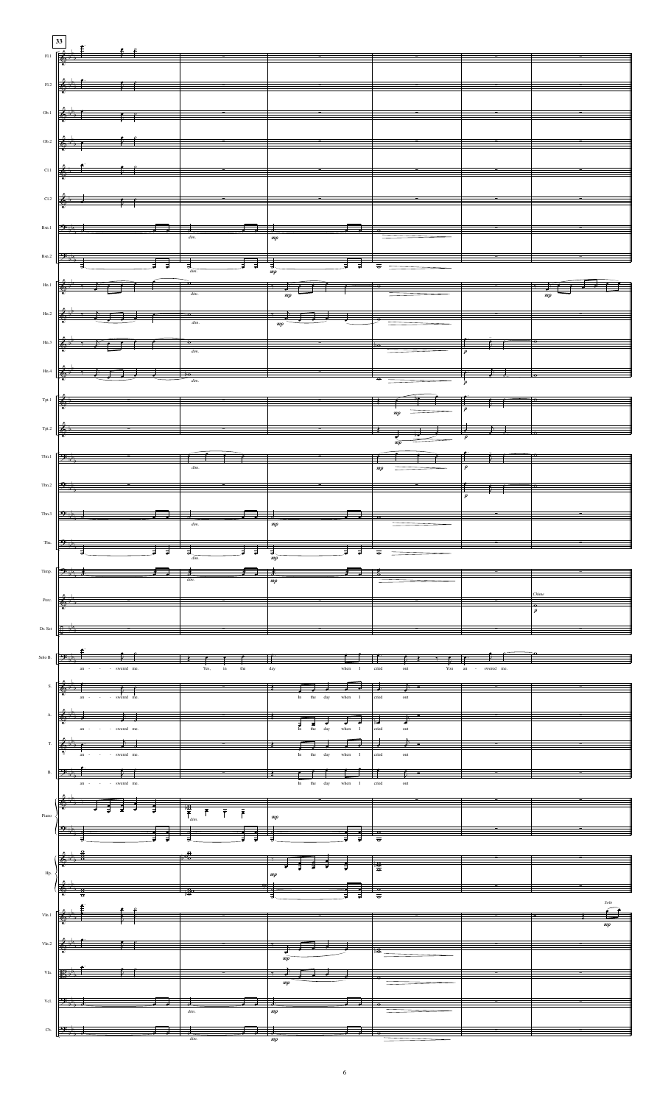|                | 33                                                                                                              |                                                                                                                                                                                                                                                                                                                     |                                                                                                                                                                                                                                                                                                                                                                                                                                                    |                                                                                                                                                                                                                                                                                                                                                                    |                                                                                                                                                                                                                                                                                                                                                                                                                                                                                                                                  |               |  |
|----------------|-----------------------------------------------------------------------------------------------------------------|---------------------------------------------------------------------------------------------------------------------------------------------------------------------------------------------------------------------------------------------------------------------------------------------------------------------|----------------------------------------------------------------------------------------------------------------------------------------------------------------------------------------------------------------------------------------------------------------------------------------------------------------------------------------------------------------------------------------------------------------------------------------------------|--------------------------------------------------------------------------------------------------------------------------------------------------------------------------------------------------------------------------------------------------------------------------------------------------------------------------------------------------------------------|----------------------------------------------------------------------------------------------------------------------------------------------------------------------------------------------------------------------------------------------------------------------------------------------------------------------------------------------------------------------------------------------------------------------------------------------------------------------------------------------------------------------------------|---------------|--|
|                | $F1.1$ $63$                                                                                                     |                                                                                                                                                                                                                                                                                                                     |                                                                                                                                                                                                                                                                                                                                                                                                                                                    |                                                                                                                                                                                                                                                                                                                                                                    |                                                                                                                                                                                                                                                                                                                                                                                                                                                                                                                                  |               |  |
|                |                                                                                                                 |                                                                                                                                                                                                                                                                                                                     |                                                                                                                                                                                                                                                                                                                                                                                                                                                    |                                                                                                                                                                                                                                                                                                                                                                    |                                                                                                                                                                                                                                                                                                                                                                                                                                                                                                                                  |               |  |
|                | $F1.2$ $8F1$                                                                                                    |                                                                                                                                                                                                                                                                                                                     |                                                                                                                                                                                                                                                                                                                                                                                                                                                    |                                                                                                                                                                                                                                                                                                                                                                    |                                                                                                                                                                                                                                                                                                                                                                                                                                                                                                                                  |               |  |
|                |                                                                                                                 |                                                                                                                                                                                                                                                                                                                     |                                                                                                                                                                                                                                                                                                                                                                                                                                                    |                                                                                                                                                                                                                                                                                                                                                                    |                                                                                                                                                                                                                                                                                                                                                                                                                                                                                                                                  |               |  |
|                | O(b.1)                                                                                                          |                                                                                                                                                                                                                                                                                                                     |                                                                                                                                                                                                                                                                                                                                                                                                                                                    |                                                                                                                                                                                                                                                                                                                                                                    |                                                                                                                                                                                                                                                                                                                                                                                                                                                                                                                                  |               |  |
|                |                                                                                                                 |                                                                                                                                                                                                                                                                                                                     | <u> The Communication of the Communication of the Communication of the Communication of the Communication of the Communication of the Communication of the Communication of the Communication of the Communication of the Commun</u>                                                                                                                                                                                                               |                                                                                                                                                                                                                                                                                                                                                                    |                                                                                                                                                                                                                                                                                                                                                                                                                                                                                                                                  |               |  |
|                | $rac{1}{2}$ $rac{1}{2}$ $rac{1}{2}$ $rac{1}{2}$ $rac{1}{2}$ $rac{1}{2}$ $rac{1}{2}$                             |                                                                                                                                                                                                                                                                                                                     |                                                                                                                                                                                                                                                                                                                                                                                                                                                    |                                                                                                                                                                                                                                                                                                                                                                    |                                                                                                                                                                                                                                                                                                                                                                                                                                                                                                                                  |               |  |
|                |                                                                                                                 | $\frac{1}{2}$ $\frac{1}{2}$ $\frac{1}{2}$ $\frac{1}{2}$ $\frac{1}{2}$ $\frac{1}{2}$ $\frac{1}{2}$ $\frac{1}{2}$ $\frac{1}{2}$ $\frac{1}{2}$ $\frac{1}{2}$ $\frac{1}{2}$ $\frac{1}{2}$ $\frac{1}{2}$ $\frac{1}{2}$ $\frac{1}{2}$ $\frac{1}{2}$ $\frac{1}{2}$ $\frac{1}{2}$ $\frac{1}{2}$ $\frac{1}{2}$ $\frac{1}{2}$ |                                                                                                                                                                                                                                                                                                                                                                                                                                                    |                                                                                                                                                                                                                                                                                                                                                                    |                                                                                                                                                                                                                                                                                                                                                                                                                                                                                                                                  |               |  |
|                |                                                                                                                 |                                                                                                                                                                                                                                                                                                                     |                                                                                                                                                                                                                                                                                                                                                                                                                                                    |                                                                                                                                                                                                                                                                                                                                                                    |                                                                                                                                                                                                                                                                                                                                                                                                                                                                                                                                  |               |  |
|                |                                                                                                                 |                                                                                                                                                                                                                                                                                                                     |                                                                                                                                                                                                                                                                                                                                                                                                                                                    |                                                                                                                                                                                                                                                                                                                                                                    |                                                                                                                                                                                                                                                                                                                                                                                                                                                                                                                                  |               |  |
|                |                                                                                                                 |                                                                                                                                                                                                                                                                                                                     |                                                                                                                                                                                                                                                                                                                                                                                                                                                    |                                                                                                                                                                                                                                                                                                                                                                    |                                                                                                                                                                                                                                                                                                                                                                                                                                                                                                                                  |               |  |
|                |                                                                                                                 |                                                                                                                                                                                                                                                                                                                     |                                                                                                                                                                                                                                                                                                                                                                                                                                                    | Bsn.1 $\frac{1}{\sqrt{2}}$ $\frac{1}{\sqrt{2}}$ $\frac{1}{\sqrt{2}}$ $\frac{1}{\sqrt{2}}$ $\frac{1}{\sqrt{2}}$ $\frac{1}{\sqrt{2}}$ $\frac{1}{\sqrt{2}}$ $\frac{1}{\sqrt{2}}$ $\frac{1}{\sqrt{2}}$ $\frac{1}{\sqrt{2}}$ $\frac{1}{\sqrt{2}}$ $\frac{1}{\sqrt{2}}$ $\frac{1}{\sqrt{2}}$ $\frac{1}{\sqrt{2}}$ $\frac{1}{\sqrt{2}}$ $\frac{1}{\sqrt{2}}$ $\frac{1}{\$ |                                                                                                                                                                                                                                                                                                                                                                                                                                                                                                                                  |               |  |
|                |                                                                                                                 |                                                                                                                                                                                                                                                                                                                     |                                                                                                                                                                                                                                                                                                                                                                                                                                                    |                                                                                                                                                                                                                                                                                                                                                                    |                                                                                                                                                                                                                                                                                                                                                                                                                                                                                                                                  |               |  |
|                |                                                                                                                 |                                                                                                                                                                                                                                                                                                                     |                                                                                                                                                                                                                                                                                                                                                                                                                                                    | $Ban 2$ $\frac{33\frac{1}{2}\sqrt{3}}{3}$ $\frac{1}{2}$ $\frac{1}{2}$ $\frac{1}{2}$ $\frac{1}{2}$ $\frac{1}{2}$ $\frac{1}{2}$ $\frac{1}{2}$ $\frac{1}{2}$ $\frac{1}{2}$ $\frac{1}{2}$ $\frac{1}{2}$ $\frac{1}{2}$ $\frac{1}{2}$ $\frac{1}{2}$ $\frac{1}{2}$ $\frac{1}{2}$ $\frac{1}{2}$ $\frac{1}{2}$ $\frac{1}{2}$ $\$                                            |                                                                                                                                                                                                                                                                                                                                                                                                                                                                                                                                  |               |  |
|                |                                                                                                                 |                                                                                                                                                                                                                                                                                                                     |                                                                                                                                                                                                                                                                                                                                                                                                                                                    |                                                                                                                                                                                                                                                                                                                                                                    |                                                                                                                                                                                                                                                                                                                                                                                                                                                                                                                                  |               |  |
|                |                                                                                                                 |                                                                                                                                                                                                                                                                                                                     | Hall $\left[\begin{array}{c c c c c} \mathbf{g}_{\text{b}} & \mathbf{g}_{\text{b}} & \mathbf{g}_{\text{b}} & \mathbf{g}_{\text{b}} & \mathbf{g}_{\text{b}} & \mathbf{g}_{\text{b}} & \mathbf{g}_{\text{b}} & \mathbf{g}_{\text{b}} & \mathbf{g}_{\text{b}} & \mathbf{g}_{\text{b}} & \mathbf{g}_{\text{b}} & \mathbf{g}_{\text{b}} & \mathbf{g}_{\text{b}} & \mathbf{g}_{\text{b}} & \mathbf{g}_{\text{b}} & \mathbf{g}_{\text{b}} & \mathbf{g}_{$ |                                                                                                                                                                                                                                                                                                                                                                    |                                                                                                                                                                                                                                                                                                                                                                                                                                                                                                                                  |               |  |
|                |                                                                                                                 |                                                                                                                                                                                                                                                                                                                     |                                                                                                                                                                                                                                                                                                                                                                                                                                                    | $\frac{1}{2}$ $\frac{1}{2}$ $\frac{1}{2}$ $\frac{1}{2}$ $\frac{1}{2}$ $\frac{1}{2}$ $\frac{1}{2}$ $\frac{1}{2}$ $\frac{1}{2}$ $\frac{1}{2}$ $\frac{1}{2}$ $\frac{1}{2}$ $\frac{1}{2}$ $\frac{1}{2}$ $\frac{1}{2}$ $\frac{1}{2}$ $\frac{1}{2}$ $\frac{1}{2}$ $\frac{1}{2}$ $\frac{1}{2}$ $\frac{1}{2}$ $\frac{1}{2}$                                                | $\overline{\phantom{a}}$                                                                                                                                                                                                                                                                                                                                                                                                                                                                                                         |               |  |
|                |                                                                                                                 |                                                                                                                                                                                                                                                                                                                     |                                                                                                                                                                                                                                                                                                                                                                                                                                                    |                                                                                                                                                                                                                                                                                                                                                                    |                                                                                                                                                                                                                                                                                                                                                                                                                                                                                                                                  |               |  |
|                |                                                                                                                 |                                                                                                                                                                                                                                                                                                                     |                                                                                                                                                                                                                                                                                                                                                                                                                                                    | $\frac{1}{10^{-3}}$ and $\frac{1}{20}$ and $\frac{1}{20}$ and $\frac{1}{40}$ and $\frac{1}{40}$ and $\frac{1}{40}$ and $\frac{1}{20}$ and $\frac{1}{20}$ and $\frac{1}{20}$ and $\frac{1}{20}$ and $\frac{1}{20}$ and $\frac{1}{20}$ and $\frac{1}{20}$ and $\frac{1}{20}$ and $\frac{1}{20}$                                                                      |                                                                                                                                                                                                                                                                                                                                                                                                                                                                                                                                  |               |  |
|                |                                                                                                                 |                                                                                                                                                                                                                                                                                                                     |                                                                                                                                                                                                                                                                                                                                                                                                                                                    |                                                                                                                                                                                                                                                                                                                                                                    |                                                                                                                                                                                                                                                                                                                                                                                                                                                                                                                                  |               |  |
|                |                                                                                                                 |                                                                                                                                                                                                                                                                                                                     |                                                                                                                                                                                                                                                                                                                                                                                                                                                    |                                                                                                                                                                                                                                                                                                                                                                    |                                                                                                                                                                                                                                                                                                                                                                                                                                                                                                                                  |               |  |
|                |                                                                                                                 |                                                                                                                                                                                                                                                                                                                     |                                                                                                                                                                                                                                                                                                                                                                                                                                                    |                                                                                                                                                                                                                                                                                                                                                                    |                                                                                                                                                                                                                                                                                                                                                                                                                                                                                                                                  |               |  |
|                | Tpt.1                                                                                                           |                                                                                                                                                                                                                                                                                                                     |                                                                                                                                                                                                                                                                                                                                                                                                                                                    |                                                                                                                                                                                                                                                                                                                                                                    |                                                                                                                                                                                                                                                                                                                                                                                                                                                                                                                                  |               |  |
|                |                                                                                                                 |                                                                                                                                                                                                                                                                                                                     |                                                                                                                                                                                                                                                                                                                                                                                                                                                    |                                                                                                                                                                                                                                                                                                                                                                    |                                                                                                                                                                                                                                                                                                                                                                                                                                                                                                                                  |               |  |
|                | Tpt.2                                                                                                           |                                                                                                                                                                                                                                                                                                                     |                                                                                                                                                                                                                                                                                                                                                                                                                                                    |                                                                                                                                                                                                                                                                                                                                                                    | $\frac{1}{\sqrt{1-\frac{1}{\sqrt{1-\frac{1}{\sqrt{1-\frac{1}{\sqrt{1-\frac{1}{\sqrt{1-\frac{1}{\sqrt{1-\frac{1}{\sqrt{1-\frac{1}{\sqrt{1-\frac{1}{\sqrt{1-\frac{1}{\sqrt{1-\frac{1}{\sqrt{1-\frac{1}{\sqrt{1-\frac{1}{\sqrt{1-\frac{1}{\sqrt{1-\frac{1}{\sqrt{1-\frac{1}{\sqrt{1-\frac{1}{\sqrt{1-\frac{1}{\sqrt{1-\frac{1}{\sqrt{1-\frac{1}{\sqrt{1-\frac{1}{\sqrt{1-\frac{1}{\sqrt{1-\frac{1}{\sqrt{1-\frac{1}{\sqrt{1-\frac{1$                                                                                                |               |  |
| $_{\rm Tbn.l}$ | $\mathcal{P}_{\mathbb{P}_p}$                                                                                    |                                                                                                                                                                                                                                                                                                                     |                                                                                                                                                                                                                                                                                                                                                                                                                                                    |                                                                                                                                                                                                                                                                                                                                                                    |                                                                                                                                                                                                                                                                                                                                                                                                                                                                                                                                  |               |  |
|                |                                                                                                                 |                                                                                                                                                                                                                                                                                                                     | $\begin{array}{c c}\n\hline\n\end{array}$ dim.                                                                                                                                                                                                                                                                                                                                                                                                     |                                                                                                                                                                                                                                                                                                                                                                    | $\begin{array}{ c c c c c c c c } \hline \rule{0mm}{12mm} & \quad & \quad & \quad & \quad & \quad & \quad & \quad \\ \hline \rule{0mm}{2mm} & \quad & \quad & \quad & \quad & \quad & \quad & \quad & \quad \\ \hline \rule{0mm}{2mm} & \quad & \quad & \quad & \quad & \quad & \quad & \quad & \quad & \quad \\ \hline \rule{0mm}{2mm} & \quad & \quad & \quad & \quad & \quad & \quad & \quad & \quad & \quad \\ \hline \rule{0mm}{2mm} & \quad & \quad & \quad & \quad & \quad & \quad & \quad & \quad & \quad & \quad \\ \h$ |               |  |
| Tbn.2          | $\mathcal{P} \mathcal{P}$                                                                                       |                                                                                                                                                                                                                                                                                                                     |                                                                                                                                                                                                                                                                                                                                                                                                                                                    |                                                                                                                                                                                                                                                                                                                                                                    |                                                                                                                                                                                                                                                                                                                                                                                                                                                                                                                                  | $\frac{1}{p}$ |  |
|                |                                                                                                                 |                                                                                                                                                                                                                                                                                                                     |                                                                                                                                                                                                                                                                                                                                                                                                                                                    |                                                                                                                                                                                                                                                                                                                                                                    |                                                                                                                                                                                                                                                                                                                                                                                                                                                                                                                                  |               |  |
|                | Tbn.3 $\left \frac{\partial^2 \phi}{\partial \phi} \right _2$                                                   |                                                                                                                                                                                                                                                                                                                     |                                                                                                                                                                                                                                                                                                                                                                                                                                                    | $\sqrt{2}$ , $\sqrt{2}$ , $\sqrt{2}$ , $\sqrt{2}$ , $\sqrt{2}$                                                                                                                                                                                                                                                                                                     |                                                                                                                                                                                                                                                                                                                                                                                                                                                                                                                                  |               |  |
|                |                                                                                                                 |                                                                                                                                                                                                                                                                                                                     |                                                                                                                                                                                                                                                                                                                                                                                                                                                    |                                                                                                                                                                                                                                                                                                                                                                    |                                                                                                                                                                                                                                                                                                                                                                                                                                                                                                                                  |               |  |
|                |                                                                                                                 |                                                                                                                                                                                                                                                                                                                     | Ŧ                                                                                                                                                                                                                                                                                                                                                                                                                                                  | ŧ                                                                                                                                                                                                                                                                                                                                                                  |                                                                                                                                                                                                                                                                                                                                                                                                                                                                                                                                  |               |  |
| Timp.          |                                                                                                                 |                                                                                                                                                                                                                                                                                                                     |                                                                                                                                                                                                                                                                                                                                                                                                                                                    |                                                                                                                                                                                                                                                                                                                                                                    |                                                                                                                                                                                                                                                                                                                                                                                                                                                                                                                                  |               |  |
|                |                                                                                                                 |                                                                                                                                                                                                                                                                                                                     |                                                                                                                                                                                                                                                                                                                                                                                                                                                    | mp                                                                                                                                                                                                                                                                                                                                                                 |                                                                                                                                                                                                                                                                                                                                                                                                                                                                                                                                  |               |  |
| Perc.          |                                                                                                                 |                                                                                                                                                                                                                                                                                                                     |                                                                                                                                                                                                                                                                                                                                                                                                                                                    |                                                                                                                                                                                                                                                                                                                                                                    |                                                                                                                                                                                                                                                                                                                                                                                                                                                                                                                                  |               |  |
|                |                                                                                                                 |                                                                                                                                                                                                                                                                                                                     |                                                                                                                                                                                                                                                                                                                                                                                                                                                    |                                                                                                                                                                                                                                                                                                                                                                    |                                                                                                                                                                                                                                                                                                                                                                                                                                                                                                                                  |               |  |
| Dr. Set        |                                                                                                                 |                                                                                                                                                                                                                                                                                                                     |                                                                                                                                                                                                                                                                                                                                                                                                                                                    |                                                                                                                                                                                                                                                                                                                                                                    |                                                                                                                                                                                                                                                                                                                                                                                                                                                                                                                                  |               |  |
|                |                                                                                                                 |                                                                                                                                                                                                                                                                                                                     |                                                                                                                                                                                                                                                                                                                                                                                                                                                    |                                                                                                                                                                                                                                                                                                                                                                    |                                                                                                                                                                                                                                                                                                                                                                                                                                                                                                                                  |               |  |
|                |                                                                                                                 |                                                                                                                                                                                                                                                                                                                     |                                                                                                                                                                                                                                                                                                                                                                                                                                                    |                                                                                                                                                                                                                                                                                                                                                                    |                                                                                                                                                                                                                                                                                                                                                                                                                                                                                                                                  |               |  |
|                | $\mathbb{P}_{\mathbb{P}}$                                                                                       |                                                                                                                                                                                                                                                                                                                     |                                                                                                                                                                                                                                                                                                                                                                                                                                                    |                                                                                                                                                                                                                                                                                                                                                                    |                                                                                                                                                                                                                                                                                                                                                                                                                                                                                                                                  |               |  |
| Solo B.        |                                                                                                                 |                                                                                                                                                                                                                                                                                                                     |                                                                                                                                                                                                                                                                                                                                                                                                                                                    |                                                                                                                                                                                                                                                                                                                                                                    |                                                                                                                                                                                                                                                                                                                                                                                                                                                                                                                                  |               |  |
|                | $\frac{1}{6}$                                                                                                   |                                                                                                                                                                                                                                                                                                                     |                                                                                                                                                                                                                                                                                                                                                                                                                                                    |                                                                                                                                                                                                                                                                                                                                                                    |                                                                                                                                                                                                                                                                                                                                                                                                                                                                                                                                  |               |  |
|                |                                                                                                                 |                                                                                                                                                                                                                                                                                                                     |                                                                                                                                                                                                                                                                                                                                                                                                                                                    |                                                                                                                                                                                                                                                                                                                                                                    |                                                                                                                                                                                                                                                                                                                                                                                                                                                                                                                                  |               |  |
| A.             |                                                                                                                 |                                                                                                                                                                                                                                                                                                                     |                                                                                                                                                                                                                                                                                                                                                                                                                                                    | $\frac{1}{\frac{1}{n}}$<br>$\frac{1}{\frac{1}{\text{day}}}$                                                                                                                                                                                                                                                                                                        |                                                                                                                                                                                                                                                                                                                                                                                                                                                                                                                                  |               |  |
|                |                                                                                                                 |                                                                                                                                                                                                                                                                                                                     |                                                                                                                                                                                                                                                                                                                                                                                                                                                    |                                                                                                                                                                                                                                                                                                                                                                    |                                                                                                                                                                                                                                                                                                                                                                                                                                                                                                                                  |               |  |
|                | $\frac{1}{6}$                                                                                                   |                                                                                                                                                                                                                                                                                                                     |                                                                                                                                                                                                                                                                                                                                                                                                                                                    |                                                                                                                                                                                                                                                                                                                                                                    |                                                                                                                                                                                                                                                                                                                                                                                                                                                                                                                                  |               |  |
|                | $\mathbb{E} \left[ \frac{\partial \mathbf{r}}{\partial y} \right]$                                              |                                                                                                                                                                                                                                                                                                                     |                                                                                                                                                                                                                                                                                                                                                                                                                                                    |                                                                                                                                                                                                                                                                                                                                                                    |                                                                                                                                                                                                                                                                                                                                                                                                                                                                                                                                  |               |  |
|                |                                                                                                                 |                                                                                                                                                                                                                                                                                                                     |                                                                                                                                                                                                                                                                                                                                                                                                                                                    |                                                                                                                                                                                                                                                                                                                                                                    |                                                                                                                                                                                                                                                                                                                                                                                                                                                                                                                                  |               |  |
|                | $\frac{6}{3}$                                                                                                   |                                                                                                                                                                                                                                                                                                                     |                                                                                                                                                                                                                                                                                                                                                                                                                                                    |                                                                                                                                                                                                                                                                                                                                                                    |                                                                                                                                                                                                                                                                                                                                                                                                                                                                                                                                  |               |  |
|                |                                                                                                                 |                                                                                                                                                                                                                                                                                                                     | $\begin{array}{ c c c c }\n\hline\n\frac{18}{7} & \overline{7} & \overline{7} \\ \hline\n\end{array}$                                                                                                                                                                                                                                                                                                                                              |                                                                                                                                                                                                                                                                                                                                                                    |                                                                                                                                                                                                                                                                                                                                                                                                                                                                                                                                  |               |  |
|                |                                                                                                                 |                                                                                                                                                                                                                                                                                                                     |                                                                                                                                                                                                                                                                                                                                                                                                                                                    |                                                                                                                                                                                                                                                                                                                                                                    |                                                                                                                                                                                                                                                                                                                                                                                                                                                                                                                                  |               |  |
|                |                                                                                                                 |                                                                                                                                                                                                                                                                                                                     |                                                                                                                                                                                                                                                                                                                                                                                                                                                    |                                                                                                                                                                                                                                                                                                                                                                    |                                                                                                                                                                                                                                                                                                                                                                                                                                                                                                                                  |               |  |
| Hp.            |                                                                                                                 |                                                                                                                                                                                                                                                                                                                     |                                                                                                                                                                                                                                                                                                                                                                                                                                                    | $\overline{\cdot}$ ;                                                                                                                                                                                                                                                                                                                                               |                                                                                                                                                                                                                                                                                                                                                                                                                                                                                                                                  |               |  |
|                |                                                                                                                 |                                                                                                                                                                                                                                                                                                                     |                                                                                                                                                                                                                                                                                                                                                                                                                                                    |                                                                                                                                                                                                                                                                                                                                                                    |                                                                                                                                                                                                                                                                                                                                                                                                                                                                                                                                  |               |  |
|                |                                                                                                                 |                                                                                                                                                                                                                                                                                                                     |                                                                                                                                                                                                                                                                                                                                                                                                                                                    |                                                                                                                                                                                                                                                                                                                                                                    |                                                                                                                                                                                                                                                                                                                                                                                                                                                                                                                                  |               |  |
|                | $Vln.1$ $\left  \frac{1}{\left  \left  \frac{1}{\left  \left  \left  \right  \right } \right } \right  \right $ |                                                                                                                                                                                                                                                                                                                     |                                                                                                                                                                                                                                                                                                                                                                                                                                                    |                                                                                                                                                                                                                                                                                                                                                                    |                                                                                                                                                                                                                                                                                                                                                                                                                                                                                                                                  |               |  |
|                |                                                                                                                 |                                                                                                                                                                                                                                                                                                                     |                                                                                                                                                                                                                                                                                                                                                                                                                                                    |                                                                                                                                                                                                                                                                                                                                                                    |                                                                                                                                                                                                                                                                                                                                                                                                                                                                                                                                  |               |  |
| $_{\rm Vln.2}$ | $6^{p}$                                                                                                         |                                                                                                                                                                                                                                                                                                                     |                                                                                                                                                                                                                                                                                                                                                                                                                                                    | →                                                                                                                                                                                                                                                                                                                                                                  |                                                                                                                                                                                                                                                                                                                                                                                                                                                                                                                                  |               |  |
|                |                                                                                                                 |                                                                                                                                                                                                                                                                                                                     |                                                                                                                                                                                                                                                                                                                                                                                                                                                    | mp                                                                                                                                                                                                                                                                                                                                                                 |                                                                                                                                                                                                                                                                                                                                                                                                                                                                                                                                  |               |  |
| Piano          | V1a.                                                                                                            |                                                                                                                                                                                                                                                                                                                     |                                                                                                                                                                                                                                                                                                                                                                                                                                                    | mp                                                                                                                                                                                                                                                                                                                                                                 |                                                                                                                                                                                                                                                                                                                                                                                                                                                                                                                                  |               |  |
| Vcl.           |                                                                                                                 |                                                                                                                                                                                                                                                                                                                     |                                                                                                                                                                                                                                                                                                                                                                                                                                                    |                                                                                                                                                                                                                                                                                                                                                                    |                                                                                                                                                                                                                                                                                                                                                                                                                                                                                                                                  |               |  |
|                | ジャ                                                                                                              |                                                                                                                                                                                                                                                                                                                     | dim.                                                                                                                                                                                                                                                                                                                                                                                                                                               | $\mathfrak{m}p$                                                                                                                                                                                                                                                                                                                                                    |                                                                                                                                                                                                                                                                                                                                                                                                                                                                                                                                  |               |  |
| $\mathrm{Cb.}$ | $\mathbf{P}$                                                                                                    |                                                                                                                                                                                                                                                                                                                     |                                                                                                                                                                                                                                                                                                                                                                                                                                                    | H.<br>mp                                                                                                                                                                                                                                                                                                                                                           |                                                                                                                                                                                                                                                                                                                                                                                                                                                                                                                                  |               |  |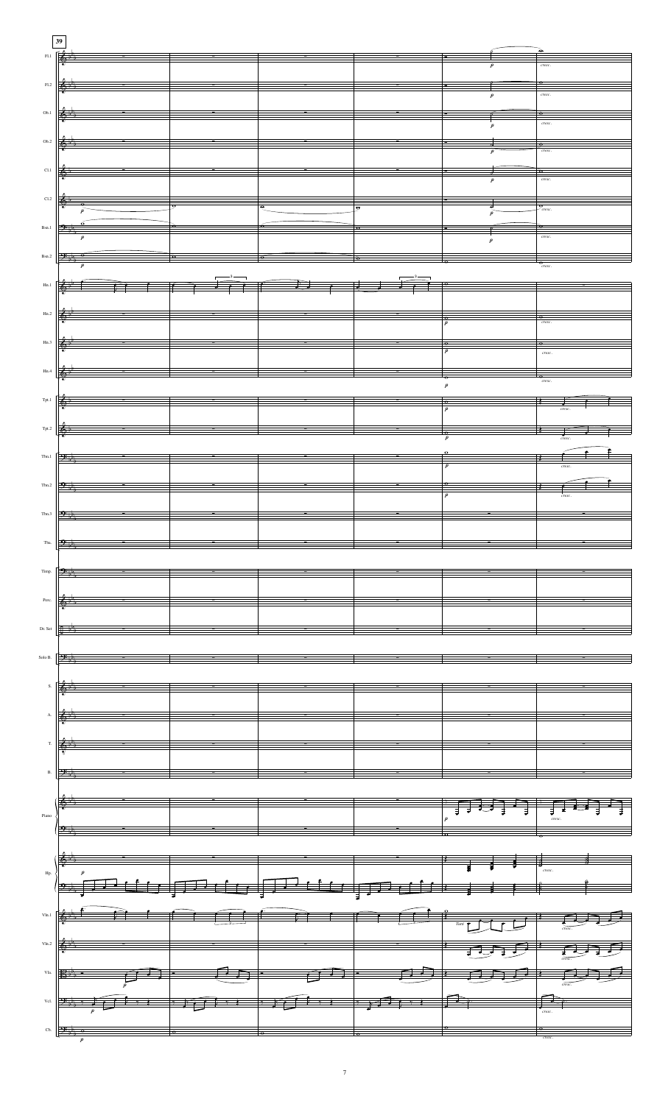| $_{\rm F1.1}$<br>$6^{3}$<br>F1.2<br>cresc.<br>$rac{1}{\sqrt{2}}$<br>$\overline{\mathbf{r}}$<br>$\overline{cresc}$ .<br>$0b.2$ $\frac{1}{2}$<br>$\frac{C1.1}{100}$<br>cresc.<br>$\begin{array}{ c c }\n\hline\n\text{C12}\n\hline\n\text{A1}\n\hline\n\text{A2}\n\hline\n\text{B1}\n\hline\n\text{A1}\n\hline\n\text{A2}\n\hline\n\text{A1}\n\hline\n\text{A2}\n\hline\n\text{A1}\n\hline\n\text{A2}\n\hline\n\hline\n\text{A1}\n\hline\n\text{A2}\n\hline\n\hline\n\text{A1}\n\hline\n\hline\n\text{A2}\n\hline\n\hline\n\text{A3}\n\hline\n\hline\n\text{A4}\n\hline\n\hline\n\text{$<br>$\frac{\sigma}{\text{cresc.}}$<br>$\sigma$<br>Bsn.1 $\theta$<br>$\overline{\mathbf{r}}$<br>$rac{•}{\text{cresc}}$<br>$Bsn.2$ $\left[\frac{1}{\sqrt{2}}\right]$ $\frac{1}{\sqrt{p}}$<br>$\overline{\phantom{a}}$<br>$\frac{Hn.1}{2}$<br>$\frac{Hn.2}{100}$<br>$\bullet$<br>cresc<br>$\frac{Hn.3}{100}$<br>$\overline{\bullet}$<br>cresc.<br>Hn.4<br>$\boldsymbol{p}$<br>Tpt.1<br>$\circ$<br>$rac{d}{\text{cresc}}$<br>Tpt.2<br>Tbn.1<br>$\mathcal{P}$ , $\mathbb{P}_1$<br>$\frac{1}{\text{cresc.}}$<br>$_{\rm Tbn.2}$<br>$\mathcal{P}$<br>$2\frac{1}{2}$<br>Tbn.3<br>Timp.<br>$\mbox{Perc.}$<br>棒<br>Dr. Set $\frac{1}{2}$<br>$\mathbf{P}$<br>Solo B.<br>$\frac{1}{2}$ $\frac{1}{2}$<br>${\bf A}_+$<br>$\phi^*$<br>$\frac{1}{2}$<br>$B.$ $\frac{9}{2}$<br>使<br><del>नुव</del> गर्छ।<br>न्द्र स्टब्स्<br>स्टब्स्<br>$\overline{\phantom{a}}$<br>Piano<br>$\begin{array}{c c}\n\hline\n\end{array}\n\qquad \qquad \overline{\n\begin{array}{c}\n\overline{3} \\ \overline{3} \\ \overline{3} \\ \overline{3} \\ \overline{3} \\ \overline{3} \\ \overline{3} \\ \overline{3} \\ \overline{3} \\ \overline{3} \\ \overline{3} \\ \overline{3} \\ \overline{3} \\ \overline{3} \\ \overline{3} \\ \overline{3} \\ \overline{3} \\ \overline{3} \\ \overline{3} \\ \overline{3} \\ \overline{3} \\ \overline{3} \\ \overline{3} \\ \overline{3} \\ \overline{3} \\ \overline{3}$<br>₹<br>$\frac{1}{2}$ | $\frac{\text{Vln.1}}{\text{Vln.2}}$<br>$\frac{\text{V}\ln 2}{\frac{1}{2}}$<br>$\Rightarrow$<br>毛耳<br>$\overline{\phantom{a}}$<br>$V$ la. $\left \left \left \frac{1}{2}\right \right ^{p}$ =<br>€<br>ロコワト<br><u> 1 j</u><br>$rac{1}{\text{cresc.}}$<br>$\frac{\sum_{i=1}^{n} a_i}{p}$<br>$\mathcal{P}$ , $\mathcal{P}$<br>ドンロ<br>$\frac{1}{2}$ | 39 |  |  |  |  |  |       |
|--------------------------------------------------------------------------------------------------------------------------------------------------------------------------------------------------------------------------------------------------------------------------------------------------------------------------------------------------------------------------------------------------------------------------------------------------------------------------------------------------------------------------------------------------------------------------------------------------------------------------------------------------------------------------------------------------------------------------------------------------------------------------------------------------------------------------------------------------------------------------------------------------------------------------------------------------------------------------------------------------------------------------------------------------------------------------------------------------------------------------------------------------------------------------------------------------------------------------------------------------------------------------------------------------------------------------------------------------------------------------------------------------------------------------------------------------------------------------------------------------------------------------------------------------------------------------------------------------------------------------------------------------------------------------------------------------------------------------------------------------------------------------------------------------------------------------------------------------------------------------------------------------------------------------------------------------------------------------------------------|------------------------------------------------------------------------------------------------------------------------------------------------------------------------------------------------------------------------------------------------------------------------------------------------------------------------------------------------|----|--|--|--|--|--|-------|
|                                                                                                                                                                                                                                                                                                                                                                                                                                                                                                                                                                                                                                                                                                                                                                                                                                                                                                                                                                                                                                                                                                                                                                                                                                                                                                                                                                                                                                                                                                                                                                                                                                                                                                                                                                                                                                                                                                                                                                                            |                                                                                                                                                                                                                                                                                                                                                |    |  |  |  |  |  |       |
|                                                                                                                                                                                                                                                                                                                                                                                                                                                                                                                                                                                                                                                                                                                                                                                                                                                                                                                                                                                                                                                                                                                                                                                                                                                                                                                                                                                                                                                                                                                                                                                                                                                                                                                                                                                                                                                                                                                                                                                            |                                                                                                                                                                                                                                                                                                                                                |    |  |  |  |  |  |       |
|                                                                                                                                                                                                                                                                                                                                                                                                                                                                                                                                                                                                                                                                                                                                                                                                                                                                                                                                                                                                                                                                                                                                                                                                                                                                                                                                                                                                                                                                                                                                                                                                                                                                                                                                                                                                                                                                                                                                                                                            |                                                                                                                                                                                                                                                                                                                                                |    |  |  |  |  |  |       |
|                                                                                                                                                                                                                                                                                                                                                                                                                                                                                                                                                                                                                                                                                                                                                                                                                                                                                                                                                                                                                                                                                                                                                                                                                                                                                                                                                                                                                                                                                                                                                                                                                                                                                                                                                                                                                                                                                                                                                                                            |                                                                                                                                                                                                                                                                                                                                                |    |  |  |  |  |  |       |
|                                                                                                                                                                                                                                                                                                                                                                                                                                                                                                                                                                                                                                                                                                                                                                                                                                                                                                                                                                                                                                                                                                                                                                                                                                                                                                                                                                                                                                                                                                                                                                                                                                                                                                                                                                                                                                                                                                                                                                                            |                                                                                                                                                                                                                                                                                                                                                |    |  |  |  |  |  |       |
|                                                                                                                                                                                                                                                                                                                                                                                                                                                                                                                                                                                                                                                                                                                                                                                                                                                                                                                                                                                                                                                                                                                                                                                                                                                                                                                                                                                                                                                                                                                                                                                                                                                                                                                                                                                                                                                                                                                                                                                            |                                                                                                                                                                                                                                                                                                                                                |    |  |  |  |  |  |       |
|                                                                                                                                                                                                                                                                                                                                                                                                                                                                                                                                                                                                                                                                                                                                                                                                                                                                                                                                                                                                                                                                                                                                                                                                                                                                                                                                                                                                                                                                                                                                                                                                                                                                                                                                                                                                                                                                                                                                                                                            |                                                                                                                                                                                                                                                                                                                                                |    |  |  |  |  |  |       |
|                                                                                                                                                                                                                                                                                                                                                                                                                                                                                                                                                                                                                                                                                                                                                                                                                                                                                                                                                                                                                                                                                                                                                                                                                                                                                                                                                                                                                                                                                                                                                                                                                                                                                                                                                                                                                                                                                                                                                                                            |                                                                                                                                                                                                                                                                                                                                                |    |  |  |  |  |  |       |
|                                                                                                                                                                                                                                                                                                                                                                                                                                                                                                                                                                                                                                                                                                                                                                                                                                                                                                                                                                                                                                                                                                                                                                                                                                                                                                                                                                                                                                                                                                                                                                                                                                                                                                                                                                                                                                                                                                                                                                                            |                                                                                                                                                                                                                                                                                                                                                |    |  |  |  |  |  |       |
|                                                                                                                                                                                                                                                                                                                                                                                                                                                                                                                                                                                                                                                                                                                                                                                                                                                                                                                                                                                                                                                                                                                                                                                                                                                                                                                                                                                                                                                                                                                                                                                                                                                                                                                                                                                                                                                                                                                                                                                            |                                                                                                                                                                                                                                                                                                                                                |    |  |  |  |  |  |       |
|                                                                                                                                                                                                                                                                                                                                                                                                                                                                                                                                                                                                                                                                                                                                                                                                                                                                                                                                                                                                                                                                                                                                                                                                                                                                                                                                                                                                                                                                                                                                                                                                                                                                                                                                                                                                                                                                                                                                                                                            |                                                                                                                                                                                                                                                                                                                                                |    |  |  |  |  |  |       |
|                                                                                                                                                                                                                                                                                                                                                                                                                                                                                                                                                                                                                                                                                                                                                                                                                                                                                                                                                                                                                                                                                                                                                                                                                                                                                                                                                                                                                                                                                                                                                                                                                                                                                                                                                                                                                                                                                                                                                                                            |                                                                                                                                                                                                                                                                                                                                                |    |  |  |  |  |  |       |
|                                                                                                                                                                                                                                                                                                                                                                                                                                                                                                                                                                                                                                                                                                                                                                                                                                                                                                                                                                                                                                                                                                                                                                                                                                                                                                                                                                                                                                                                                                                                                                                                                                                                                                                                                                                                                                                                                                                                                                                            |                                                                                                                                                                                                                                                                                                                                                |    |  |  |  |  |  |       |
|                                                                                                                                                                                                                                                                                                                                                                                                                                                                                                                                                                                                                                                                                                                                                                                                                                                                                                                                                                                                                                                                                                                                                                                                                                                                                                                                                                                                                                                                                                                                                                                                                                                                                                                                                                                                                                                                                                                                                                                            |                                                                                                                                                                                                                                                                                                                                                |    |  |  |  |  |  |       |
|                                                                                                                                                                                                                                                                                                                                                                                                                                                                                                                                                                                                                                                                                                                                                                                                                                                                                                                                                                                                                                                                                                                                                                                                                                                                                                                                                                                                                                                                                                                                                                                                                                                                                                                                                                                                                                                                                                                                                                                            |                                                                                                                                                                                                                                                                                                                                                |    |  |  |  |  |  |       |
|                                                                                                                                                                                                                                                                                                                                                                                                                                                                                                                                                                                                                                                                                                                                                                                                                                                                                                                                                                                                                                                                                                                                                                                                                                                                                                                                                                                                                                                                                                                                                                                                                                                                                                                                                                                                                                                                                                                                                                                            |                                                                                                                                                                                                                                                                                                                                                |    |  |  |  |  |  |       |
|                                                                                                                                                                                                                                                                                                                                                                                                                                                                                                                                                                                                                                                                                                                                                                                                                                                                                                                                                                                                                                                                                                                                                                                                                                                                                                                                                                                                                                                                                                                                                                                                                                                                                                                                                                                                                                                                                                                                                                                            |                                                                                                                                                                                                                                                                                                                                                |    |  |  |  |  |  |       |
|                                                                                                                                                                                                                                                                                                                                                                                                                                                                                                                                                                                                                                                                                                                                                                                                                                                                                                                                                                                                                                                                                                                                                                                                                                                                                                                                                                                                                                                                                                                                                                                                                                                                                                                                                                                                                                                                                                                                                                                            |                                                                                                                                                                                                                                                                                                                                                |    |  |  |  |  |  |       |
|                                                                                                                                                                                                                                                                                                                                                                                                                                                                                                                                                                                                                                                                                                                                                                                                                                                                                                                                                                                                                                                                                                                                                                                                                                                                                                                                                                                                                                                                                                                                                                                                                                                                                                                                                                                                                                                                                                                                                                                            |                                                                                                                                                                                                                                                                                                                                                |    |  |  |  |  |  |       |
|                                                                                                                                                                                                                                                                                                                                                                                                                                                                                                                                                                                                                                                                                                                                                                                                                                                                                                                                                                                                                                                                                                                                                                                                                                                                                                                                                                                                                                                                                                                                                                                                                                                                                                                                                                                                                                                                                                                                                                                            |                                                                                                                                                                                                                                                                                                                                                |    |  |  |  |  |  |       |
|                                                                                                                                                                                                                                                                                                                                                                                                                                                                                                                                                                                                                                                                                                                                                                                                                                                                                                                                                                                                                                                                                                                                                                                                                                                                                                                                                                                                                                                                                                                                                                                                                                                                                                                                                                                                                                                                                                                                                                                            |                                                                                                                                                                                                                                                                                                                                                |    |  |  |  |  |  |       |
|                                                                                                                                                                                                                                                                                                                                                                                                                                                                                                                                                                                                                                                                                                                                                                                                                                                                                                                                                                                                                                                                                                                                                                                                                                                                                                                                                                                                                                                                                                                                                                                                                                                                                                                                                                                                                                                                                                                                                                                            |                                                                                                                                                                                                                                                                                                                                                |    |  |  |  |  |  |       |
|                                                                                                                                                                                                                                                                                                                                                                                                                                                                                                                                                                                                                                                                                                                                                                                                                                                                                                                                                                                                                                                                                                                                                                                                                                                                                                                                                                                                                                                                                                                                                                                                                                                                                                                                                                                                                                                                                                                                                                                            |                                                                                                                                                                                                                                                                                                                                                |    |  |  |  |  |  |       |
|                                                                                                                                                                                                                                                                                                                                                                                                                                                                                                                                                                                                                                                                                                                                                                                                                                                                                                                                                                                                                                                                                                                                                                                                                                                                                                                                                                                                                                                                                                                                                                                                                                                                                                                                                                                                                                                                                                                                                                                            |                                                                                                                                                                                                                                                                                                                                                |    |  |  |  |  |  |       |
|                                                                                                                                                                                                                                                                                                                                                                                                                                                                                                                                                                                                                                                                                                                                                                                                                                                                                                                                                                                                                                                                                                                                                                                                                                                                                                                                                                                                                                                                                                                                                                                                                                                                                                                                                                                                                                                                                                                                                                                            |                                                                                                                                                                                                                                                                                                                                                |    |  |  |  |  |  |       |
|                                                                                                                                                                                                                                                                                                                                                                                                                                                                                                                                                                                                                                                                                                                                                                                                                                                                                                                                                                                                                                                                                                                                                                                                                                                                                                                                                                                                                                                                                                                                                                                                                                                                                                                                                                                                                                                                                                                                                                                            |                                                                                                                                                                                                                                                                                                                                                |    |  |  |  |  |  |       |
|                                                                                                                                                                                                                                                                                                                                                                                                                                                                                                                                                                                                                                                                                                                                                                                                                                                                                                                                                                                                                                                                                                                                                                                                                                                                                                                                                                                                                                                                                                                                                                                                                                                                                                                                                                                                                                                                                                                                                                                            |                                                                                                                                                                                                                                                                                                                                                |    |  |  |  |  |  |       |
|                                                                                                                                                                                                                                                                                                                                                                                                                                                                                                                                                                                                                                                                                                                                                                                                                                                                                                                                                                                                                                                                                                                                                                                                                                                                                                                                                                                                                                                                                                                                                                                                                                                                                                                                                                                                                                                                                                                                                                                            |                                                                                                                                                                                                                                                                                                                                                |    |  |  |  |  |  |       |
|                                                                                                                                                                                                                                                                                                                                                                                                                                                                                                                                                                                                                                                                                                                                                                                                                                                                                                                                                                                                                                                                                                                                                                                                                                                                                                                                                                                                                                                                                                                                                                                                                                                                                                                                                                                                                                                                                                                                                                                            |                                                                                                                                                                                                                                                                                                                                                |    |  |  |  |  |  |       |
|                                                                                                                                                                                                                                                                                                                                                                                                                                                                                                                                                                                                                                                                                                                                                                                                                                                                                                                                                                                                                                                                                                                                                                                                                                                                                                                                                                                                                                                                                                                                                                                                                                                                                                                                                                                                                                                                                                                                                                                            |                                                                                                                                                                                                                                                                                                                                                |    |  |  |  |  |  | 一     |
|                                                                                                                                                                                                                                                                                                                                                                                                                                                                                                                                                                                                                                                                                                                                                                                                                                                                                                                                                                                                                                                                                                                                                                                                                                                                                                                                                                                                                                                                                                                                                                                                                                                                                                                                                                                                                                                                                                                                                                                            |                                                                                                                                                                                                                                                                                                                                                |    |  |  |  |  |  |       |
|                                                                                                                                                                                                                                                                                                                                                                                                                                                                                                                                                                                                                                                                                                                                                                                                                                                                                                                                                                                                                                                                                                                                                                                                                                                                                                                                                                                                                                                                                                                                                                                                                                                                                                                                                                                                                                                                                                                                                                                            |                                                                                                                                                                                                                                                                                                                                                |    |  |  |  |  |  |       |
|                                                                                                                                                                                                                                                                                                                                                                                                                                                                                                                                                                                                                                                                                                                                                                                                                                                                                                                                                                                                                                                                                                                                                                                                                                                                                                                                                                                                                                                                                                                                                                                                                                                                                                                                                                                                                                                                                                                                                                                            |                                                                                                                                                                                                                                                                                                                                                |    |  |  |  |  |  |       |
|                                                                                                                                                                                                                                                                                                                                                                                                                                                                                                                                                                                                                                                                                                                                                                                                                                                                                                                                                                                                                                                                                                                                                                                                                                                                                                                                                                                                                                                                                                                                                                                                                                                                                                                                                                                                                                                                                                                                                                                            |                                                                                                                                                                                                                                                                                                                                                |    |  |  |  |  |  |       |
|                                                                                                                                                                                                                                                                                                                                                                                                                                                                                                                                                                                                                                                                                                                                                                                                                                                                                                                                                                                                                                                                                                                                                                                                                                                                                                                                                                                                                                                                                                                                                                                                                                                                                                                                                                                                                                                                                                                                                                                            |                                                                                                                                                                                                                                                                                                                                                |    |  |  |  |  |  |       |
| <b>The Little</b>                                                                                                                                                                                                                                                                                                                                                                                                                                                                                                                                                                                                                                                                                                                                                                                                                                                                                                                                                                                                                                                                                                                                                                                                                                                                                                                                                                                                                                                                                                                                                                                                                                                                                                                                                                                                                                                                                                                                                                          |                                                                                                                                                                                                                                                                                                                                                |    |  |  |  |  |  |       |
|                                                                                                                                                                                                                                                                                                                                                                                                                                                                                                                                                                                                                                                                                                                                                                                                                                                                                                                                                                                                                                                                                                                                                                                                                                                                                                                                                                                                                                                                                                                                                                                                                                                                                                                                                                                                                                                                                                                                                                                            |                                                                                                                                                                                                                                                                                                                                                |    |  |  |  |  |  | 1 J J |
|                                                                                                                                                                                                                                                                                                                                                                                                                                                                                                                                                                                                                                                                                                                                                                                                                                                                                                                                                                                                                                                                                                                                                                                                                                                                                                                                                                                                                                                                                                                                                                                                                                                                                                                                                                                                                                                                                                                                                                                            |                                                                                                                                                                                                                                                                                                                                                |    |  |  |  |  |  |       |
|                                                                                                                                                                                                                                                                                                                                                                                                                                                                                                                                                                                                                                                                                                                                                                                                                                                                                                                                                                                                                                                                                                                                                                                                                                                                                                                                                                                                                                                                                                                                                                                                                                                                                                                                                                                                                                                                                                                                                                                            | $\circ$ $\frac{1}{2}$<br>o<br>$\boldsymbol{p}$                                                                                                                                                                                                                                                                                                 |    |  |  |  |  |  |       |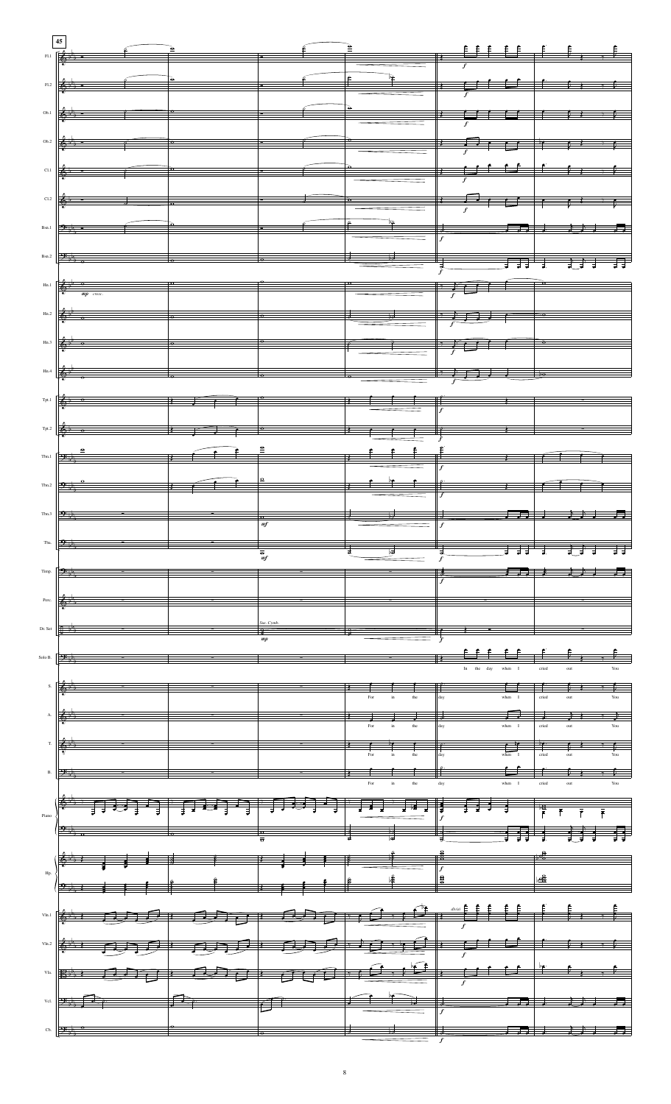|         |                                                                                                                                                                                                                                                                                                                       |                          |                          |                                                                                 | $\begin{array}{ c c c c c c c c c } \hline \multicolumn{3}{ c }{\multicolumn{3}{c }{\multicolumn{3}{c }{\multicolumn{3}{c}{\multicolumn{3}{c}{\multicolumn{3}{c}{\multicolumn{3}{c}{\multicolumn{3}{c}{\multicolumn{3}{c}{\multicolumn{3}{c}{\multicolumn{3}{c}{\multicolumn{3}{c}{\multicolumn{3}{c}{\multicolumn{3}{c}{\multicolumn{3}{c}{\multicolumn{3}{c}{\multicolumn{3}{c}{\multicolumn{3}{c}{\multicolumn{3}{c}{\multicolumn{3}{c}{\multicolumn{3}{c$ |                                                                                                                                                                                                                                                                                                                     |                                                                                                                          |  |
|---------|-----------------------------------------------------------------------------------------------------------------------------------------------------------------------------------------------------------------------------------------------------------------------------------------------------------------------|--------------------------|--------------------------|---------------------------------------------------------------------------------|---------------------------------------------------------------------------------------------------------------------------------------------------------------------------------------------------------------------------------------------------------------------------------------------------------------------------------------------------------------------------------------------------------------------------------------------------------------|---------------------------------------------------------------------------------------------------------------------------------------------------------------------------------------------------------------------------------------------------------------------------------------------------------------------|--------------------------------------------------------------------------------------------------------------------------|--|
|         |                                                                                                                                                                                                                                                                                                                       |                          |                          |                                                                                 |                                                                                                                                                                                                                                                                                                                                                                                                                                                               |                                                                                                                                                                                                                                                                                                                     |                                                                                                                          |  |
|         | $F1.2$ $\left($ $\frac{1}{2}$ $\frac{1}{2}$ $\frac{1}{2}$ $\frac{1}{2}$ $\frac{1}{2}$ $\frac{1}{2}$ $\frac{1}{2}$ $\frac{1}{2}$ $\frac{1}{2}$ $\frac{1}{2}$ $\frac{1}{2}$ $\frac{1}{2}$ $\frac{1}{2}$ $\frac{1}{2}$ $\frac{1}{2}$ $\frac{1}{2}$ $\frac{1}{2}$ $\frac{1}{2}$ $\frac{1}{2}$ $\frac{1}{2}$ $\frac{1}{2}$ |                          |                          |                                                                                 |                                                                                                                                                                                                                                                                                                                                                                                                                                                               |                                                                                                                                                                                                                                                                                                                     |                                                                                                                          |  |
|         | $^{Ob.1}$ $\frac{2}{9}$                                                                                                                                                                                                                                                                                               |                          |                          | <u> -</u>                                                                       |                                                                                                                                                                                                                                                                                                                                                                                                                                                               |                                                                                                                                                                                                                                                                                                                     |                                                                                                                          |  |
|         |                                                                                                                                                                                                                                                                                                                       |                          |                          |                                                                                 |                                                                                                                                                                                                                                                                                                                                                                                                                                                               |                                                                                                                                                                                                                                                                                                                     |                                                                                                                          |  |
|         | $0b.2$ $\left( \frac{b}{2} \right)$                                                                                                                                                                                                                                                                                   |                          | $\overline{\phantom{a}}$ |                                                                                 |                                                                                                                                                                                                                                                                                                                                                                                                                                                               | $\frac{1}{2}$ $\frac{1}{2}$ $\frac{1}{2}$ $\frac{1}{2}$ $\frac{1}{2}$ $\frac{1}{2}$ $\frac{1}{2}$ $\frac{1}{2}$ $\frac{1}{2}$ $\frac{1}{2}$ $\frac{1}{2}$ $\frac{1}{2}$ $\frac{1}{2}$ $\frac{1}{2}$ $\frac{1}{2}$ $\frac{1}{2}$ $\frac{1}{2}$ $\frac{1}{2}$ $\frac{1}{2}$ $\frac{1}{2}$ $\frac{1}{2}$ $\frac{1}{2}$ |                                                                                                                          |  |
|         | $\frac{c_{11}}{2}$ $\frac{1}{2}$                                                                                                                                                                                                                                                                                      |                          |                          | $\left  \cdot \right $                                                          |                                                                                                                                                                                                                                                                                                                                                                                                                                                               |                                                                                                                                                                                                                                                                                                                     |                                                                                                                          |  |
|         | $\frac{C1.2}{6}$                                                                                                                                                                                                                                                                                                      |                          |                          |                                                                                 |                                                                                                                                                                                                                                                                                                                                                                                                                                                               |                                                                                                                                                                                                                                                                                                                     |                                                                                                                          |  |
|         |                                                                                                                                                                                                                                                                                                                       |                          |                          |                                                                                 |                                                                                                                                                                                                                                                                                                                                                                                                                                                               |                                                                                                                                                                                                                                                                                                                     |                                                                                                                          |  |
|         | Bsn.1 $\left  \frac{\partial \mathbf{F}}{\partial p} \right _p =$                                                                                                                                                                                                                                                     |                          |                          |                                                                                 |                                                                                                                                                                                                                                                                                                                                                                                                                                                               |                                                                                                                                                                                                                                                                                                                     |                                                                                                                          |  |
|         | $Bsn.2$ $\frac{9}{b}$                                                                                                                                                                                                                                                                                                 |                          |                          |                                                                                 |                                                                                                                                                                                                                                                                                                                                                                                                                                                               |                                                                                                                                                                                                                                                                                                                     |                                                                                                                          |  |
|         |                                                                                                                                                                                                                                                                                                                       |                          |                          |                                                                                 |                                                                                                                                                                                                                                                                                                                                                                                                                                                               |                                                                                                                                                                                                                                                                                                                     |                                                                                                                          |  |
|         | $\frac{Hn.1}{\Phi}$                                                                                                                                                                                                                                                                                                   |                          |                          |                                                                                 | $\frac{1}{\sqrt{2}}$                                                                                                                                                                                                                                                                                                                                                                                                                                          |                                                                                                                                                                                                                                                                                                                     |                                                                                                                          |  |
|         | $Hn.2$ $6F$                                                                                                                                                                                                                                                                                                           |                          |                          | $\overline{\mathbf{c}}$                                                         | $\frac{1}{2}$ $\frac{1}{2}$ $\frac{1}{2}$ $\frac{1}{2}$ $\frac{1}{2}$ $\frac{1}{2}$ $\frac{1}{2}$ $\frac{1}{2}$ $\frac{1}{2}$ $\frac{1}{2}$ $\frac{1}{2}$ $\frac{1}{2}$ $\frac{1}{2}$ $\frac{1}{2}$ $\frac{1}{2}$ $\frac{1}{2}$ $\frac{1}{2}$ $\frac{1}{2}$ $\frac{1}{2}$ $\frac{1}{2}$ $\frac{1}{2}$ $\frac{1}{2}$                                                                                                                                           |                                                                                                                                                                                                                                                                                                                     |                                                                                                                          |  |
|         | $\frac{\text{Hn.3}}{100}$                                                                                                                                                                                                                                                                                             |                          | $\bullet$                |                                                                                 |                                                                                                                                                                                                                                                                                                                                                                                                                                                               |                                                                                                                                                                                                                                                                                                                     | $\overline{\mathbf{o}}$                                                                                                  |  |
|         |                                                                                                                                                                                                                                                                                                                       |                          |                          |                                                                                 |                                                                                                                                                                                                                                                                                                                                                                                                                                                               |                                                                                                                                                                                                                                                                                                                     |                                                                                                                          |  |
|         |                                                                                                                                                                                                                                                                                                                       |                          |                          |                                                                                 |                                                                                                                                                                                                                                                                                                                                                                                                                                                               |                                                                                                                                                                                                                                                                                                                     |                                                                                                                          |  |
|         | $Tpt.1$ $\phi$ $\frac{1}{2}$                                                                                                                                                                                                                                                                                          | $\overline{\phantom{a}}$ |                          |                                                                                 | $\frac{1}{2}$ $\frac{1}{2}$ $\frac{1}{2}$ $\frac{1}{2}$ $\frac{1}{2}$ $\frac{1}{2}$ $\frac{1}{2}$ $\frac{1}{2}$ $\frac{1}{2}$ $\frac{1}{2}$ $\frac{1}{2}$ $\frac{1}{2}$ $\frac{1}{2}$ $\frac{1}{2}$ $\frac{1}{2}$ $\frac{1}{2}$ $\frac{1}{2}$ $\frac{1}{2}$ $\frac{1}{2}$ $\frac{1}{2}$ $\frac{1}{2}$ $\frac{1}{2}$                                                                                                                                           |                                                                                                                                                                                                                                                                                                                     |                                                                                                                          |  |
|         |                                                                                                                                                                                                                                                                                                                       |                          |                          |                                                                                 |                                                                                                                                                                                                                                                                                                                                                                                                                                                               |                                                                                                                                                                                                                                                                                                                     |                                                                                                                          |  |
|         | $Tpt.2$ $\phi$ $\overline{\bullet}$                                                                                                                                                                                                                                                                                   |                          |                          |                                                                                 | $\frac{1}{2}$ $\frac{1}{2}$ $\frac{1}{2}$ $\frac{1}{2}$ $\frac{1}{2}$ $\frac{1}{2}$ $\frac{1}{2}$ $\frac{1}{2}$ $\frac{1}{2}$ $\frac{1}{2}$ $\frac{1}{2}$ $\frac{1}{2}$ $\frac{1}{2}$ $\frac{1}{2}$ $\frac{1}{2}$ $\frac{1}{2}$ $\frac{1}{2}$ $\frac{1}{2}$ $\frac{1}{2}$ $\frac{1}{2}$ $\frac{1}{2}$ $\frac{1}{2}$                                                                                                                                           |                                                                                                                                                                                                                                                                                                                     |                                                                                                                          |  |
|         | $T_{\text{bn.1}}$ $\left(\frac{1}{2} + \frac{1}{2}\right)$                                                                                                                                                                                                                                                            |                          |                          |                                                                                 |                                                                                                                                                                                                                                                                                                                                                                                                                                                               |                                                                                                                                                                                                                                                                                                                     |                                                                                                                          |  |
| Tbn.2   | $\mathcal{P}$                                                                                                                                                                                                                                                                                                         |                          |                          |                                                                                 |                                                                                                                                                                                                                                                                                                                                                                                                                                                               |                                                                                                                                                                                                                                                                                                                     |                                                                                                                          |  |
|         |                                                                                                                                                                                                                                                                                                                       |                          |                          |                                                                                 |                                                                                                                                                                                                                                                                                                                                                                                                                                                               |                                                                                                                                                                                                                                                                                                                     |                                                                                                                          |  |
| Tbn.3   | $\mathcal{P} \models$ ,                                                                                                                                                                                                                                                                                               |                          |                          | $\overline{\phantom{a}}$<br>m f                                                 |                                                                                                                                                                                                                                                                                                                                                                                                                                                               | 또                                                                                                                                                                                                                                                                                                                   |                                                                                                                          |  |
|         |                                                                                                                                                                                                                                                                                                                       |                          |                          |                                                                                 |                                                                                                                                                                                                                                                                                                                                                                                                                                                               |                                                                                                                                                                                                                                                                                                                     |                                                                                                                          |  |
|         |                                                                                                                                                                                                                                                                                                                       |                          |                          |                                                                                 |                                                                                                                                                                                                                                                                                                                                                                                                                                                               |                                                                                                                                                                                                                                                                                                                     |                                                                                                                          |  |
|         |                                                                                                                                                                                                                                                                                                                       |                          |                          |                                                                                 |                                                                                                                                                                                                                                                                                                                                                                                                                                                               |                                                                                                                                                                                                                                                                                                                     |                                                                                                                          |  |
|         |                                                                                                                                                                                                                                                                                                                       |                          |                          |                                                                                 |                                                                                                                                                                                                                                                                                                                                                                                                                                                               |                                                                                                                                                                                                                                                                                                                     |                                                                                                                          |  |
|         |                                                                                                                                                                                                                                                                                                                       |                          |                          |                                                                                 |                                                                                                                                                                                                                                                                                                                                                                                                                                                               |                                                                                                                                                                                                                                                                                                                     |                                                                                                                          |  |
| Dr. Set |                                                                                                                                                                                                                                                                                                                       |                          |                          |                                                                                 |                                                                                                                                                                                                                                                                                                                                                                                                                                                               |                                                                                                                                                                                                                                                                                                                     |                                                                                                                          |  |
|         |                                                                                                                                                                                                                                                                                                                       |                          |                          |                                                                                 |                                                                                                                                                                                                                                                                                                                                                                                                                                                               |                                                                                                                                                                                                                                                                                                                     |                                                                                                                          |  |
| Solo B. |                                                                                                                                                                                                                                                                                                                       |                          |                          |                                                                                 |                                                                                                                                                                                                                                                                                                                                                                                                                                                               |                                                                                                                                                                                                                                                                                                                     |                                                                                                                          |  |
|         |                                                                                                                                                                                                                                                                                                                       |                          |                          |                                                                                 |                                                                                                                                                                                                                                                                                                                                                                                                                                                               |                                                                                                                                                                                                                                                                                                                     |                                                                                                                          |  |
|         |                                                                                                                                                                                                                                                                                                                       |                          |                          |                                                                                 |                                                                                                                                                                                                                                                                                                                                                                                                                                                               |                                                                                                                                                                                                                                                                                                                     |                                                                                                                          |  |
|         |                                                                                                                                                                                                                                                                                                                       |                          |                          |                                                                                 |                                                                                                                                                                                                                                                                                                                                                                                                                                                               |                                                                                                                                                                                                                                                                                                                     |                                                                                                                          |  |
|         |                                                                                                                                                                                                                                                                                                                       |                          |                          |                                                                                 |                                                                                                                                                                                                                                                                                                                                                                                                                                                               |                                                                                                                                                                                                                                                                                                                     |                                                                                                                          |  |
|         |                                                                                                                                                                                                                                                                                                                       |                          |                          |                                                                                 |                                                                                                                                                                                                                                                                                                                                                                                                                                                               |                                                                                                                                                                                                                                                                                                                     |                                                                                                                          |  |
|         |                                                                                                                                                                                                                                                                                                                       |                          |                          |                                                                                 |                                                                                                                                                                                                                                                                                                                                                                                                                                                               |                                                                                                                                                                                                                                                                                                                     |                                                                                                                          |  |
|         |                                                                                                                                                                                                                                                                                                                       |                          |                          |                                                                                 | أَ أَنْفُلْ فَلَا يَا أَنَّى لَا وَجَانَ لَمْ أَنَّى لَا أَجَلَتْنَا إِنَّا لَا أَيُّوا لَهُ لَهُ يَ                                                                                                                                                                                                                                                                                                                                                          |                                                                                                                                                                                                                                                                                                                     | $\frac{1}{\frac{1}{\sqrt{2}}\frac{1}{\sqrt{2}}\frac{1}{\sqrt{2}}\frac{1}{\sqrt{2}}\frac{1}{\sqrt{2}}\frac{1}{\sqrt{2}}}$ |  |
|         |                                                                                                                                                                                                                                                                                                                       |                          |                          |                                                                                 |                                                                                                                                                                                                                                                                                                                                                                                                                                                               |                                                                                                                                                                                                                                                                                                                     |                                                                                                                          |  |
|         |                                                                                                                                                                                                                                                                                                                       |                          |                          |                                                                                 |                                                                                                                                                                                                                                                                                                                                                                                                                                                               |                                                                                                                                                                                                                                                                                                                     |                                                                                                                          |  |
|         |                                                                                                                                                                                                                                                                                                                       |                          |                          | $\begin{array}{c ccccc} \ast & \ast & \ast & \ast & \ast \\ \hline \end{array}$ | $\frac{\frac{1}{2} \frac{1}{2} \frac{1}{2} \frac{1}{2} \frac{1}{2} \frac{1}{2} \frac{1}{2} \frac{1}{2} \frac{1}{2} \frac{1}{2} \frac{1}{2} \frac{1}{2} \frac{1}{2} \frac{1}{2} \frac{1}{2} \frac{1}{2} \frac{1}{2} \frac{1}{2} \frac{1}{2} \frac{1}{2} \frac{1}{2} \frac{1}{2} \frac{1}{2} \frac{1}{2} \frac{1}{2} \frac{1}{2} \frac{1}{2} \frac{1}{2} \frac{1}{2} \frac{1}{2} \frac{1}{2} \$                                                                 |                                                                                                                                                                                                                                                                                                                     |                                                                                                                          |  |
|         | $2 + 3$                                                                                                                                                                                                                                                                                                               |                          |                          |                                                                                 |                                                                                                                                                                                                                                                                                                                                                                                                                                                               |                                                                                                                                                                                                                                                                                                                     |                                                                                                                          |  |
|         | $V\ln 1$ $\left[\begin{array}{ccc} \bullet & \bullet & \bullet \\ \bullet & \bullet & \bullet \end{array}\right]$                                                                                                                                                                                                     |                          |                          |                                                                                 |                                                                                                                                                                                                                                                                                                                                                                                                                                                               |                                                                                                                                                                                                                                                                                                                     |                                                                                                                          |  |
|         |                                                                                                                                                                                                                                                                                                                       |                          |                          |                                                                                 |                                                                                                                                                                                                                                                                                                                                                                                                                                                               |                                                                                                                                                                                                                                                                                                                     |                                                                                                                          |  |
|         |                                                                                                                                                                                                                                                                                                                       |                          |                          |                                                                                 | المستمسا كالكاس الكارين والكرامي الكرامية، الترامية المشاركة                                                                                                                                                                                                                                                                                                                                                                                                  |                                                                                                                                                                                                                                                                                                                     |                                                                                                                          |  |
|         |                                                                                                                                                                                                                                                                                                                       |                          |                          |                                                                                 | " BA ODI OUT ICH CHA                                                                                                                                                                                                                                                                                                                                                                                                                                          |                                                                                                                                                                                                                                                                                                                     |                                                                                                                          |  |
|         | $\mathcal{P}_{\mathcal{P}_1}$ , $\mathcal{P}_{\mathcal{P}_2}$                                                                                                                                                                                                                                                         |                          |                          |                                                                                 | $\left  \bigcap_{i=1}^n A_i \right  = \left  \bigcap_{i=1}^n A_i \right  = \left  \bigcap_{i=1}^n A_i \right  = \left  \bigcap_{i=1}^n A_i \right  = \left  \bigcap_{i=1}^n A_i \right  = \left  \bigcap_{i=1}^n A_i \right  = \left  \bigcap_{i=1}^n A_i \right  = \left  \bigcap_{i=1}^n A_i \right  = \left  \bigcap_{i=1}^n A_i \right  = \left  \bigcap_{i=1}^n A_i \right  = \left  \bigcap_{i=1}^n A_i \right  = \left  \bigcap_{i=1}$                 |                                                                                                                                                                                                                                                                                                                     |                                                                                                                          |  |
|         | $\circ$ $\frac{1}{2}$ $\frac{1}{2}$ $\frac{1}{2}$                                                                                                                                                                                                                                                                     |                          |                          |                                                                                 | $\frac{1}{2}$                                                                                                                                                                                                                                                                                                                                                                                                                                                 | $\frac{1}{2}$                                                                                                                                                                                                                                                                                                       | $\sqrt{2}$ $\sqrt{2}$ $\sqrt{2}$ $\sqrt{2}$                                                                              |  |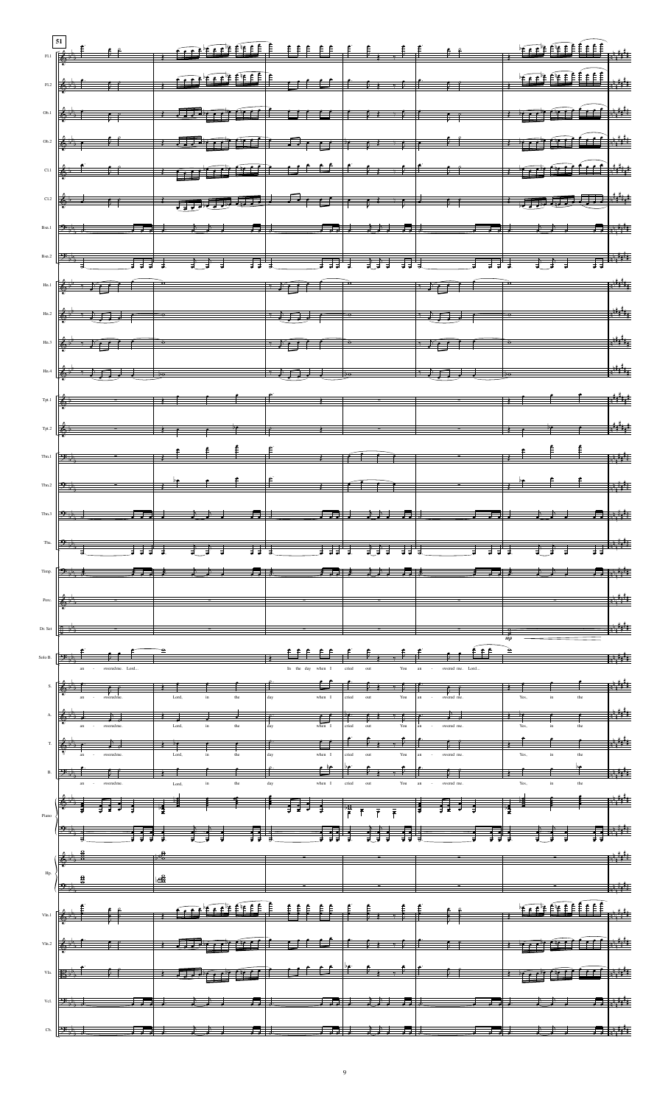| $F1.1$ $8V$       |                                                                                                                                                                                                                                                                                                                                                                                                                                  |                                                                                                                                                                                                                                                                                                                                                           |  |  |  |                                  |  |     |                                                           |  |                                                               |                                                                                                                                                                                                                                                                                                                                                                                                                                                                                 |                                           |
|-------------------|----------------------------------------------------------------------------------------------------------------------------------------------------------------------------------------------------------------------------------------------------------------------------------------------------------------------------------------------------------------------------------------------------------------------------------|-----------------------------------------------------------------------------------------------------------------------------------------------------------------------------------------------------------------------------------------------------------------------------------------------------------------------------------------------------------|--|--|--|----------------------------------|--|-----|-----------------------------------------------------------|--|---------------------------------------------------------------|---------------------------------------------------------------------------------------------------------------------------------------------------------------------------------------------------------------------------------------------------------------------------------------------------------------------------------------------------------------------------------------------------------------------------------------------------------------------------------|-------------------------------------------|
|                   | $F1.2$ $6F1$                                                                                                                                                                                                                                                                                                                                                                                                                     |                                                                                                                                                                                                                                                                                                                                                           |  |  |  |                                  |  |     |                                                           |  |                                                               | $\frac{\left\  \left( \frac{1}{2} \right) \right\  \left\  \left( \frac{1}{2} \right) \right\ }{\left\  \left( \frac{1}{2} \right) \right\ } \left\  \left( \frac{1}{2} \right) \right\  \left\  \left( \frac{1}{2} \right) \right\  \left\  \left( \frac{1}{2} \right) \right\  \left\  \left( \frac{1}{2} \right) \right\  \left\  \left( \frac{1}{2} \right) \right\  \left\  \left( \frac{1}{2} \right) \right\  \left\  \left( \frac{1}{2} \right) \right\  \left\  \left$ |                                           |
|                   |                                                                                                                                                                                                                                                                                                                                                                                                                                  |                                                                                                                                                                                                                                                                                                                                                           |  |  |  |                                  |  |     |                                                           |  |                                                               |                                                                                                                                                                                                                                                                                                                                                                                                                                                                                 |                                           |
|                   | $O(b.1)$ $\left[\begin{array}{ccc} 1 & b & c \\ 0 & b & c \end{array}\right]$                                                                                                                                                                                                                                                                                                                                                    |                                                                                                                                                                                                                                                                                                                                                           |  |  |  |                                  |  |     |                                                           |  |                                                               | <u>e Jiharan (andro e strongen e produkt</u>                                                                                                                                                                                                                                                                                                                                                                                                                                    |                                           |
|                   | $\frac{1}{2}$ $\frac{1}{2}$ $\frac{1}{2}$ $\frac{1}{2}$ $\frac{1}{2}$ $\frac{1}{2}$ $\frac{1}{2}$ $\frac{1}{2}$ $\frac{1}{2}$ $\frac{1}{2}$ $\frac{1}{2}$ $\frac{1}{2}$ $\frac{1}{2}$ $\frac{1}{2}$ $\frac{1}{2}$ $\frac{1}{2}$ $\frac{1}{2}$ $\frac{1}{2}$ $\frac{1}{2}$ $\frac{1}{2}$ $\frac{1}{2}$ $\frac{1}{2}$                                                                                                              |                                                                                                                                                                                                                                                                                                                                                           |  |  |  |                                  |  |     |                                                           |  |                                                               | $\longrightarrow$ $\overline{\cdots}$                                                                                                                                                                                                                                                                                                                                                                                                                                           |                                           |
|                   |                                                                                                                                                                                                                                                                                                                                                                                                                                  |                                                                                                                                                                                                                                                                                                                                                           |  |  |  |                                  |  |     |                                                           |  |                                                               |                                                                                                                                                                                                                                                                                                                                                                                                                                                                                 |                                           |
|                   |                                                                                                                                                                                                                                                                                                                                                                                                                                  |                                                                                                                                                                                                                                                                                                                                                           |  |  |  |                                  |  |     |                                                           |  |                                                               | $\frac{1}{2} \left\  \frac{1}{2} \left( \frac{1}{2} \right)^{\frac{1}{2}} + \frac{1}{2} \left( \frac{1}{2} \right)^{\frac{1}{2}} + \frac{1}{2} \left( \frac{1}{2} \right)^{\frac{1}{2}} + \frac{1}{2} \left( \frac{1}{2} \right)^{\frac{1}{2}} + \frac{1}{2} \left( \frac{1}{2} \right)^{\frac{1}{2}} + \frac{1}{2} \left( \frac{1}{2} \right)^{\frac{1}{2}} + \frac{1}{2} \left( \frac{1}{2} \right)^{\frac{1}{2}} + \frac{1}{2} \left( \frac{$                                |                                           |
|                   |                                                                                                                                                                                                                                                                                                                                                                                                                                  |                                                                                                                                                                                                                                                                                                                                                           |  |  |  |                                  |  |     |                                                           |  |                                                               | ▓░▏▏ <mark>▓▓▖▟░▁▁▁▁▁▂▛▛</mark> ▋▗▏▁▕▛▁▞▏▗▏▁▕▛▌▎░▁▁▁▁ <i>▛▜</i> ▋▏▟▕▁▞▖▟▕▊▏░▁▁▁▁▁▛▔▛▌▗▏▁▕▁▞▏▗▏▁▕▛▌ <mark>░</mark> ▓▓                                                                                                                                                                                                                                                                                                                                                            |                                           |
|                   |                                                                                                                                                                                                                                                                                                                                                                                                                                  |                                                                                                                                                                                                                                                                                                                                                           |  |  |  |                                  |  |     |                                                           |  |                                                               |                                                                                                                                                                                                                                                                                                                                                                                                                                                                                 |                                           |
|                   | $\mathbb{R}^{n}$                                                                                                                                                                                                                                                                                                                                                                                                                 |                                                                                                                                                                                                                                                                                                                                                           |  |  |  |                                  |  |     |                                                           |  |                                                               | $\frac{1}{2}$                                                                                                                                                                                                                                                                                                                                                                                                                                                                   |                                           |
|                   | $\frac{1}{2}$ $\frac{1}{2}$ $\frac{1}{2}$ $\frac{1}{2}$ $\frac{1}{2}$ $\frac{1}{2}$ $\frac{1}{2}$ $\frac{1}{2}$ $\frac{1}{2}$ $\frac{1}{2}$ $\frac{1}{2}$ $\frac{1}{2}$ $\frac{1}{2}$ $\frac{1}{2}$ $\frac{1}{2}$ $\frac{1}{2}$ $\frac{1}{2}$ $\frac{1}{2}$ $\frac{1}{2}$ $\frac{1}{2}$ $\frac{1}{2}$ $\frac{1}{2}$                                                                                                              |                                                                                                                                                                                                                                                                                                                                                           |  |  |  |                                  |  |     |                                                           |  |                                                               |                                                                                                                                                                                                                                                                                                                                                                                                                                                                                 | بتشار                                     |
|                   | $\mathbb{E} \left[ \left\{ \frac{1}{2}, \frac{1}{2}, \frac{1}{2}, \frac{1}{2}, \frac{1}{2}, \ldots, \frac{1}{2}, \frac{1}{2}, \frac{1}{2}, \ldots, \frac{1}{2}, \frac{1}{2}, \frac{1}{2}, \ldots, \frac{1}{2}, \frac{1}{2}, \frac{1}{2}, \ldots, \frac{1}{2}, \frac{1}{2}, \frac{1}{2}, \ldots, \frac{1}{2}, \frac{1}{2}, \frac{1}{2}, \ldots, \frac{1}{2}, \frac{1}{2}, \ldots, \frac{1}{2}, \frac{1}{2}, \ldots, \frac{1}{2},$ |                                                                                                                                                                                                                                                                                                                                                           |  |  |  |                                  |  |     |                                                           |  |                                                               |                                                                                                                                                                                                                                                                                                                                                                                                                                                                                 | $\mathbb{H}^{\mathcal{U}_1\mathcal{U}_2}$ |
|                   |                                                                                                                                                                                                                                                                                                                                                                                                                                  |                                                                                                                                                                                                                                                                                                                                                           |  |  |  |                                  |  |     |                                                           |  |                                                               |                                                                                                                                                                                                                                                                                                                                                                                                                                                                                 | $\mathbb{R}^{d_{1}d_{2}}$                 |
|                   |                                                                                                                                                                                                                                                                                                                                                                                                                                  |                                                                                                                                                                                                                                                                                                                                                           |  |  |  |                                  |  |     |                                                           |  |                                                               |                                                                                                                                                                                                                                                                                                                                                                                                                                                                                 |                                           |
|                   | $T_{\rm pt,1}$ $\left[\frac{Q_{\rm b}}{Q_{\rm b}}\right]$ . The contract of $\frac{1}{\sqrt{Q_{\rm b}}}$ . The contract of $\frac{1}{\sqrt{Q_{\rm b}}}$ is the contract of $\frac{1}{\sqrt{Q_{\rm b}}}$ . The contract of $\frac{1}{\sqrt{Q_{\rm b}}}$ is the contract of $\frac{1}{\sqrt{Q_{\rm b}}}$ is the co                                                                                                                 |                                                                                                                                                                                                                                                                                                                                                           |  |  |  |                                  |  |     |                                                           |  | $\mathbf{R}$ . The set of $\mathbf{R}$                        | $\mathbf{I} = \mathbf{I}$                                                                                                                                                                                                                                                                                                                                                                                                                                                       |                                           |
| Tpt.2             |                                                                                                                                                                                                                                                                                                                                                                                                                                  | $\bullet$ and $\bullet$ and $\bullet$ and $\bullet$ and $\bullet$ and $\bullet$ and $\bullet$ and $\bullet$ and $\bullet$ and $\bullet$ and $\bullet$ and $\bullet$ and $\bullet$ and $\bullet$ and $\bullet$ and $\bullet$ and $\bullet$ and $\bullet$ and $\bullet$ and $\bullet$ and $\bullet$ and $\bullet$ and $\bullet$ and $\bullet$ and $\bullet$ |  |  |  |                                  |  |     |                                                           |  |                                                               | <del>▁▁▁▁▁▁▁▏▁▁▁▁▁▁▁</del> ▁▁▁▖▁▖▁▏▏▏▏▏▏▏▏▏▏                                                                                                                                                                                                                                                                                                                                                                                                                                    |                                           |
|                   | Tbn.1 $\left[\begin{array}{ccc} \bullet & \bullet \\ \bullet & \bullet \\ \bullet & \bullet \end{array}\right]$                                                                                                                                                                                                                                                                                                                  |                                                                                                                                                                                                                                                                                                                                                           |  |  |  |                                  |  |     |                                                           |  |                                                               | ╶ <u>╶╶<sup>┋</sup>╶┄┄┈</u> ║ <sub>╍╙</sub> ┇╁ <sup>┇</sup>                                                                                                                                                                                                                                                                                                                                                                                                                     |                                           |
| Tbn.2             |                                                                                                                                                                                                                                                                                                                                                                                                                                  |                                                                                                                                                                                                                                                                                                                                                           |  |  |  |                                  |  |     |                                                           |  |                                                               |                                                                                                                                                                                                                                                                                                                                                                                                                                                                                 |                                           |
| Tbn.3             | $9 + .$                                                                                                                                                                                                                                                                                                                                                                                                                          |                                                                                                                                                                                                                                                                                                                                                           |  |  |  | $\overline{\phantom{a}}$         |  | ♪♪≠ |                                                           |  |                                                               |                                                                                                                                                                                                                                                                                                                                                                                                                                                                                 |                                           |
|                   |                                                                                                                                                                                                                                                                                                                                                                                                                                  |                                                                                                                                                                                                                                                                                                                                                           |  |  |  | ▀▀▀▘▞                            |  |     |                                                           |  |                                                               |                                                                                                                                                                                                                                                                                                                                                                                                                                                                                 |                                           |
| Timp              |                                                                                                                                                                                                                                                                                                                                                                                                                                  |                                                                                                                                                                                                                                                                                                                                                           |  |  |  |                                  |  |     |                                                           |  |                                                               |                                                                                                                                                                                                                                                                                                                                                                                                                                                                                 |                                           |
|                   |                                                                                                                                                                                                                                                                                                                                                                                                                                  |                                                                                                                                                                                                                                                                                                                                                           |  |  |  |                                  |  |     |                                                           |  |                                                               |                                                                                                                                                                                                                                                                                                                                                                                                                                                                                 |                                           |
| Dr. Set           |                                                                                                                                                                                                                                                                                                                                                                                                                                  |                                                                                                                                                                                                                                                                                                                                                           |  |  |  |                                  |  |     |                                                           |  |                                                               |                                                                                                                                                                                                                                                                                                                                                                                                                                                                                 |                                           |
|                   | Solo B. $\left[\frac{\mathbf{p}}{\mathbf{p}}, \frac{\mathbf{p}}{\mathbf{p}}\right]$                                                                                                                                                                                                                                                                                                                                              |                                                                                                                                                                                                                                                                                                                                                           |  |  |  |                                  |  |     |                                                           |  |                                                               |                                                                                                                                                                                                                                                                                                                                                                                                                                                                                 |                                           |
|                   |                                                                                                                                                                                                                                                                                                                                                                                                                                  |                                                                                                                                                                                                                                                                                                                                                           |  |  |  |                                  |  |     |                                                           |  |                                                               |                                                                                                                                                                                                                                                                                                                                                                                                                                                                                 |                                           |
|                   |                                                                                                                                                                                                                                                                                                                                                                                                                                  |                                                                                                                                                                                                                                                                                                                                                           |  |  |  |                                  |  |     |                                                           |  |                                                               |                                                                                                                                                                                                                                                                                                                                                                                                                                                                                 |                                           |
|                   |                                                                                                                                                                                                                                                                                                                                                                                                                                  |                                                                                                                                                                                                                                                                                                                                                           |  |  |  | $\frac{1}{\sqrt{1-\frac{1}{2}}}$ |  |     |                                                           |  |                                                               |                                                                                                                                                                                                                                                                                                                                                                                                                                                                                 |                                           |
|                   |                                                                                                                                                                                                                                                                                                                                                                                                                                  |                                                                                                                                                                                                                                                                                                                                                           |  |  |  |                                  |  |     |                                                           |  |                                                               |                                                                                                                                                                                                                                                                                                                                                                                                                                                                                 |                                           |
|                   |                                                                                                                                                                                                                                                                                                                                                                                                                                  |                                                                                                                                                                                                                                                                                                                                                           |  |  |  |                                  |  |     |                                                           |  |                                                               |                                                                                                                                                                                                                                                                                                                                                                                                                                                                                 |                                           |
|                   |                                                                                                                                                                                                                                                                                                                                                                                                                                  |                                                                                                                                                                                                                                                                                                                                                           |  |  |  |                                  |  |     |                                                           |  |                                                               |                                                                                                                                                                                                                                                                                                                                                                                                                                                                                 |                                           |
| Piano             |                                                                                                                                                                                                                                                                                                                                                                                                                                  |                                                                                                                                                                                                                                                                                                                                                           |  |  |  | واوات                            |  |     |                                                           |  |                                                               |                                                                                                                                                                                                                                                                                                                                                                                                                                                                                 |                                           |
|                   |                                                                                                                                                                                                                                                                                                                                                                                                                                  |                                                                                                                                                                                                                                                                                                                                                           |  |  |  |                                  |  |     |                                                           |  |                                                               |                                                                                                                                                                                                                                                                                                                                                                                                                                                                                 |                                           |
|                   |                                                                                                                                                                                                                                                                                                                                                                                                                                  |                                                                                                                                                                                                                                                                                                                                                           |  |  |  |                                  |  |     |                                                           |  |                                                               |                                                                                                                                                                                                                                                                                                                                                                                                                                                                                 |                                           |
| V <sub>ln.1</sub> |                                                                                                                                                                                                                                                                                                                                                                                                                                  |                                                                                                                                                                                                                                                                                                                                                           |  |  |  |                                  |  |     |                                                           |  |                                                               |                                                                                                                                                                                                                                                                                                                                                                                                                                                                                 |                                           |
|                   |                                                                                                                                                                                                                                                                                                                                                                                                                                  |                                                                                                                                                                                                                                                                                                                                                           |  |  |  |                                  |  |     |                                                           |  |                                                               |                                                                                                                                                                                                                                                                                                                                                                                                                                                                                 |                                           |
| $_{\rm Vln.2}$    |                                                                                                                                                                                                                                                                                                                                                                                                                                  |                                                                                                                                                                                                                                                                                                                                                           |  |  |  |                                  |  |     |                                                           |  |                                                               |                                                                                                                                                                                                                                                                                                                                                                                                                                                                                 |                                           |
|                   |                                                                                                                                                                                                                                                                                                                                                                                                                                  |                                                                                                                                                                                                                                                                                                                                                           |  |  |  |                                  |  |     | $\mathbb{P}$ , $\mathbb{P}$ , $\mathbb{P}$ , $\mathbb{P}$ |  | $\overline{\mathcal{X}}$ be a signal $\overline{\mathcal{Y}}$ |                                                                                                                                                                                                                                                                                                                                                                                                                                                                                 |                                           |
|                   |                                                                                                                                                                                                                                                                                                                                                                                                                                  |                                                                                                                                                                                                                                                                                                                                                           |  |  |  |                                  |  |     |                                                           |  |                                                               |                                                                                                                                                                                                                                                                                                                                                                                                                                                                                 |                                           |
|                   |                                                                                                                                                                                                                                                                                                                                                                                                                                  |                                                                                                                                                                                                                                                                                                                                                           |  |  |  |                                  |  |     |                                                           |  |                                                               |                                                                                                                                                                                                                                                                                                                                                                                                                                                                                 |                                           |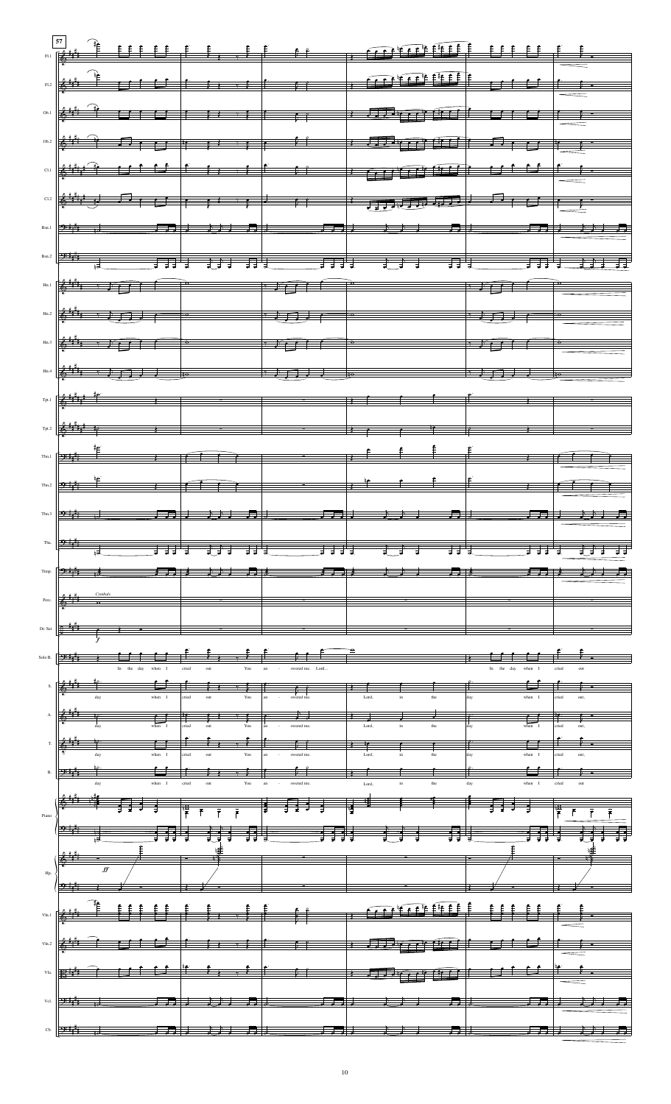|                | $\frac{1}{2}$<br>$F1.2$ $\frac{1}{2}$ $\frac{1}{2}$ $\frac{1}{2}$ $\frac{1}{2}$                                                                                                                                                                                                                                                                                                                                                                                 |                                                                                                                                                                                                                                                                                                                     |                                                                                          |                          |                                            |
|----------------|-----------------------------------------------------------------------------------------------------------------------------------------------------------------------------------------------------------------------------------------------------------------------------------------------------------------------------------------------------------------------------------------------------------------------------------------------------------------|---------------------------------------------------------------------------------------------------------------------------------------------------------------------------------------------------------------------------------------------------------------------------------------------------------------------|------------------------------------------------------------------------------------------|--------------------------|--------------------------------------------|
|                | 06.1 8 11                                                                                                                                                                                                                                                                                                                                                                                                                                                       |                                                                                                                                                                                                                                                                                                                     |                                                                                          |                          |                                            |
|                | <u>redesse e e Dverail ur un s</u>                                                                                                                                                                                                                                                                                                                                                                                                                              |                                                                                                                                                                                                                                                                                                                     |                                                                                          |                          |                                            |
|                | $0 b.2$ $811$<br>$\sqrt{2}$ $\sqrt{2}$ $\sqrt{2}$ $\sqrt{2}$ $\sqrt{2}$ $\sqrt{2}$ $\sqrt{2}$ $\sqrt{2}$ $\sqrt{2}$ $\sqrt{2}$ $\sqrt{2}$ $\sqrt{2}$ $\sqrt{2}$ $\sqrt{2}$ $\sqrt{2}$ $\sqrt{2}$ $\sqrt{2}$ $\sqrt{2}$ $\sqrt{2}$ $\sqrt{2}$ $\sqrt{2}$ $\sqrt{2}$ $\sqrt{2}$ $\sqrt{2}$ $\sqrt{2}$ $\sqrt{2}$ $\sqrt{2}$ $\sqrt{2$                                                                                                                             |                                                                                                                                                                                                                                                                                                                     | $\frac{1}{2}$ $\frac{1}{2}$ $\frac{1}{2}$ $\frac{1}{2}$ $\frac{1}{2}$ $\frac{1}{2}$      |                          | $\mathbf{r}$ , $\mathbf{r}$ , $\mathbf{r}$ |
|                |                                                                                                                                                                                                                                                                                                                                                                                                                                                                 |                                                                                                                                                                                                                                                                                                                     |                                                                                          |                          |                                            |
|                |                                                                                                                                                                                                                                                                                                                                                                                                                                                                 |                                                                                                                                                                                                                                                                                                                     |                                                                                          |                          |                                            |
|                | $Bsn.1$ $2:11$<br>$\overline{\phantom{a}}$ , $\overline{\phantom{a}}$ , $\overline{\phantom{a}}$ , $\overline{\phantom{a}}$ , $\overline{\phantom{a}}$ , $\overline{\phantom{a}}$ , $\overline{\phantom{a}}$ , $\overline{\phantom{a}}$ , $\overline{\phantom{a}}$ , $\overline{\phantom{a}}$ , $\overline{\phantom{a}}$ , $\overline{\phantom{a}}$ , $\overline{\phantom{a}}$ , $\overline{\phantom{a}}$ , $\overline{\phantom{a}}$ , $\overline{\phantom{a}}$ |                                                                                                                                                                                                                                                                                                                     |                                                                                          |                          | ▁▁▁ <i>▞▔▛</i> ▌▏▏▕▁ <u>▓</u> ▁▏▁ <i>▛</i> |
|                | <b>Experiment and the state of the state of the state of the state of the state of the state of the state of the s</b>                                                                                                                                                                                                                                                                                                                                          |                                                                                                                                                                                                                                                                                                                     | 弄事                                                                                       |                          |                                            |
|                | $H_{\text{m-l}}$ $6^{1/4}$ $7$ $7$ $7$                                                                                                                                                                                                                                                                                                                                                                                                                          |                                                                                                                                                                                                                                                                                                                     |                                                                                          |                          |                                            |
|                | $\frac{H_{\text{m},2}}{6}$<br>$\cdot$ ) $\Box$ $\cdot$                                                                                                                                                                                                                                                                                                                                                                                                          |                                                                                                                                                                                                                                                                                                                     |                                                                                          |                          |                                            |
|                | $\overline{z}$                                                                                                                                                                                                                                                                                                                                                                                                                                                  |                                                                                                                                                                                                                                                                                                                     |                                                                                          |                          |                                            |
|                | $\rightarrow$ $\sqrt{1 + 1}$<br>$\frac{H_{\text{B}}}{2}$ $\frac{1}{2}$<br>$\overline{\phantom{a}}$                                                                                                                                                                                                                                                                                                                                                              |                                                                                                                                                                                                                                                                                                                     | $\sqrt{\frac{1}{2}}$                                                                     | $\mathbf{F}$             | $\sqrt{2}$                                 |
|                | $lim_{x \to 0} \frac{1}{x} \frac{1}{x} \frac{1}{x} \frac{1}{x} \frac{1}{x} \frac{1}{x}$                                                                                                                                                                                                                                                                                                                                                                         |                                                                                                                                                                                                                                                                                                                     |                                                                                          |                          |                                            |
|                | $T_{\text{pt.1}}$ $87.1$<br><u> Terminal de la propincia de la propincia de la propincia de la propincia de la propincia de la propincia de l</u>                                                                                                                                                                                                                                                                                                               |                                                                                                                                                                                                                                                                                                                     |                                                                                          |                          |                                            |
|                | $T_{\text{pt,2}}$ $8^{\frac{1}{4}+\frac{7}{4}}$                                                                                                                                                                                                                                                                                                                                                                                                                 |                                                                                                                                                                                                                                                                                                                     |                                                                                          |                          |                                            |
| $_{\rm Tbn.1}$ | <u>Didi</u>                                                                                                                                                                                                                                                                                                                                                                                                                                                     |                                                                                                                                                                                                                                                                                                                     |                                                                                          |                          |                                            |
|                | وابلاي                                                                                                                                                                                                                                                                                                                                                                                                                                                          |                                                                                                                                                                                                                                                                                                                     |                                                                                          |                          |                                            |
|                | $T_{\text{bn.3}}$ $7.44$                                                                                                                                                                                                                                                                                                                                                                                                                                        |                                                                                                                                                                                                                                                                                                                     |                                                                                          |                          |                                            |
|                |                                                                                                                                                                                                                                                                                                                                                                                                                                                                 |                                                                                                                                                                                                                                                                                                                     |                                                                                          |                          |                                            |
|                |                                                                                                                                                                                                                                                                                                                                                                                                                                                                 |                                                                                                                                                                                                                                                                                                                     |                                                                                          |                          | 事                                          |
|                |                                                                                                                                                                                                                                                                                                                                                                                                                                                                 |                                                                                                                                                                                                                                                                                                                     |                                                                                          |                          |                                            |
|                | Perc. $\frac{1}{\sqrt{2}} \frac{\frac{1}{2} \frac{1}{2}}{\frac{1}{2} \frac{1}{2}}$ . Cymbols                                                                                                                                                                                                                                                                                                                                                                    |                                                                                                                                                                                                                                                                                                                     |                                                                                          |                          |                                            |
|                | Dx. Set                                                                                                                                                                                                                                                                                                                                                                                                                                                         |                                                                                                                                                                                                                                                                                                                     |                                                                                          |                          |                                            |
|                | Solo B. $\sqrt{2^2 \frac{1}{4} \frac{1}{4}}$                                                                                                                                                                                                                                                                                                                                                                                                                    |                                                                                                                                                                                                                                                                                                                     | <u>tri is in the set of the second set</u>                                               |                          |                                            |
|                |                                                                                                                                                                                                                                                                                                                                                                                                                                                                 | $\frac{1}{2}$ $\frac{1}{2}$ $\frac{1}{2}$ $\frac{1}{2}$ $\frac{1}{2}$ $\frac{1}{2}$ $\frac{1}{2}$ $\frac{1}{2}$ $\frac{1}{2}$ $\frac{1}{2}$ $\frac{1}{2}$ $\frac{1}{2}$ $\frac{1}{2}$ $\frac{1}{2}$ $\frac{1}{2}$ $\frac{1}{2}$ $\frac{1}{2}$ $\frac{1}{2}$ $\frac{1}{2}$ $\frac{1}{2}$ $\frac{1}{2}$ $\frac{1}{2}$ |                                                                                          |                          |                                            |
|                |                                                                                                                                                                                                                                                                                                                                                                                                                                                                 |                                                                                                                                                                                                                                                                                                                     |                                                                                          |                          |                                            |
|                | $\mathbb{F}$ , $\mathbb{F}$                                                                                                                                                                                                                                                                                                                                                                                                                                     |                                                                                                                                                                                                                                                                                                                     |                                                                                          |                          |                                            |
|                |                                                                                                                                                                                                                                                                                                                                                                                                                                                                 | $\bar{\nu}$ from $\rightarrow$ in                                                                                                                                                                                                                                                                                   |                                                                                          |                          |                                            |
|                |                                                                                                                                                                                                                                                                                                                                                                                                                                                                 |                                                                                                                                                                                                                                                                                                                     |                                                                                          |                          |                                            |
|                | । सुरुष के साथ को साथ करने के साथ करने के साथ करने की साथ करने की साथ करने की साथ करने की साथ करने की साथ करने<br>पुलिस की साथ करने की साथ करने की साथ करने की साथ करने की साथ करने की साथ करने की साथ करने की साथ करने की साथ क                                                                                                                                                                                                                                |                                                                                                                                                                                                                                                                                                                     |                                                                                          |                          |                                            |
|                | $\overline{\phantom{a}}$                                                                                                                                                                                                                                                                                                                                                                                                                                        |                                                                                                                                                                                                                                                                                                                     | $\sqrt{3}$ , $\sqrt{3}$ , $\sqrt{3}$ , $\sqrt{3}$ , $\sqrt{3}$ , $\sqrt{3}$ , $\sqrt{3}$ | $\overline{\phantom{a}}$ | 43                                         |
|                |                                                                                                                                                                                                                                                                                                                                                                                                                                                                 |                                                                                                                                                                                                                                                                                                                     |                                                                                          |                          |                                            |
|                |                                                                                                                                                                                                                                                                                                                                                                                                                                                                 |                                                                                                                                                                                                                                                                                                                     |                                                                                          |                          |                                            |
|                |                                                                                                                                                                                                                                                                                                                                                                                                                                                                 |                                                                                                                                                                                                                                                                                                                     |                                                                                          |                          |                                            |
|                | we also the state of the state of the state of the state of the state of the state of the state of the state of the state of the state of the state of the state of the state of the state of the state of the state of the st                                                                                                                                                                                                                                  |                                                                                                                                                                                                                                                                                                                     |                                                                                          |                          |                                            |
|                |                                                                                                                                                                                                                                                                                                                                                                                                                                                                 |                                                                                                                                                                                                                                                                                                                     |                                                                                          |                          |                                            |
|                |                                                                                                                                                                                                                                                                                                                                                                                                                                                                 |                                                                                                                                                                                                                                                                                                                     |                                                                                          |                          |                                            |
|                |                                                                                                                                                                                                                                                                                                                                                                                                                                                                 |                                                                                                                                                                                                                                                                                                                     |                                                                                          |                          |                                            |
|                | $\mathcal{F}$ , $\mathcal{F}$ , $\mathcal{F}$ , $\mathcal{F}$ , $\mathcal{F}$<br><b>0.</b> 9 种 。                                                                                                                                                                                                                                                                                                                                                                | ナガナ                                                                                                                                                                                                                                                                                                                 | — ) ) <del>) , 7</del> J                                                                 |                          |                                            |